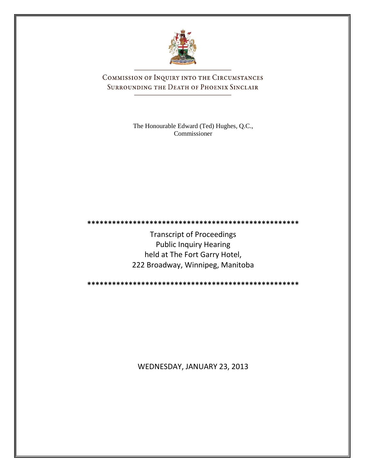

COMMISSION OF INQUIRY INTO THE CIRCUMSTANCES SURROUNDING THE DEATH OF PHOENIX SINCLAIR

> The Honourable Edward (Ted) Hughes, Q.C., Commissioner

**\*\*\*\*\*\*\*\*\*\*\*\*\*\*\*\*\*\*\*\*\*\*\*\*\*\*\*\*\*\*\*\*\*\*\*\*\*\*\*\*\*\*\*\*\*\*\*\*\*\*\***

Transcript of Proceedings Public Inquiry Hearing held at The Fort Garry Hotel, 222 Broadway, Winnipeg, Manitoba

**\*\*\*\*\*\*\*\*\*\*\*\*\*\*\*\*\*\*\*\*\*\*\*\*\*\*\*\*\*\*\*\*\*\*\*\*\*\*\*\*\*\*\*\*\*\*\*\*\*\*\***

WEDNESDAY, JANUARY 23, 2013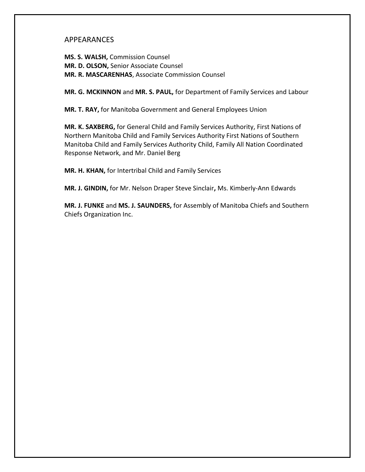## APPEARANCES

**MS. S. WALSH,** Commission Counsel **MR. D. OLSON,** Senior Associate Counsel **MR. R. MASCARENHAS**, Associate Commission Counsel

**MR. G. MCKINNON** and **MR. S. PAUL,** for Department of Family Services and Labour

**MR. T. RAY,** for Manitoba Government and General Employees Union

**MR. K. SAXBERG,** for General Child and Family Services Authority, First Nations of Northern Manitoba Child and Family Services Authority First Nations of Southern Manitoba Child and Family Services Authority Child, Family All Nation Coordinated Response Network, and Mr. Daniel Berg

**MR. H. KHAN,** for Intertribal Child and Family Services

**MR. J. GINDIN,** for Mr. Nelson Draper Steve Sinclair**,** Ms. Kimberly-Ann Edwards

**MR. J. FUNKE** and **MS. J. SAUNDERS,** for Assembly of Manitoba Chiefs and Southern Chiefs Organization Inc.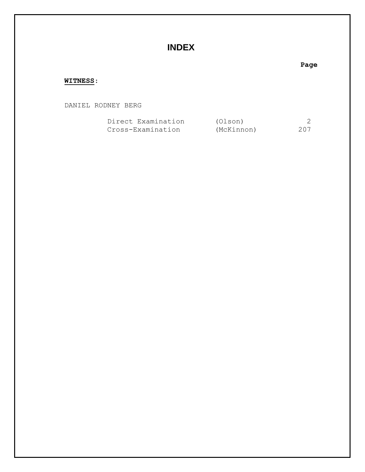# **INDEX**

### **Page**

### **WITNESS**:

DANIEL RODNEY BERG

| Direct Examination | (Olson)    |     |
|--------------------|------------|-----|
| Cross-Examination  | (McKinnon) | 207 |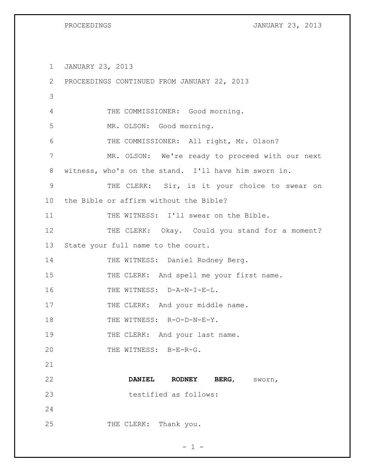PROCEEDINGS **DESCRIPTIONS** JANUARY 23, 2013

1 JANUARY 23, 2013

| 2           | PROCEEDINGS CONTINUED FROM JANUARY 22, 2013          |
|-------------|------------------------------------------------------|
| 3           |                                                      |
| 4           | THE COMMISSIONER: Good morning.                      |
| 5           | MR. OLSON: Good morning.                             |
| 6           | THE COMMISSIONER: All right, Mr. Olson?              |
| 7           | MR. OLSON: We're ready to proceed with our next      |
| 8           | witness, who's on the stand. I'll have him sworn in. |
| $\mathsf 9$ | THE CLERK: Sir, is it your choice to swear on        |
| 10          | the Bible or affirm without the Bible?               |
| 11          | THE WITNESS: I'll swear on the Bible.                |
| 12          | THE CLERK: Okay. Could you stand for a moment?       |
| 13          | State your full name to the court.                   |
| 14          | THE WITNESS: Daniel Rodney Berg.                     |
| 15          | THE CLERK: And spell me your first name.             |
| 16          | THE WITNESS: D-A-N-I-E-L.                            |
| 17          | THE CLERK: And your middle name.                     |
| 18          | THE WITNESS: R-O-D-N-E-Y.                            |
| 19          | THE CLERK: And your last name.                       |
| 20          | THE WITNESS: B-E-R-G.                                |
| 21          |                                                      |
| 22          | <b>DANIEL</b><br><b>RODNEY</b><br>BERG,<br>sworn,    |
| 23          | testified as follows:                                |
| 24          |                                                      |
| 25          | THE CLERK: Thank you.                                |

 $- 1 -$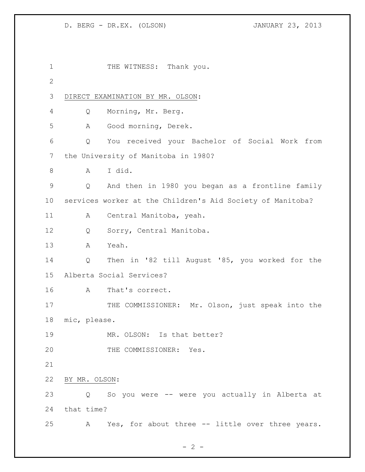| $\mathbf 1$  |               | THE WITNESS: Thank you.                                    |
|--------------|---------------|------------------------------------------------------------|
| $\mathbf{2}$ |               |                                                            |
| 3            |               | DIRECT EXAMINATION BY MR. OLSON:                           |
| 4            | Q             | Morning, Mr. Berg.                                         |
| 5            | Α             | Good morning, Derek.                                       |
| 6            | Q             | You received your Bachelor of Social Work from             |
| 7            |               | the University of Manitoba in 1980?                        |
| 8            | A             | I did.                                                     |
| 9            | Q             | And then in 1980 you began as a frontline family           |
| 10           |               | services worker at the Children's Aid Society of Manitoba? |
| 11           | Α             | Central Manitoba, yeah.                                    |
| 12           | Q             | Sorry, Central Manitoba.                                   |
| 13           | A             | Yeah.                                                      |
| 14           | Q             | Then in '82 till August '85, you worked for the            |
| 15           |               | Alberta Social Services?                                   |
| 16           | A             | That's correct.                                            |
| 17           |               | THE COMMISSIONER: Mr. Olson, just speak into the           |
| 18           | mic, please.  |                                                            |
| 19           |               | MR. OLSON: Is that better?                                 |
| 20           |               | THE COMMISSIONER: Yes.                                     |
| 21           |               |                                                            |
| 22           | BY MR. OLSON: |                                                            |
| 23           |               | Q So you were -- were you actually in Alberta at           |
| 24           | that time?    |                                                            |
| 25           |               | A Yes, for about three -- little over three years.         |

 $- 2 -$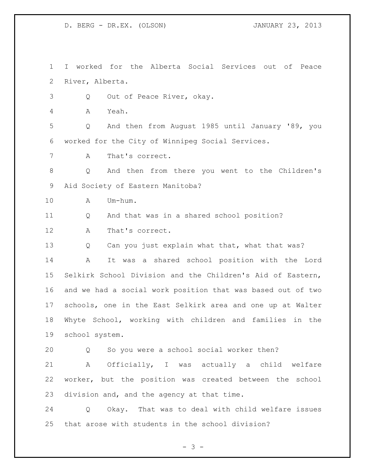I worked for the Alberta Social Services out of Peace River, Alberta.

Q Out of Peace River, okay.

A Yeah.

 Q And then from August 1985 until January '89, you worked for the City of Winnipeg Social Services.

A That's correct.

 Q And then from there you went to the Children's Aid Society of Eastern Manitoba?

A Um-hum.

Q And that was in a shared school position?

A That's correct.

13 Q Can you just explain what that, what that was?

 A It was a shared school position with the Lord Selkirk School Division and the Children's Aid of Eastern, and we had a social work position that was based out of two schools, one in the East Selkirk area and one up at Walter Whyte School, working with children and families in the school system.

Q So you were a school social worker then?

 A Officially, I was actually a child welfare worker, but the position was created between the school division and, and the agency at that time.

 Q Okay. That was to deal with child welfare issues that arose with students in the school division?

 $- 3 -$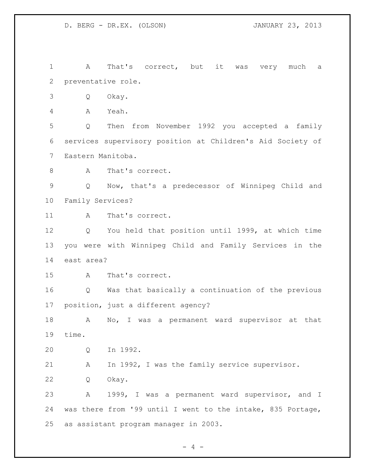A That's correct, but it was very much a preventative role. Q Okay. A Yeah. Q Then from November 1992 you accepted a family services supervisory position at Children's Aid Society of Eastern Manitoba. 8 A That's correct. Q Now, that's a predecessor of Winnipeg Child and Family Services? 11 A That's correct. Q You held that position until 1999, at which time you were with Winnipeg Child and Family Services in the east area? A That's correct. Q Was that basically a continuation of the previous position, just a different agency? 18 A No, I was a permanent ward supervisor at that time. Q In 1992. A In 1992, I was the family service supervisor. Q Okay. A 1999, I was a permanent ward supervisor, and I was there from '99 until I went to the intake, 835 Portage, as assistant program manager in 2003.

 $- 4 -$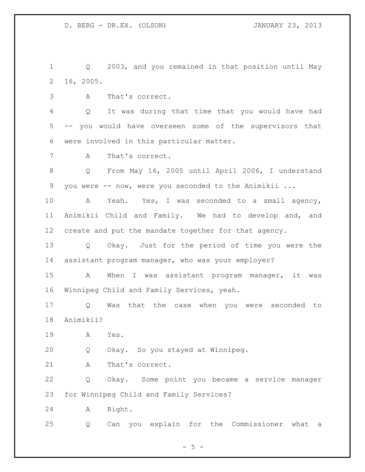Q 2003, and you remained in that position until May 16, 2005.

A That's correct.

 Q It was during that time that you would have had -- you would have overseen some of the supervisors that were involved in this particular matter.

A That's correct.

 Q From May 16, 2005 until April 2006, I understand you were -- now, were you seconded to the Animikii ...

 A Yeah. Yes, I was seconded to a small agency, Animikii Child and Family. We had to develop and, and create and put the mandate together for that agency.

 Q Okay. Just for the period of time you were the assistant program manager, who was your employer?

 A When I was assistant program manager, it was Winnipeg Child and Family Services, yeah.

 Q Was that the case when you were seconded to Animikii?

A Yes.

Q Okay. So you stayed at Winnipeg.

21 A That's correct.

 Q Okay. Some point you became a service manager for Winnipeg Child and Family Services?

A Right.

Q Can you explain for the Commissioner what a

 $- 5 -$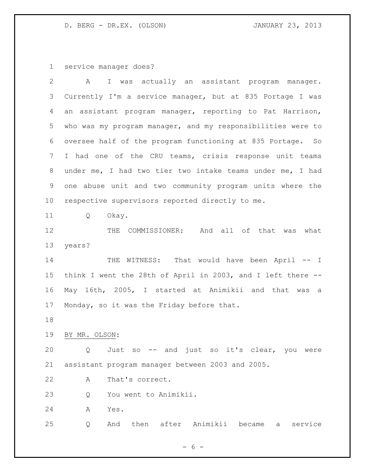service manager does?

| $\overline{2}$ | I was actually an assistant program manager.<br>A           |
|----------------|-------------------------------------------------------------|
| 3              | Currently I'm a service manager, but at 835 Portage I was   |
| 4              | an assistant program manager, reporting to Pat Harrison,    |
| 5              | who was my program manager, and my responsibilities were to |
| 6              | oversee half of the program functioning at 835 Portage. So  |
| 7              | I had one of the CRU teams, crisis response unit teams      |
| 8              | under me, I had two tier two intake teams under me, I had   |
| 9              | one abuse unit and two community program units where the    |
| 10             | respective supervisors reported directly to me.             |
| 11             | Okay.<br>Q                                                  |
| 12             | THE COMMISSIONER: And all of that was what                  |
| 13             | years?                                                      |
| 14             | THE WITNESS: That would have been April -- I                |
| 15             | think I went the 28th of April in 2003, and I left there -- |
| 16             | May 16th, 2005, I started at Animikii and that was<br>a     |
| 17             | Monday, so it was the Friday before that.                   |
| 18             |                                                             |
| 19             | BY MR. OLSON:                                               |
| 20             | Just so -- and just so it's clear, you were<br>Q            |
| 21             | assistant program manager between 2003 and 2005.            |
| 22             | That's correct.<br>Α                                        |
| 23             | You went to Animikii.<br>Q                                  |
| 24             | Yes.<br>A                                                   |
| 25             | And then after Animikii became a<br>service<br>Q            |
|                |                                                             |

- 6 -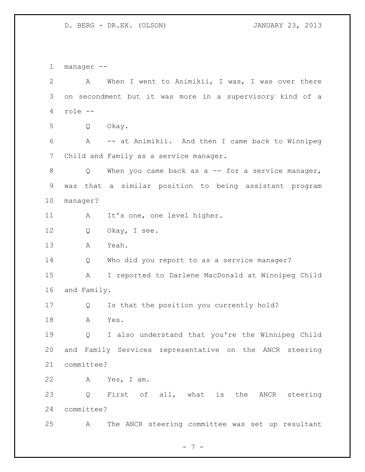manager -- A When I went to Animikii, I was, I was over there on secondment but it was more in a supervisory kind of a role -- Q Okay. A -- at Animikii. And then I came back to Winnipeg Child and Family as a service manager. 8 Q When you came back as a -- for a service manager, was that a similar position to being assistant program manager? 11 A It's one, one level higher. 12 Q Okay, I see. A Yeah. Q Who did you report to as a service manager? A I reported to Darlene MacDonald at Winnipeg Child and Family. Q Is that the position you currently hold? A Yes. Q I also understand that you're the Winnipeg Child and Family Services representative on the ANCR steering committee? A Yes, I am. Q First of all, what is the ANCR steering committee? A The ANCR steering committee was set up resultant

- 7 -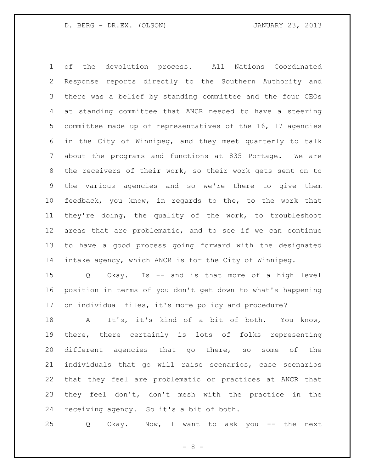of the devolution process. All Nations Coordinated Response reports directly to the Southern Authority and there was a belief by standing committee and the four CEOs at standing committee that ANCR needed to have a steering committee made up of representatives of the 16, 17 agencies in the City of Winnipeg, and they meet quarterly to talk about the programs and functions at 835 Portage. We are 8 the receivers of their work, so their work gets sent on to the various agencies and so we're there to give them feedback, you know, in regards to the, to the work that they're doing, the quality of the work, to troubleshoot areas that are problematic, and to see if we can continue to have a good process going forward with the designated intake agency, which ANCR is for the City of Winnipeg.

 Q Okay. Is -- and is that more of a high level position in terms of you don't get down to what's happening on individual files, it's more policy and procedure?

 A It's, it's kind of a bit of both. You know, there, there certainly is lots of folks representing different agencies that go there, so some of the individuals that go will raise scenarios, case scenarios that they feel are problematic or practices at ANCR that they feel don't, don't mesh with the practice in the receiving agency. So it's a bit of both.

Q Okay. Now, I want to ask you -- the next

- 8 -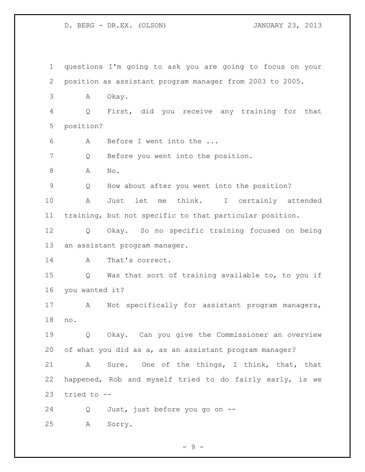questions I'm going to ask you are going to focus on your position as assistant program manager from 2003 to 2005. A Okay. Q First, did you receive any training for that position? A Before I went into the ... Q Before you went into the position. A No. Q How about after you went into the position? A Just let me think. I certainly attended training, but not specific to that particular position. Q Okay. So no specific training focused on being an assistant program manager. 14 A That's correct. Q Was that sort of training available to, to you if you wanted it? A Not specifically for assistant program managers, no. Q Okay. Can you give the Commissioner an overview of what you did as a, as an assistant program manager? A Sure. One of the things, I think, that, that happened, Rob and myself tried to do fairly early, is we tried to -- Q Just, just before you go on -- A Sorry.

 $-9 -$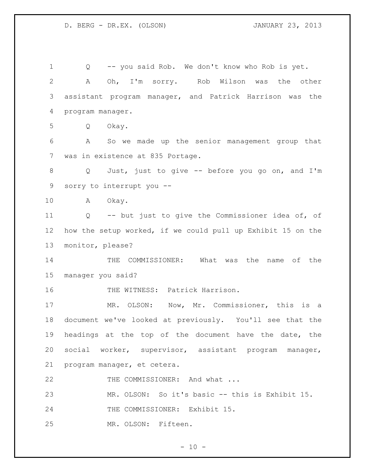Q -- you said Rob. We don't know who Rob is yet. A Oh, I'm sorry. Rob Wilson was the other assistant program manager, and Patrick Harrison was the program manager. Q Okay. A So we made up the senior management group that was in existence at 835 Portage. Q Just, just to give -- before you go on, and I'm sorry to interrupt you -- A Okay. Q -- but just to give the Commissioner idea of, of how the setup worked, if we could pull up Exhibit 15 on the monitor, please? 14 THE COMMISSIONER: What was the name of the manager you said? 16 THE WITNESS: Patrick Harrison. MR. OLSON: Now, Mr. Commissioner, this is a document we've looked at previously. You'll see that the headings at the top of the document have the date, the social worker, supervisor, assistant program manager, program manager, et cetera. 22 THE COMMISSIONER: And what ... MR. OLSON: So it's basic -- this is Exhibit 15. THE COMMISSIONER: Exhibit 15. MR. OLSON: Fifteen.

 $- 10 -$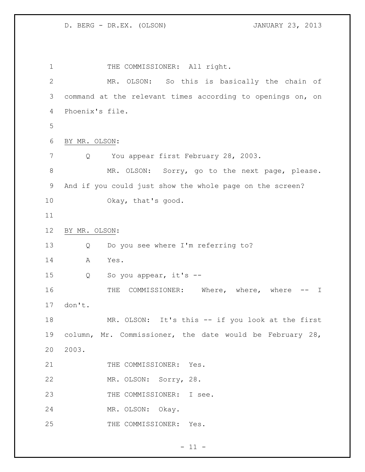1 THE COMMISSIONER: All right. MR. OLSON: So this is basically the chain of command at the relevant times according to openings on, on Phoenix's file. BY MR. OLSON: 7 Q You appear first February 28, 2003. 8 MR. OLSON: Sorry, go to the next page, please. And if you could just show the whole page on the screen? Okay, that's good. BY MR. OLSON: Q Do you see where I'm referring to? A Yes. Q So you appear, it's -- 16 THE COMMISSIONER: Where, where, where -- I don't. MR. OLSON: It's this -- if you look at the first column, Mr. Commissioner, the date would be February 28, 2003. 21 THE COMMISSIONER: Yes. MR. OLSON: Sorry, 28. 23 THE COMMISSIONER: I see. MR. OLSON: Okay. 25 THE COMMISSIONER: Yes.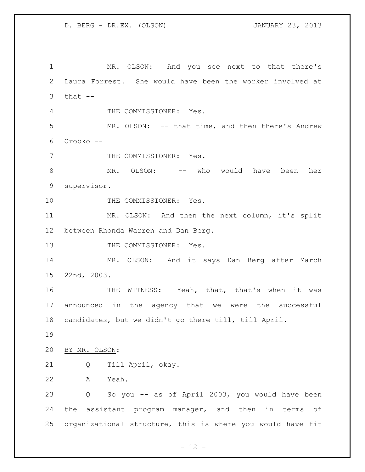MR. OLSON: And you see next to that there's Laura Forrest. She would have been the worker involved at that  $--$  THE COMMISSIONER: Yes. MR. OLSON: -- that time, and then there's Andrew Orobko -- 7 THE COMMISSIONER: Yes. MR. OLSON: -- who would have been her supervisor. 10 THE COMMISSIONER: Yes. MR. OLSON: And then the next column, it's split between Rhonda Warren and Dan Berg. 13 THE COMMISSIONER: Yes. MR. OLSON: And it says Dan Berg after March 22nd, 2003. 16 THE WITNESS: Yeah, that, that's when it was announced in the agency that we were the successful candidates, but we didn't go there till, till April. BY MR. OLSON: Q Till April, okay. A Yeah. Q So you -- as of April 2003, you would have been 24 the assistant program manager, and then in terms of organizational structure, this is where you would have fit

 $- 12 -$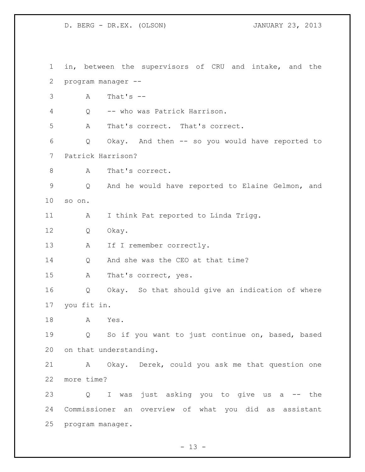in, between the supervisors of CRU and intake, and the program manager -- A That's -- Q -- who was Patrick Harrison. A That's correct. That's correct. Q Okay. And then -- so you would have reported to Patrick Harrison? 8 A That's correct. Q And he would have reported to Elaine Gelmon, and so on. A I think Pat reported to Linda Trigg. Q Okay. 13 A If I remember correctly. 14 Q And she was the CEO at that time? A That's correct, yes. Q Okay. So that should give an indication of where you fit in. A Yes. Q So if you want to just continue on, based, based on that understanding. A Okay. Derek, could you ask me that question one more time? Q I was just asking you to give us a -- the Commissioner an overview of what you did as assistant program manager.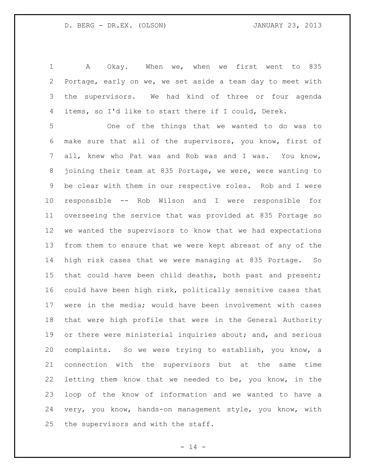A Okay. When we, when we first went to 835 Portage, early on we, we set aside a team day to meet with the supervisors. We had kind of three or four agenda items, so I'd like to start there if I could, Derek.

 One of the things that we wanted to do was to make sure that all of the supervisors, you know, first of all, knew who Pat was and Rob was and I was. You know, joining their team at 835 Portage, we were, were wanting to be clear with them in our respective roles. Rob and I were responsible -- Rob Wilson and I were responsible for overseeing the service that was provided at 835 Portage so we wanted the supervisors to know that we had expectations from them to ensure that we were kept abreast of any of the high risk cases that we were managing at 835 Portage. So that could have been child deaths, both past and present; could have been high risk, politically sensitive cases that were in the media; would have been involvement with cases that were high profile that were in the General Authority 19 or there were ministerial inquiries about; and, and serious complaints. So we were trying to establish, you know, a connection with the supervisors but at the same time letting them know that we needed to be, you know, in the loop of the know of information and we wanted to have a very, you know, hands-on management style, you know, with the supervisors and with the staff.

 $- 14 -$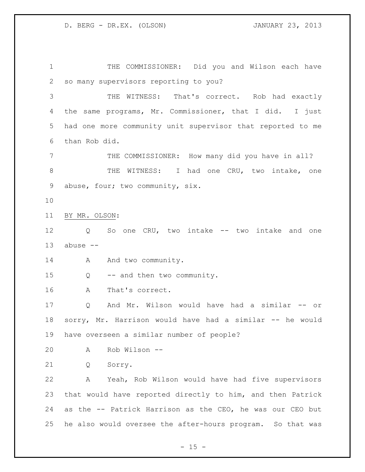THE COMMISSIONER: Did you and Wilson each have so many supervisors reporting to you?

 THE WITNESS: That's correct. Rob had exactly the same programs, Mr. Commissioner, that I did. I just had one more community unit supervisor that reported to me than Rob did.

 THE COMMISSIONER: How many did you have in all? 8 THE WITNESS: I had one CRU, two intake, one abuse, four; two community, six.

BY MR. OLSON:

 Q So one CRU, two intake -- two intake and one abuse --

14 A And two community.

Q -- and then two community.

A That's correct.

 Q And Mr. Wilson would have had a similar -- or sorry, Mr. Harrison would have had a similar -- he would have overseen a similar number of people?

A Rob Wilson --

Q Sorry.

 A Yeah, Rob Wilson would have had five supervisors that would have reported directly to him, and then Patrick as the -- Patrick Harrison as the CEO, he was our CEO but he also would oversee the after-hours program. So that was

 $- 15 -$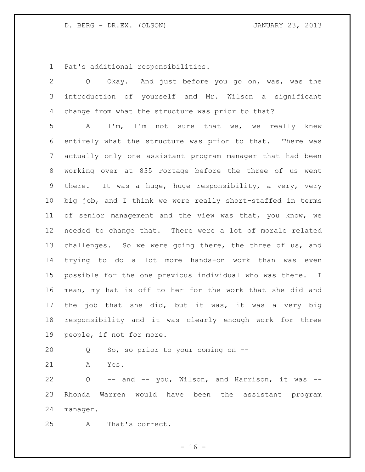Pat's additional responsibilities.

 Q Okay. And just before you go on, was, was the introduction of yourself and Mr. Wilson a significant change from what the structure was prior to that?

 A I'm, I'm not sure that we, we really knew entirely what the structure was prior to that. There was actually only one assistant program manager that had been working over at 835 Portage before the three of us went there. It was a huge, huge responsibility, a very, very big job, and I think we were really short-staffed in terms of senior management and the view was that, you know, we needed to change that. There were a lot of morale related 13 challenges. So we were going there, the three of us, and trying to do a lot more hands-on work than was even possible for the one previous individual who was there. I mean, my hat is off to her for the work that she did and the job that she did, but it was, it was a very big responsibility and it was clearly enough work for three people, if not for more.

Q So, so prior to your coming on --

A Yes.

 Q -- and -- you, Wilson, and Harrison, it was -- Rhonda Warren would have been the assistant program manager.

A That's correct.

 $- 16 -$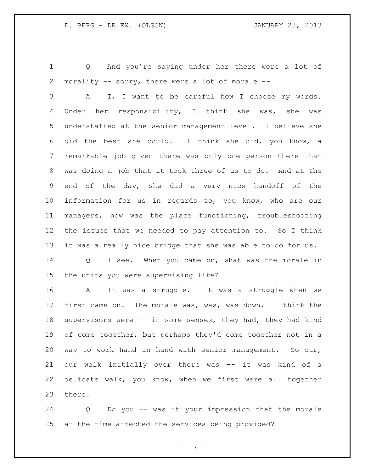Q And you're saying under her there were a lot of morality -- sorry, there were a lot of morale --

 A I, I want to be careful how I choose my words. Under her responsibility, I think she was, she was understaffed at the senior management level. I believe she did the best she could. I think she did, you know, a remarkable job given there was only one person there that was doing a job that it took three of us to do. And at the end of the day, she did a very nice handoff of the information for us in regards to, you know, who are our managers, how was the place functioning, troubleshooting the issues that we needed to pay attention to. So I think it was a really nice bridge that she was able to do for us.

 Q I see. When you came on, what was the morale in the units you were supervising like?

 A It was a struggle. It was a struggle when we first came on. The morale was, was, was down. I think the supervisors were -- in some senses, they had, they had kind of come together, but perhaps they'd come together not in a way to work hand in hand with senior management. So our, our walk initially over there was -- it was kind of a delicate walk, you know, when we first were all together there.

 Q Do you -- was it your impression that the morale at the time affected the services being provided?

- 17 -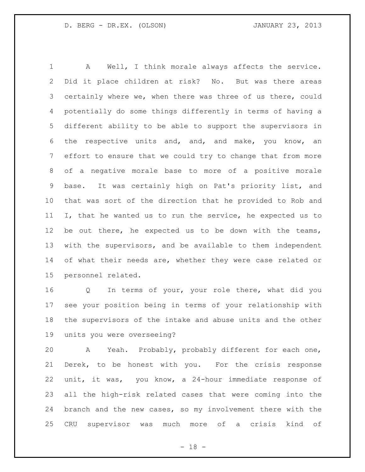A Well, I think morale always affects the service. Did it place children at risk? No. But was there areas 3 certainly where we, when there was three of us there, could potentially do some things differently in terms of having a different ability to be able to support the supervisors in the respective units and, and, and make, you know, an effort to ensure that we could try to change that from more of a negative morale base to more of a positive morale base. It was certainly high on Pat's priority list, and that was sort of the direction that he provided to Rob and I, that he wanted us to run the service, he expected us to be out there, he expected us to be down with the teams, with the supervisors, and be available to them independent 14 of what their needs are, whether they were case related or personnel related.

 Q In terms of your, your role there, what did you see your position being in terms of your relationship with the supervisors of the intake and abuse units and the other units you were overseeing?

 A Yeah. Probably, probably different for each one, Derek, to be honest with you. For the crisis response unit, it was, you know, a 24-hour immediate response of all the high-risk related cases that were coming into the branch and the new cases, so my involvement there with the CRU supervisor was much more of a crisis kind of

 $- 18 -$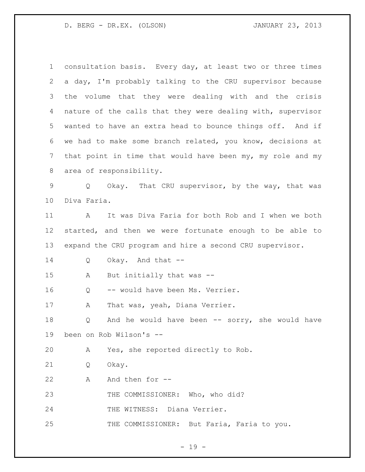consultation basis. Every day, at least two or three times a day, I'm probably talking to the CRU supervisor because the volume that they were dealing with and the crisis nature of the calls that they were dealing with, supervisor wanted to have an extra head to bounce things off. And if we had to make some branch related, you know, decisions at that point in time that would have been my, my role and my area of responsibility. Q Okay. That CRU supervisor, by the way, that was Diva Faria. A It was Diva Faria for both Rob and I when we both started, and then we were fortunate enough to be able to expand the CRU program and hire a second CRU supervisor. Q Okay. And that -- A But initially that was -- Q -- would have been Ms. Verrier. 17 A That was, yeah, Diana Verrier. Q And he would have been -- sorry, she would have been on Rob Wilson's -- A Yes, she reported directly to Rob. Q Okay. 22 A And then for -- THE COMMISSIONER: Who, who did? 24 THE WITNESS: Diana Verrier. 25 THE COMMISSIONER: But Faria, Faria to you.

- 19 -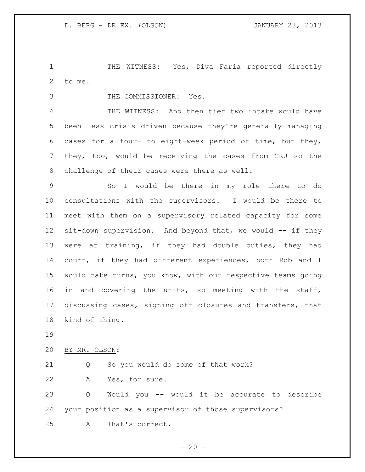THE WITNESS: Yes, Diva Faria reported directly to me.

THE COMMISSIONER: Yes.

 THE WITNESS: And then tier two intake would have been less crisis driven because they're generally managing cases for a four- to eight-week period of time, but they, they, too, would be receiving the cases from CRU so the challenge of their cases were there as well.

 So I would be there in my role there to do consultations with the supervisors. I would be there to meet with them on a supervisory related capacity for some 12 sit-down supervision. And beyond that, we would -- if they were at training, if they had double duties, they had court, if they had different experiences, both Rob and I would take turns, you know, with our respective teams going in and covering the units, so meeting with the staff, discussing cases, signing off closures and transfers, that kind of thing.

BY MR. OLSON:

 Q So you would do some of that work? A Yes, for sure.

 Q Would you -- would it be accurate to describe your position as a supervisor of those supervisors? A That's correct.

 $-20 -$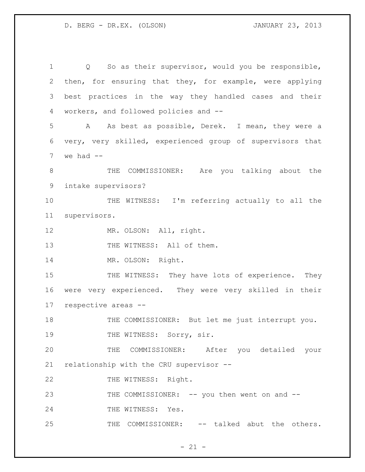1 Q So as their supervisor, would you be responsible, 2 then, for ensuring that they, for example, were applying 3 best practices in the way they handled cases and their 4 workers, and followed policies and -- 5 A As best as possible, Derek. I mean, they were a 6 very, very skilled, experienced group of supervisors that  $7$  we had  $-$ 8 THE COMMISSIONER: Are you talking about the 9 intake supervisors? 10 THE WITNESS: I'm referring actually to all the 11 supervisors. 12 MR. OLSON: All, right. 13 THE WITNESS: All of them. 14 MR. OLSON: Right. 15 THE WITNESS: They have lots of experience. They 16 were very experienced. They were very skilled in their 17 respective areas -- 18 THE COMMISSIONER: But let me just interrupt you. 19 THE WITNESS: Sorry, sir. 20 THE COMMISSIONER: After you detailed your 21 relationship with the CRU supervisor -- 22 THE WITNESS: Right. 23 THE COMMISSIONER: -- you then went on and --24 THE WITNESS: Yes. 25 THE COMMISSIONER: -- talked abut the others.

 $- 21 -$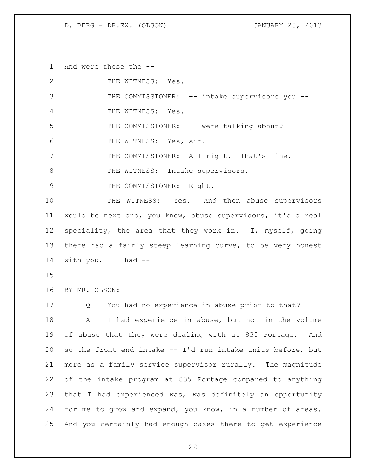And were those the --

| $\overline{2}$ | THE WITNESS: Yes.                                           |
|----------------|-------------------------------------------------------------|
| 3              | THE COMMISSIONER: -- intake supervisors you --              |
| 4              | THE WITNESS: Yes.                                           |
| 5              | THE COMMISSIONER: -- were talking about?                    |
| 6              | THE WITNESS: Yes, sir.                                      |
| 7              | THE COMMISSIONER: All right. That's fine.                   |
| 8              | THE WITNESS: Intake supervisors.                            |
| $\mathsf 9$    | THE COMMISSIONER: Right.                                    |
| 10             | THE WITNESS: Yes. And then abuse supervisors                |
| 11             | would be next and, you know, abuse supervisors, it's a real |
| 12             | speciality, the area that they work in. I, myself, going    |
| 13             | there had a fairly steep learning curve, to be very honest  |
| 14             | with you. I had --                                          |
|                |                                                             |
| 15             |                                                             |
|                | BY MR. OLSON:                                               |
| 16<br>17       | You had no experience in abuse prior to that?<br>Q          |
| 18             | I had experience in abuse, but not in the volume<br>A       |
| 19             | of abuse that they were dealing with at 835 Portage.<br>And |
| 20             | so the front end intake -- I'd run intake units before, but |
| 21             | more as a family service supervisor rurally. The magnitude  |
| 22             | of the intake program at 835 Portage compared to anything   |
| 23             | that I had experienced was, was definitely an opportunity   |
| 24             | for me to grow and expand, you know, in a number of areas.  |

- 22 -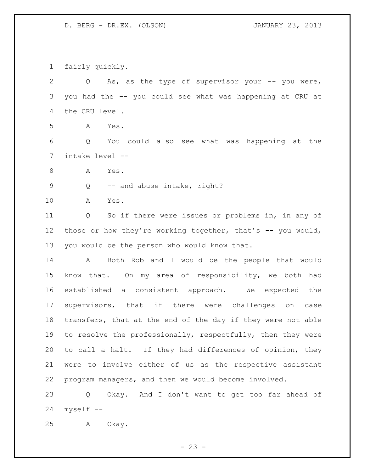fairly quickly.

 Q As, as the type of supervisor your -- you were, you had the -- you could see what was happening at CRU at the CRU level. A Yes. Q You could also see what was happening at the intake level -- 8 A Yes. 9 Q -- and abuse intake, right? A Yes. Q So if there were issues or problems in, in any of 12 those or how they're working together, that's -- you would, you would be the person who would know that. A Both Rob and I would be the people that would know that. On my area of responsibility, we both had established a consistent approach. We expected the supervisors, that if there were challenges on case transfers, that at the end of the day if they were not able 19 to resolve the professionally, respectfully, then they were to call a halt. If they had differences of opinion, they were to involve either of us as the respective assistant program managers, and then we would become involved. Q Okay. And I don't want to get too far ahead of

myself --

A Okay.

 $- 23 -$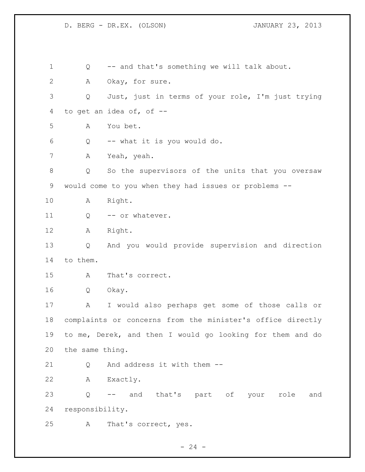Q -- and that's something we will talk about. A Okay, for sure. Q Just, just in terms of your role, I'm just trying to get an idea of, of -- A You bet. Q -- what it is you would do. A Yeah, yeah. Q So the supervisors of the units that you oversaw would come to you when they had issues or problems -- A Right. 11 Q -- or whatever. A Right. Q And you would provide supervision and direction to them. A That's correct. Q Okay. A I would also perhaps get some of those calls or complaints or concerns from the minister's office directly to me, Derek, and then I would go looking for them and do the same thing. 21 0 And address it with them -- A Exactly. Q -- and that's part of your role and responsibility. A That's correct, yes.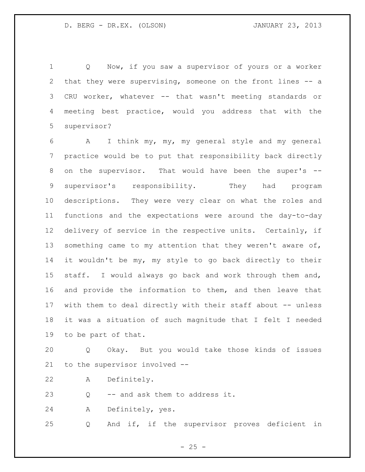Q Now, if you saw a supervisor of yours or a worker that they were supervising, someone on the front lines -- a CRU worker, whatever -- that wasn't meeting standards or meeting best practice, would you address that with the supervisor?

 A I think my, my, my general style and my general practice would be to put that responsibility back directly on the supervisor. That would have been the super's -- supervisor's responsibility. They had program descriptions. They were very clear on what the roles and functions and the expectations were around the day-to-day delivery of service in the respective units. Certainly, if 13 something came to my attention that they weren't aware of, it wouldn't be my, my style to go back directly to their staff. I would always go back and work through them and, and provide the information to them, and then leave that 17 with them to deal directly with their staff about -- unless it was a situation of such magnitude that I felt I needed to be part of that.

 Q Okay. But you would take those kinds of issues to the supervisor involved --

A Definitely.

Q -- and ask them to address it.

A Definitely, yes.

Q And if, if the supervisor proves deficient in

 $- 25 -$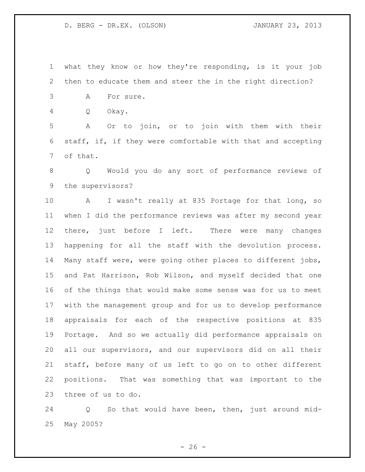what they know or how they're responding, is it your job then to educate them and steer the in the right direction?

- A For sure.
- Q Okay.

 A Or to join, or to join with them with their staff, if, if they were comfortable with that and accepting of that.

 Q Would you do any sort of performance reviews of the supervisors?

 A I wasn't really at 835 Portage for that long, so when I did the performance reviews was after my second year there, just before I left. There were many changes happening for all the staff with the devolution process. Many staff were, were going other places to different jobs, and Pat Harrison, Rob Wilson, and myself decided that one of the things that would make some sense was for us to meet with the management group and for us to develop performance appraisals for each of the respective positions at 835 Portage. And so we actually did performance appraisals on all our supervisors, and our supervisors did on all their staff, before many of us left to go on to other different positions. That was something that was important to the three of us to do.

 Q So that would have been, then, just around mid-May 2005?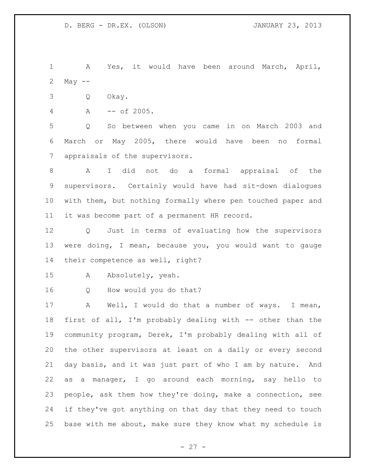A Yes, it would have been around March, April, May --

- Q Okay.
- A -- of 2005.

 Q So between when you came in on March 2003 and March or May 2005, there would have been no formal appraisals of the supervisors.

 A I did not do a formal appraisal of the supervisors. Certainly would have had sit-down dialogues with them, but nothing formally where pen touched paper and it was become part of a permanent HR record.

 Q Just in terms of evaluating how the supervisors were doing, I mean, because you, you would want to gauge their competence as well, right?

A Absolutely, yeah.

Q How would you do that?

 A Well, I would do that a number of ways. I mean, first of all, I'm probably dealing with -- other than the community program, Derek, I'm probably dealing with all of the other supervisors at least on a daily or every second day basis, and it was just part of who I am by nature. And as a manager, I go around each morning, say hello to people, ask them how they're doing, make a connection, see if they've got anything on that day that they need to touch base with me about, make sure they know what my schedule is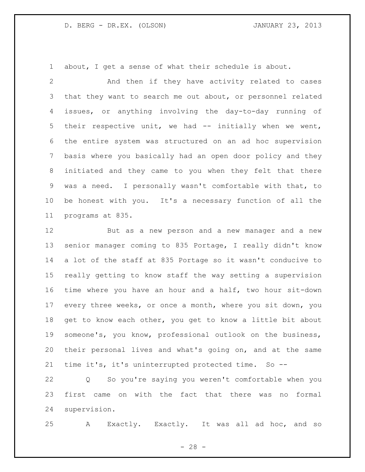about, I get a sense of what their schedule is about.

 And then if they have activity related to cases that they want to search me out about, or personnel related issues, or anything involving the day-to-day running of their respective unit, we had -- initially when we went, the entire system was structured on an ad hoc supervision basis where you basically had an open door policy and they initiated and they came to you when they felt that there was a need. I personally wasn't comfortable with that, to be honest with you. It's a necessary function of all the programs at 835.

 But as a new person and a new manager and a new senior manager coming to 835 Portage, I really didn't know a lot of the staff at 835 Portage so it wasn't conducive to really getting to know staff the way setting a supervision time where you have an hour and a half, two hour sit-down every three weeks, or once a month, where you sit down, you get to know each other, you get to know a little bit about someone's, you know, professional outlook on the business, their personal lives and what's going on, and at the same time it's, it's uninterrupted protected time. So --

 Q So you're saying you weren't comfortable when you first came on with the fact that there was no formal supervision.

A Exactly. Exactly. It was all ad hoc, and so

 $- 28 -$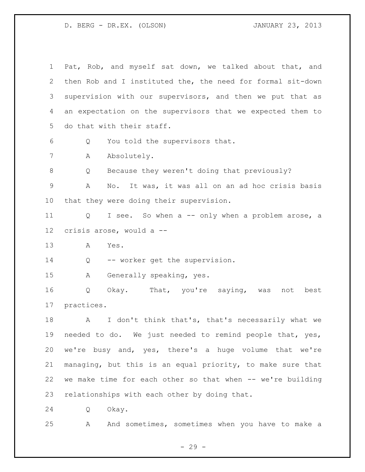Pat, Rob, and myself sat down, we talked about that, and then Rob and I instituted the, the need for formal sit-down supervision with our supervisors, and then we put that as an expectation on the supervisors that we expected them to do that with their staff. Q You told the supervisors that. 7 A Absolutely. Q Because they weren't doing that previously? A No. It was, it was all on an ad hoc crisis basis that they were doing their supervision. Q I see. So when a -- only when a problem arose, a crisis arose, would a -- A Yes. 14 Q -- worker get the supervision. A Generally speaking, yes. Q Okay. That, you're saying, was not best practices. 18 A I don't think that's, that's necessarily what we needed to do. We just needed to remind people that, yes, we're busy and, yes, there's a huge volume that we're managing, but this is an equal priority, to make sure that we make time for each other so that when -- we're building relationships with each other by doing that. Q Okay.

A And sometimes, sometimes when you have to make a

- 29 -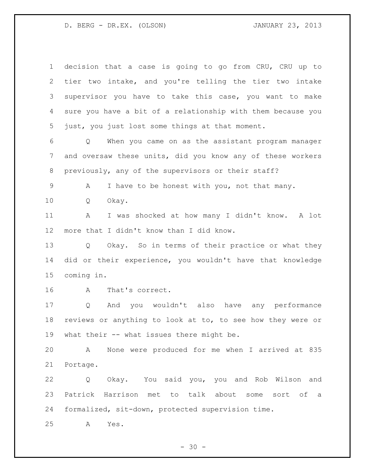decision that a case is going to go from CRU, CRU up to tier two intake, and you're telling the tier two intake supervisor you have to take this case, you want to make sure you have a bit of a relationship with them because you just, you just lost some things at that moment. Q When you came on as the assistant program manager and oversaw these units, did you know any of these workers previously, any of the supervisors or their staff? A I have to be honest with you, not that many. Q Okay. A I was shocked at how many I didn't know. A lot more that I didn't know than I did know. Q Okay. So in terms of their practice or what they did or their experience, you wouldn't have that knowledge coming in. A That's correct. Q And you wouldn't also have any performance reviews or anything to look at to, to see how they were or what their -- what issues there might be. A None were produced for me when I arrived at 835 Portage. Q Okay. You said you, you and Rob Wilson and Patrick Harrison met to talk about some sort of a formalized, sit-down, protected supervision time.

A Yes.

 $- 30 -$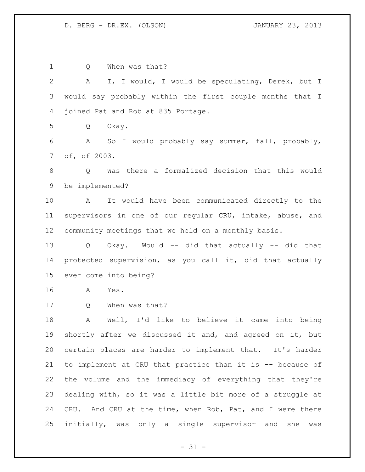| $\mathbf 1$  | When was that?<br>Q                                             |
|--------------|-----------------------------------------------------------------|
| $\mathbf{2}$ | I, I would, I would be speculating, Derek, but I<br>A           |
| 3            | would say probably within the first couple months that I        |
| 4            | joined Pat and Rob at 835 Portage.                              |
| 5            | Q<br>Okay.                                                      |
| 6            | A So I would probably say summer, fall, probably,               |
| 7            | of, of 2003.                                                    |
| 8            | Was there a formalized decision that this would<br>Q            |
| $\mathsf 9$  | be implemented?                                                 |
| 10           | It would have been communicated directly to the<br>$\mathbf{A}$ |
| 11           | supervisors in one of our regular CRU, intake, abuse, and       |
| 12           | community meetings that we held on a monthly basis.             |
| 13           | Q Okay. Would -- did that actually -- did that                  |
| 14           | protected supervision, as you call it, did that actually        |
| 15           | ever come into being?                                           |
| 16           | A<br>Yes.                                                       |
| 17           | When was that?<br>Q                                             |
| 18           | Well, I'd like to believe it came<br>Α<br>into being            |
| 19           | shortly after we discussed it and, and agreed on it, but        |
| 20           | certain places are harder to implement that. It's harder        |
| 21           | to implement at CRU that practice than it is -- because of      |
| 22           | the volume and the immediacy of everything that they're         |
| 23           | dealing with, so it was a little bit more of a struggle at      |
| 24           | CRU. And CRU at the time, when Rob, Pat, and I were there       |
| 25           | initially, was only a single supervisor and she<br>was          |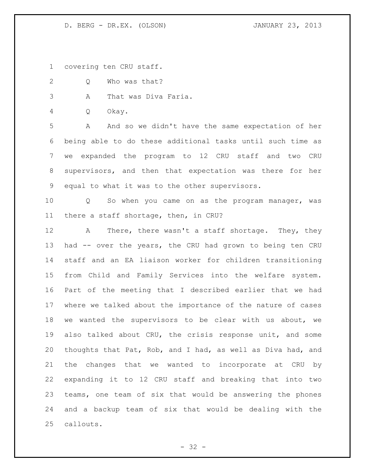covering ten CRU staff.

Q Who was that?

A That was Diva Faria.

Q Okay.

 A And so we didn't have the same expectation of her being able to do these additional tasks until such time as we expanded the program to 12 CRU staff and two CRU supervisors, and then that expectation was there for her equal to what it was to the other supervisors.

 Q So when you came on as the program manager, was there a staff shortage, then, in CRU?

12 A There, there wasn't a staff shortage. They, they had -- over the years, the CRU had grown to being ten CRU staff and an EA liaison worker for children transitioning from Child and Family Services into the welfare system. Part of the meeting that I described earlier that we had where we talked about the importance of the nature of cases we wanted the supervisors to be clear with us about, we also talked about CRU, the crisis response unit, and some thoughts that Pat, Rob, and I had, as well as Diva had, and the changes that we wanted to incorporate at CRU by expanding it to 12 CRU staff and breaking that into two teams, one team of six that would be answering the phones and a backup team of six that would be dealing with the callouts.

 $- 32 -$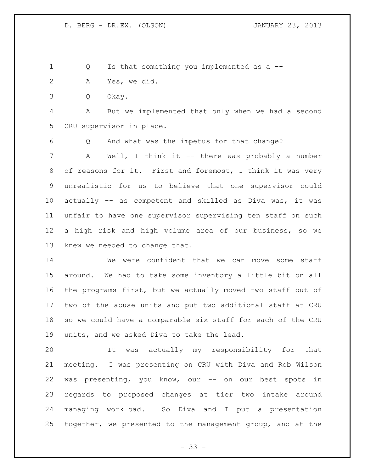Q Is that something you implemented as a --

- A Yes, we did.
- Q Okay.

 A But we implemented that only when we had a second CRU supervisor in place.

 Q And what was the impetus for that change? A Well, I think it -- there was probably a number of reasons for it. First and foremost, I think it was very unrealistic for us to believe that one supervisor could actually -- as competent and skilled as Diva was, it was unfair to have one supervisor supervising ten staff on such a high risk and high volume area of our business, so we knew we needed to change that.

 We were confident that we can move some staff around. We had to take some inventory a little bit on all the programs first, but we actually moved two staff out of two of the abuse units and put two additional staff at CRU so we could have a comparable six staff for each of the CRU units, and we asked Diva to take the lead.

 It was actually my responsibility for that meeting. I was presenting on CRU with Diva and Rob Wilson was presenting, you know, our -- on our best spots in regards to proposed changes at tier two intake around managing workload. So Diva and I put a presentation together, we presented to the management group, and at the

 $- 33 -$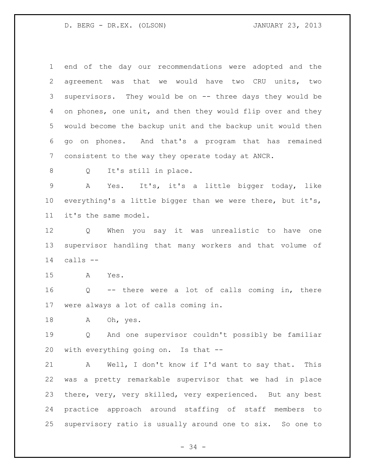end of the day our recommendations were adopted and the agreement was that we would have two CRU units, two supervisors. They would be on -- three days they would be 4 on phones, one unit, and then they would flip over and they would become the backup unit and the backup unit would then go on phones. And that's a program that has remained consistent to the way they operate today at ANCR.

Q It's still in place.

 A Yes. It's, it's a little bigger today, like everything's a little bigger than we were there, but it's, it's the same model.

 Q When you say it was unrealistic to have one supervisor handling that many workers and that volume of calls --

A Yes.

 Q -- there were a lot of calls coming in, there were always a lot of calls coming in.

18 A Oh, yes.

 Q And one supervisor couldn't possibly be familiar with everything going on. Is that --

 A Well, I don't know if I'd want to say that. This was a pretty remarkable supervisor that we had in place there, very, very skilled, very experienced. But any best practice approach around staffing of staff members to supervisory ratio is usually around one to six. So one to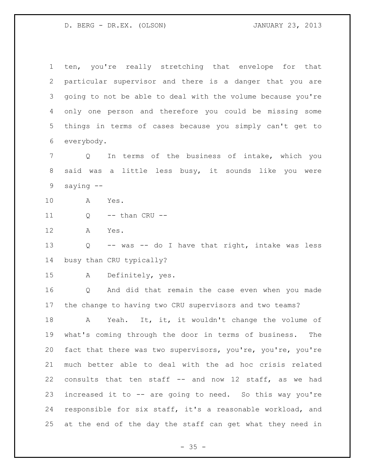ten, you're really stretching that envelope for that particular supervisor and there is a danger that you are going to not be able to deal with the volume because you're only one person and therefore you could be missing some things in terms of cases because you simply can't get to everybody.

 Q In terms of the business of intake, which you said was a little less busy, it sounds like you were saying --

- A Yes.
- 11 Q -- than CRU --
- A Yes.

 Q -- was -- do I have that right, intake was less busy than CRU typically?

A Definitely, yes.

 Q And did that remain the case even when you made the change to having two CRU supervisors and two teams?

18 A Yeah. It, it, it wouldn't change the volume of what's coming through the door in terms of business. The fact that there was two supervisors, you're, you're, you're much better able to deal with the ad hoc crisis related consults that ten staff -- and now 12 staff, as we had increased it to -- are going to need. So this way you're responsible for six staff, it's a reasonable workload, and at the end of the day the staff can get what they need in

 $- 35 -$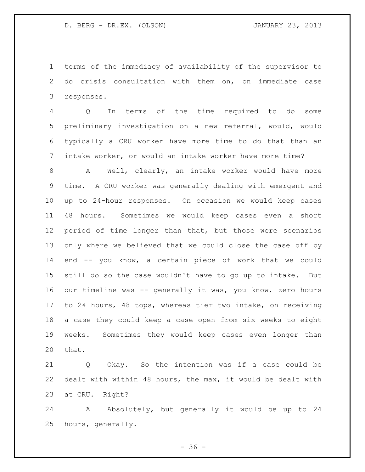terms of the immediacy of availability of the supervisor to do crisis consultation with them on, on immediate case responses.

 Q In terms of the time required to do some preliminary investigation on a new referral, would, would typically a CRU worker have more time to do that than an intake worker, or would an intake worker have more time?

 A Well, clearly, an intake worker would have more time. A CRU worker was generally dealing with emergent and up to 24-hour responses. On occasion we would keep cases 48 hours. Sometimes we would keep cases even a short period of time longer than that, but those were scenarios only where we believed that we could close the case off by end -- you know, a certain piece of work that we could still do so the case wouldn't have to go up to intake. But our timeline was -- generally it was, you know, zero hours to 24 hours, 48 tops, whereas tier two intake, on receiving a case they could keep a case open from six weeks to eight weeks. Sometimes they would keep cases even longer than that.

 Q Okay. So the intention was if a case could be dealt with within 48 hours, the max, it would be dealt with at CRU. Right?

24 A Absolutely, but generally it would be up to 24 hours, generally.

 $-36 -$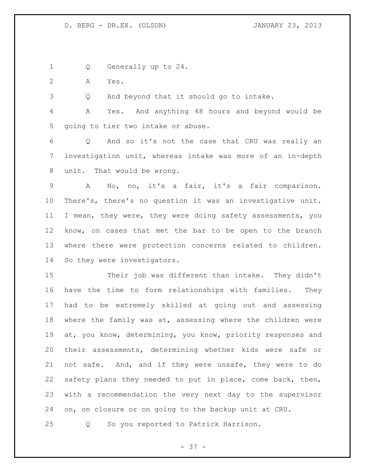Q Generally up to 24.

A Yes.

Q And beyond that it should go to intake.

 A Yes. And anything 48 hours and beyond would be going to tier two intake or abuse.

 Q And so it's not the case that CRU was really an investigation unit, whereas intake was more of an in-depth unit. That would be wrong.

 A No, no, it's a fair, it's a fair comparison. There's, there's no question it was an investigative unit. I mean, they were, they were doing safety assessments, you know, on cases that met the bar to be open to the branch where there were protection concerns related to children. So they were investigators.

 Their job was different than intake. They didn't have the time to form relationships with families. They had to be extremely skilled at going out and assessing where the family was at, assessing where the children were at, you know, determining, you know, priority responses and their assessments, determining whether kids were safe or not safe. And, and if they were unsafe, they were to do safety plans they needed to put in place, come back, then, with a recommendation the very next day to the supervisor on, on closure or on going to the backup unit at CRU.

Q So you reported to Patrick Harrison.

- 37 -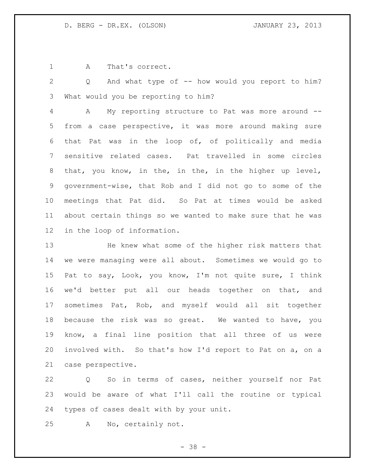A That's correct.

 Q And what type of -- how would you report to him? What would you be reporting to him?

 A My reporting structure to Pat was more around -- from a case perspective, it was more around making sure that Pat was in the loop of, of politically and media sensitive related cases. Pat travelled in some circles that, you know, in the, in the, in the higher up level, government-wise, that Rob and I did not go to some of the meetings that Pat did. So Pat at times would be asked about certain things so we wanted to make sure that he was in the loop of information.

 He knew what some of the higher risk matters that we were managing were all about. Sometimes we would go to Pat to say, Look, you know, I'm not quite sure, I think we'd better put all our heads together on that, and sometimes Pat, Rob, and myself would all sit together because the risk was so great. We wanted to have, you know, a final line position that all three of us were involved with. So that's how I'd report to Pat on a, on a case perspective.

 Q So in terms of cases, neither yourself nor Pat would be aware of what I'll call the routine or typical types of cases dealt with by your unit.

A No, certainly not.

- 38 -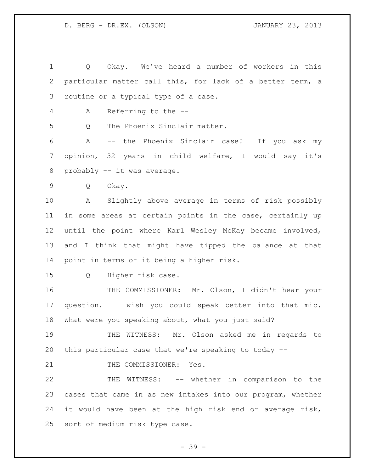Q Okay. We've heard a number of workers in this particular matter call this, for lack of a better term, a routine or a typical type of a case.

A Referring to the --

Q The Phoenix Sinclair matter.

 A -- the Phoenix Sinclair case? If you ask my opinion, 32 years in child welfare, I would say it's 8 probably -- it was average.

Q Okay.

 A Slightly above average in terms of risk possibly in some areas at certain points in the case, certainly up until the point where Karl Wesley McKay became involved, and I think that might have tipped the balance at that point in terms of it being a higher risk.

Q Higher risk case.

 THE COMMISSIONER: Mr. Olson, I didn't hear your question. I wish you could speak better into that mic. What were you speaking about, what you just said?

 THE WITNESS: Mr. Olson asked me in regards to this particular case that we're speaking to today --

21 THE COMMISSIONER: Yes.

 THE WITNESS: -- whether in comparison to the cases that came in as new intakes into our program, whether it would have been at the high risk end or average risk, sort of medium risk type case.

- 39 -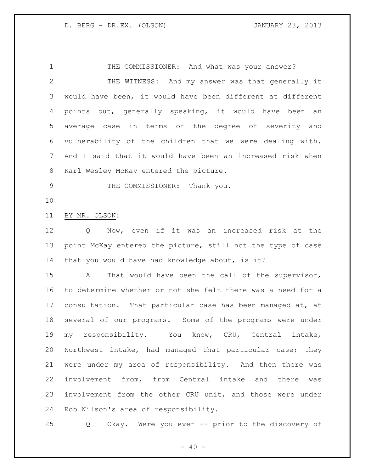1 THE COMMISSIONER: And what was your answer? THE WITNESS: And my answer was that generally it would have been, it would have been different at different points but, generally speaking, it would have been an average case in terms of the degree of severity and vulnerability of the children that we were dealing with. And I said that it would have been an increased risk when Karl Wesley McKay entered the picture.

9 THE COMMISSIONER: Thank you.

## BY MR. OLSON:

 Q Now, even if it was an increased risk at the point McKay entered the picture, still not the type of case that you would have had knowledge about, is it?

 A That would have been the call of the supervisor, to determine whether or not she felt there was a need for a consultation. That particular case has been managed at, at several of our programs. Some of the programs were under my responsibility. You know, CRU, Central intake, Northwest intake, had managed that particular case; they were under my area of responsibility. And then there was involvement from, from Central intake and there was involvement from the other CRU unit, and those were under Rob Wilson's area of responsibility.

Q Okay. Were you ever -- prior to the discovery of

 $- 40 -$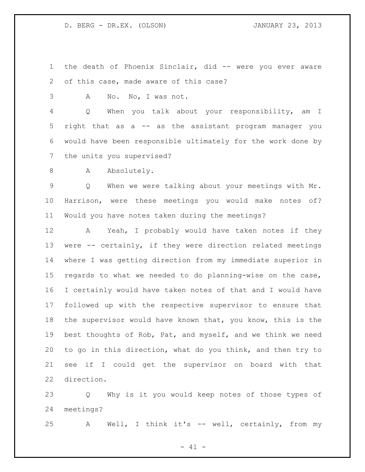the death of Phoenix Sinclair, did -- were you ever aware of this case, made aware of this case?

A No. No, I was not.

 Q When you talk about your responsibility, am I right that as a -- as the assistant program manager you would have been responsible ultimately for the work done by the units you supervised?

8 A Absolutely.

 Q When we were talking about your meetings with Mr. Harrison, were these meetings you would make notes of? Would you have notes taken during the meetings?

 A Yeah, I probably would have taken notes if they were -- certainly, if they were direction related meetings where I was getting direction from my immediate superior in regards to what we needed to do planning-wise on the case, I certainly would have taken notes of that and I would have followed up with the respective supervisor to ensure that the supervisor would have known that, you know, this is the best thoughts of Rob, Pat, and myself, and we think we need to go in this direction, what do you think, and then try to see if I could get the supervisor on board with that direction.

 Q Why is it you would keep notes of those types of meetings?

A Well, I think it's -- well, certainly, from my

 $- 41 -$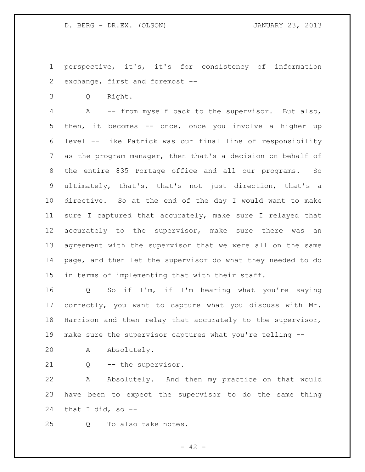perspective, it's, it's for consistency of information exchange, first and foremost --

Q Right.

 A -- from myself back to the supervisor. But also, then, it becomes -- once, once you involve a higher up level -- like Patrick was our final line of responsibility as the program manager, then that's a decision on behalf of the entire 835 Portage office and all our programs. So ultimately, that's, that's not just direction, that's a directive. So at the end of the day I would want to make sure I captured that accurately, make sure I relayed that accurately to the supervisor, make sure there was an agreement with the supervisor that we were all on the same page, and then let the supervisor do what they needed to do in terms of implementing that with their staff.

 Q So if I'm, if I'm hearing what you're saying correctly, you want to capture what you discuss with Mr. Harrison and then relay that accurately to the supervisor, make sure the supervisor captures what you're telling --

A Absolutely.

Q -- the supervisor.

 A Absolutely. And then my practice on that would have been to expect the supervisor to do the same thing 24 that I did, so  $-$ 

Q To also take notes.

 $- 42 -$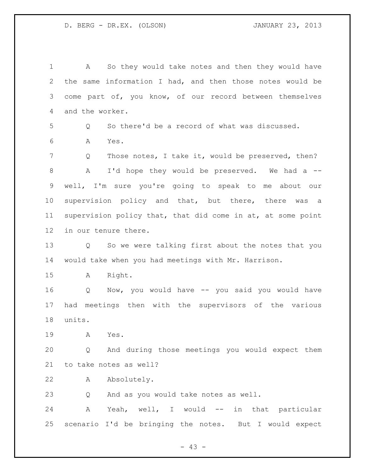A So they would take notes and then they would have the same information I had, and then those notes would be come part of, you know, of our record between themselves and the worker. Q So there'd be a record of what was discussed. A Yes. Q Those notes, I take it, would be preserved, then? 8 A I'd hope they would be preserved. We had a -- well, I'm sure you're going to speak to me about our supervision policy and that, but there, there was a supervision policy that, that did come in at, at some point in our tenure there. Q So we were talking first about the notes that you would take when you had meetings with Mr. Harrison. A Right. Q Now, you would have -- you said you would have had meetings then with the supervisors of the various units. A Yes. Q And during those meetings you would expect them to take notes as well? A Absolutely. Q And as you would take notes as well. 24 A Yeah, well, I would -- in that particular scenario I'd be bringing the notes. But I would expect

 $- 43 -$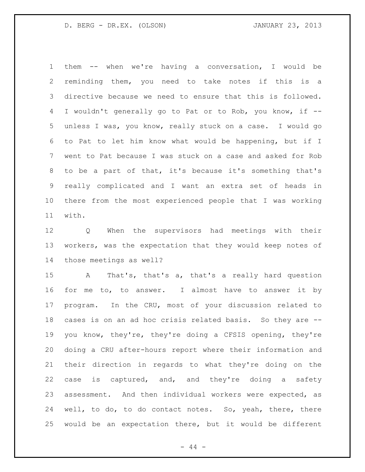them -- when we're having a conversation, I would be reminding them, you need to take notes if this is a directive because we need to ensure that this is followed. I wouldn't generally go to Pat or to Rob, you know, if -- unless I was, you know, really stuck on a case. I would go to Pat to let him know what would be happening, but if I went to Pat because I was stuck on a case and asked for Rob to be a part of that, it's because it's something that's really complicated and I want an extra set of heads in there from the most experienced people that I was working with.

 Q When the supervisors had meetings with their workers, was the expectation that they would keep notes of those meetings as well?

 A That's, that's a, that's a really hard question for me to, to answer. I almost have to answer it by program. In the CRU, most of your discussion related to cases is on an ad hoc crisis related basis. So they are -- you know, they're, they're doing a CFSIS opening, they're doing a CRU after-hours report where their information and their direction in regards to what they're doing on the case is captured, and, and they're doing a safety assessment. And then individual workers were expected, as well, to do, to do contact notes. So, yeah, there, there would be an expectation there, but it would be different

- 44 -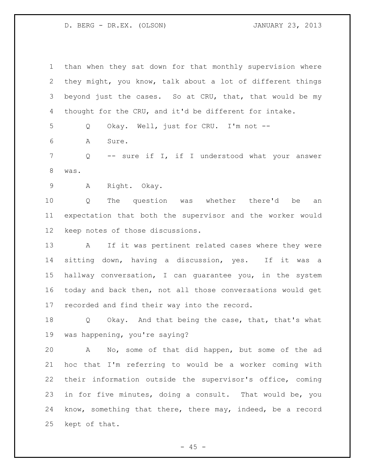than when they sat down for that monthly supervision where they might, you know, talk about a lot of different things 3 beyond just the cases. So at CRU, that, that would be my thought for the CRU, and it'd be different for intake. Q Okay. Well, just for CRU. I'm not -- A Sure. Q -- sure if I, if I understood what your answer was. A Right. Okay. Q The question was whether there'd be an expectation that both the supervisor and the worker would keep notes of those discussions. A If it was pertinent related cases where they were sitting down, having a discussion, yes. If it was a hallway conversation, I can guarantee you, in the system today and back then, not all those conversations would get recorded and find their way into the record. Q Okay. And that being the case, that, that's what was happening, you're saying? A No, some of that did happen, but some of the ad hoc that I'm referring to would be a worker coming with their information outside the supervisor's office, coming in for five minutes, doing a consult. That would be, you know, something that there, there may, indeed, be a record kept of that.

 $- 45 -$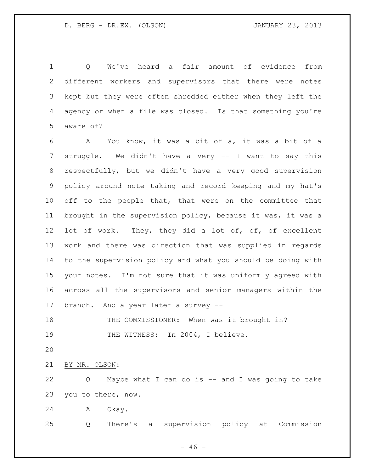Q We've heard a fair amount of evidence from different workers and supervisors that there were notes kept but they were often shredded either when they left the agency or when a file was closed. Is that something you're aware of?

 A You know, it was a bit of a, it was a bit of a struggle. We didn't have a very -- I want to say this respectfully, but we didn't have a very good supervision policy around note taking and record keeping and my hat's 10 off to the people that, that were on the committee that brought in the supervision policy, because it was, it was a 12 lot of work. They, they did a lot of, of, of excellent work and there was direction that was supplied in regards to the supervision policy and what you should be doing with your notes. I'm not sure that it was uniformly agreed with across all the supervisors and senior managers within the branch. And a year later a survey --

18 THE COMMISSIONER: When was it brought in? 19 THE WITNESS: In 2004, I believe.

BY MR. OLSON:

 Q Maybe what I can do is -- and I was going to take you to there, now.

A Okay.

Q There's a supervision policy at Commission

 $- 46 -$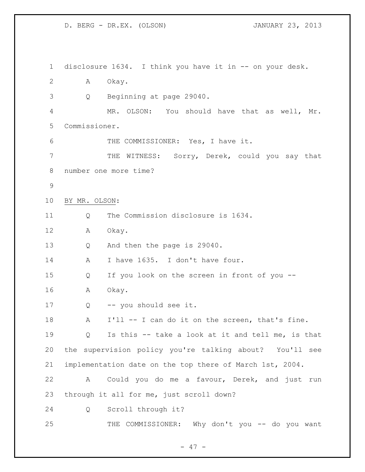disclosure 1634. I think you have it in -- on your desk. A Okay. Q Beginning at page 29040. MR. OLSON: You should have that as well, Mr. Commissioner. THE COMMISSIONER: Yes, I have it. THE WITNESS: Sorry, Derek, could you say that number one more time? BY MR. OLSON: 11 0 The Commission disclosure is 1634. A Okay. Q And then the page is 29040. 14 A I have 1635. I don't have four. Q If you look on the screen in front of you -- A Okay. Q -- you should see it. 18 A I'll -- I can do it on the screen, that's fine. Q Is this -- take a look at it and tell me, is that the supervision policy you're talking about? You'll see implementation date on the top there of March 1st, 2004. A Could you do me a favour, Derek, and just run through it all for me, just scroll down? Q Scroll through it? 25 THE COMMISSIONER: Why don't you -- do you want

- 47 -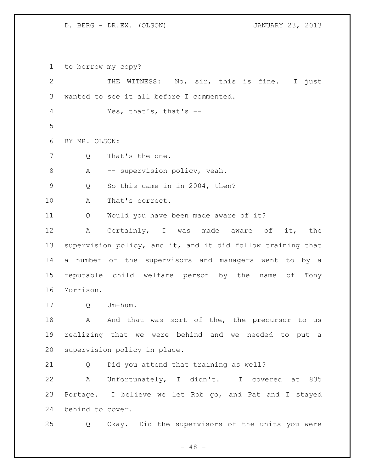to borrow my copy? THE WITNESS: No, sir, this is fine. I just wanted to see it all before I commented. Yes, that's, that's -- BY MR. OLSON: 7 Q That's the one. 8 A -- supervision policy, yeah. Q So this came in in 2004, then? A That's correct. Q Would you have been made aware of it? A Certainly, I was made aware of it, the supervision policy, and it, and it did follow training that a number of the supervisors and managers went to by a reputable child welfare person by the name of Tony Morrison. Q Um-hum. 18 A And that was sort of the, the precursor to us realizing that we were behind and we needed to put a supervision policy in place. Q Did you attend that training as well? A Unfortunately, I didn't. I covered at 835 Portage. I believe we let Rob go, and Pat and I stayed behind to cover. Q Okay. Did the supervisors of the units you were

 $- 48 -$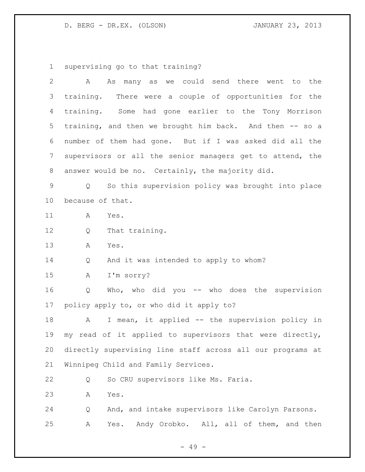supervising go to that training?

| $\overline{2}$ | As many as we could send there went to the<br>A             |
|----------------|-------------------------------------------------------------|
| 3              | training. There were a couple of opportunities for the      |
| $\overline{4}$ | training. Some had gone earlier to the Tony Morrison        |
| 5              | training, and then we brought him back. And then -- so a    |
| 6              | number of them had gone. But if I was asked did all the     |
| 7              | supervisors or all the senior managers get to attend, the   |
| 8              | answer would be no. Certainly, the majority did.            |
| $\mathsf 9$    | So this supervision policy was brought into place<br>Q      |
| 10             | because of that.                                            |
| 11             | А<br>Yes.                                                   |
| 12             | That training.<br>Q                                         |
| 13             | Yes.<br>А                                                   |
| 14             | And it was intended to apply to whom?<br>Q                  |
| 15             | I'm sorry?<br>Α                                             |
| 16             | Who, who did you $--$ who does the supervision<br>Q         |
| 17             | policy apply to, or who did it apply to?                    |
| 18             | I mean, it applied -- the supervision policy in<br>Α        |
| 19             | read of it applied to supervisors that were directly,<br>my |
| 20             | directly supervising line staff across all our programs at  |
| 21             | Winnipeg Child and Family Services.                         |
| 22             | So CRU supervisors like Ms. Faria.<br>Q                     |
| 23             | Yes.<br>Α                                                   |
| 24             | And, and intake supervisors like Carolyn Parsons.<br>Q      |
| 25             | Yes. Andy Orobko. All, all of them, and then<br>Α           |
|                | $49 -$                                                      |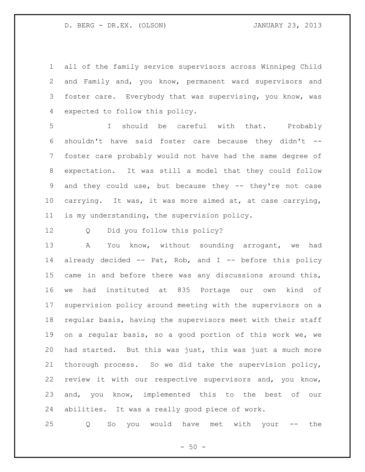all of the family service supervisors across Winnipeg Child and Family and, you know, permanent ward supervisors and 3 foster care. Everybody that was supervising, you know, was expected to follow this policy.

 I should be careful with that. Probably shouldn't have said foster care because they didn't -- foster care probably would not have had the same degree of expectation. It was still a model that they could follow and they could use, but because they -- they're not case carrying. It was, it was more aimed at, at case carrying, is my understanding, the supervision policy.

Q Did you follow this policy?

 A You know, without sounding arrogant, we had already decided -- Pat, Rob, and I -- before this policy came in and before there was any discussions around this, we had instituted at 835 Portage our own kind of supervision policy around meeting with the supervisors on a regular basis, having the supervisors meet with their staff on a regular basis, so a good portion of this work we, we had started. But this was just, this was just a much more thorough process. So we did take the supervision policy, review it with our respective supervisors and, you know, and, you know, implemented this to the best of our abilities. It was a really good piece of work.

Q So you would have met with your -- the

 $-50 -$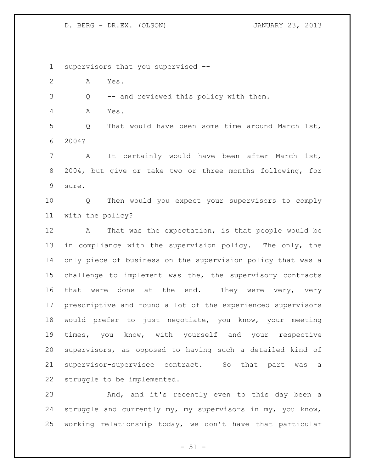supervisors that you supervised -- A Yes. Q -- and reviewed this policy with them. A Yes. Q That would have been some time around March 1st, 2004? A It certainly would have been after March 1st, 2004, but give or take two or three months following, for sure. Q Then would you expect your supervisors to comply with the policy? A That was the expectation, is that people would be in compliance with the supervision policy. The only, the only piece of business on the supervision policy that was a challenge to implement was the, the supervisory contracts 16 that were done at the end. They were very, very prescriptive and found a lot of the experienced supervisors would prefer to just negotiate, you know, your meeting times, you know, with yourself and your respective supervisors, as opposed to having such a detailed kind of supervisor-supervisee contract. So that part was a struggle to be implemented. And, and it's recently even to this day been a struggle and currently my, my supervisors in my, you know,

 $- 51 -$ 

working relationship today, we don't have that particular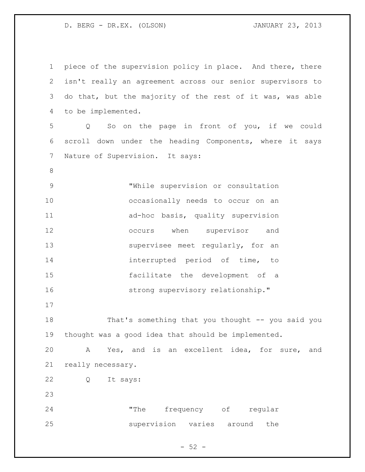| $\mathbf 1$     | piece of the supervision policy in place. And there, there       |
|-----------------|------------------------------------------------------------------|
| $\overline{2}$  | isn't really an agreement across our senior supervisors to       |
| 3               | do that, but the majority of the rest of it was, was able        |
| 4               | to be implemented.                                               |
| 5               | So on the page in front of you, if we could<br>$Q \qquad \qquad$ |
| 6               | scroll down under the heading Components, where it says          |
| $7\phantom{.0}$ | Nature of Supervision. It says:                                  |
| $\,8\,$         |                                                                  |
| $\mathsf 9$     | "While supervision or consultation                               |
| 10              | occasionally needs to occur on an                                |
| 11              | ad-hoc basis, quality supervision                                |
| 12              | occurs when supervisor and                                       |
| 13              | supervisee meet regularly, for an                                |
| 14              | interrupted period of time, to                                   |
| 15              | facilitate the development of a                                  |
| 16              | strong supervisory relationship."                                |
| 17              |                                                                  |
| 18              | That's something that you thought -- you said you                |
| 19              | thought was a good idea that should be implemented.              |
| 20              | Yes, and is an excellent idea, for sure, and<br>Α                |
| 21              | really necessary.                                                |
| 22              | Q<br>It says:                                                    |
| 23              |                                                                  |
| 24              | frequency of regular<br>"The                                     |
| 25              | supervision varies around<br>the                                 |
|                 |                                                                  |

- 52 -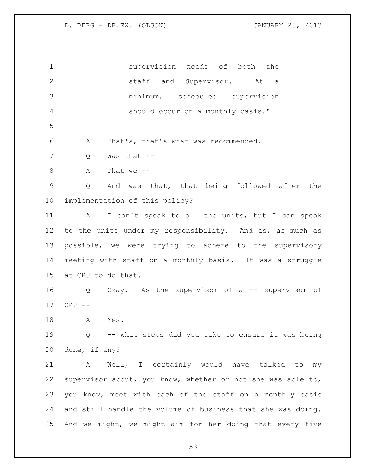supervision needs of both the staff and Supervisor. At a minimum, scheduled supervision should occur on a monthly basis." A That's, that's what was recommended. Q Was that -- A That we -- Q And was that, that being followed after the implementation of this policy? A I can't speak to all the units, but I can speak to the units under my responsibility. And as, as much as possible, we were trying to adhere to the supervisory meeting with staff on a monthly basis. It was a struggle at CRU to do that. Q Okay. As the supervisor of a -- supervisor of CRU -- A Yes. Q -- what steps did you take to ensure it was being done, if any? A Well, I certainly would have talked to my supervisor about, you know, whether or not she was able to, you know, meet with each of the staff on a monthly basis and still handle the volume of business that she was doing. And we might, we might aim for her doing that every five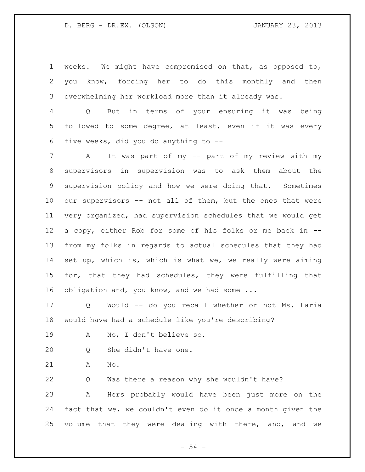weeks. We might have compromised on that, as opposed to, you know, forcing her to do this monthly and then overwhelming her workload more than it already was.

 Q But in terms of your ensuring it was being followed to some degree, at least, even if it was every five weeks, did you do anything to --

 A It was part of my -- part of my review with my supervisors in supervision was to ask them about the supervision policy and how we were doing that. Sometimes our supervisors -- not all of them, but the ones that were very organized, had supervision schedules that we would get a copy, either Rob for some of his folks or me back in -- from my folks in regards to actual schedules that they had set up, which is, which is what we, we really were aiming for, that they had schedules, they were fulfilling that 16 obligation and, you know, and we had some ...

 Q Would -- do you recall whether or not Ms. Faria would have had a schedule like you're describing?

- A No, I don't believe so.
- Q She didn't have one.
- A No.

Q Was there a reason why she wouldn't have?

 A Hers probably would have been just more on the fact that we, we couldn't even do it once a month given the volume that they were dealing with there, and, and we

 $-54 -$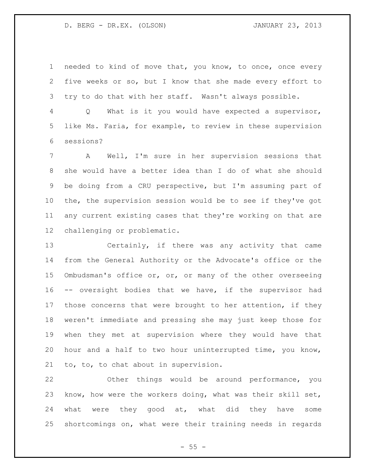needed to kind of move that, you know, to once, once every five weeks or so, but I know that she made every effort to try to do that with her staff. Wasn't always possible.

 Q What is it you would have expected a supervisor, like Ms. Faria, for example, to review in these supervision sessions?

 A Well, I'm sure in her supervision sessions that she would have a better idea than I do of what she should be doing from a CRU perspective, but I'm assuming part of the, the supervision session would be to see if they've got any current existing cases that they're working on that are challenging or problematic.

 Certainly, if there was any activity that came from the General Authority or the Advocate's office or the Ombudsman's office or, or, or many of the other overseeing -- oversight bodies that we have, if the supervisor had those concerns that were brought to her attention, if they weren't immediate and pressing she may just keep those for when they met at supervision where they would have that hour and a half to two hour uninterrupted time, you know, to, to, to chat about in supervision.

 Other things would be around performance, you know, how were the workers doing, what was their skill set, 24 what were they good at, what did they have some shortcomings on, what were their training needs in regards

 $- 55 -$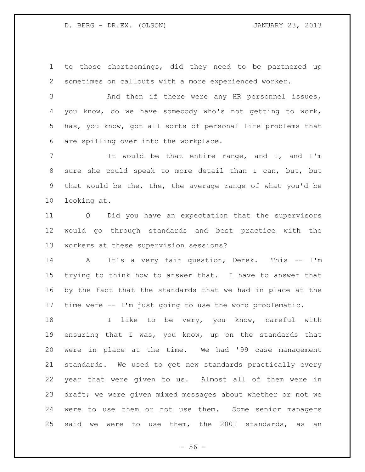to those shortcomings, did they need to be partnered up sometimes on callouts with a more experienced worker.

 And then if there were any HR personnel issues, you know, do we have somebody who's not getting to work, has, you know, got all sorts of personal life problems that are spilling over into the workplace.

 It would be that entire range, and I, and I'm sure she could speak to more detail than I can, but, but that would be the, the, the average range of what you'd be looking at.

 Q Did you have an expectation that the supervisors would go through standards and best practice with the workers at these supervision sessions?

 A It's a very fair question, Derek. This -- I'm trying to think how to answer that. I have to answer that by the fact that the standards that we had in place at the time were -- I'm just going to use the word problematic.

18 I like to be very, you know, careful with ensuring that I was, you know, up on the standards that were in place at the time. We had '99 case management standards. We used to get new standards practically every year that were given to us. Almost all of them were in draft; we were given mixed messages about whether or not we were to use them or not use them. Some senior managers said we were to use them, the 2001 standards, as an

 $-56 -$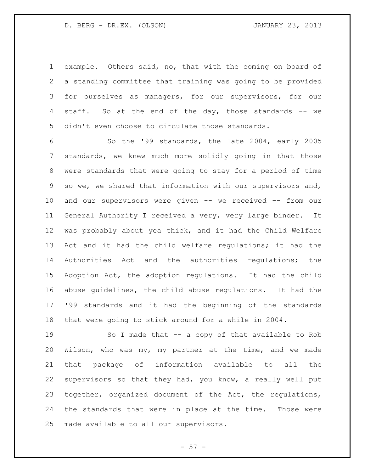example. Others said, no, that with the coming on board of a standing committee that training was going to be provided for ourselves as managers, for our supervisors, for our 4 staff. So at the end of the day, those standards -- we didn't even choose to circulate those standards.

 So the '99 standards, the late 2004, early 2005 standards, we knew much more solidly going in that those were standards that were going to stay for a period of time so we, we shared that information with our supervisors and, and our supervisors were given -- we received -- from our General Authority I received a very, very large binder. It was probably about yea thick, and it had the Child Welfare Act and it had the child welfare regulations; it had the Authorities Act and the authorities regulations; the Adoption Act, the adoption regulations. It had the child abuse guidelines, the child abuse regulations. It had the '99 standards and it had the beginning of the standards that were going to stick around for a while in 2004.

 So I made that -- a copy of that available to Rob Wilson, who was my, my partner at the time, and we made that package of information available to all the supervisors so that they had, you know, a really well put together, organized document of the Act, the regulations, the standards that were in place at the time. Those were made available to all our supervisors.

 $-57 -$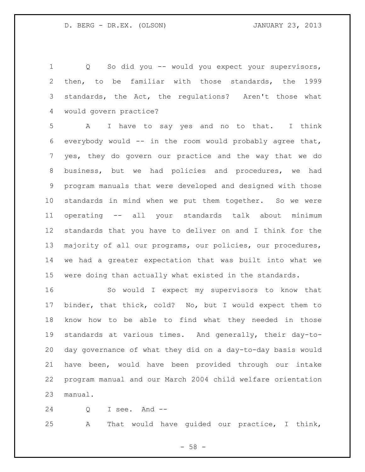Q So did you -- would you expect your supervisors, then, to be familiar with those standards, the 1999 standards, the Act, the regulations? Aren't those what would govern practice?

 A I have to say yes and no to that. I think everybody would -- in the room would probably agree that, yes, they do govern our practice and the way that we do business, but we had policies and procedures, we had program manuals that were developed and designed with those standards in mind when we put them together. So we were operating -- all your standards talk about minimum standards that you have to deliver on and I think for the majority of all our programs, our policies, our procedures, we had a greater expectation that was built into what we were doing than actually what existed in the standards.

 So would I expect my supervisors to know that binder, that thick, cold? No, but I would expect them to know how to be able to find what they needed in those standards at various times. And generally, their day-to- day governance of what they did on a day-to-day basis would have been, would have been provided through our intake program manual and our March 2004 child welfare orientation manual.

Q I see. And --

A That would have guided our practice, I think,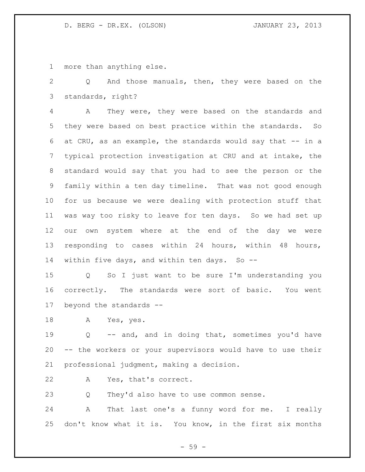more than anything else.

 Q And those manuals, then, they were based on the standards, right?

 A They were, they were based on the standards and they were based on best practice within the standards. So at CRU, as an example, the standards would say that -- in a typical protection investigation at CRU and at intake, the standard would say that you had to see the person or the family within a ten day timeline. That was not good enough for us because we were dealing with protection stuff that was way too risky to leave for ten days. So we had set up our own system where at the end of the day we were responding to cases within 24 hours, within 48 hours, 14 within five days, and within ten days. So --

 Q So I just want to be sure I'm understanding you correctly. The standards were sort of basic. You went beyond the standards --

A Yes, yes.

 Q -- and, and in doing that, sometimes you'd have -- the workers or your supervisors would have to use their professional judgment, making a decision.

A Yes, that's correct.

Q They'd also have to use common sense.

 A That last one's a funny word for me. I really don't know what it is. You know, in the first six months

- 59 -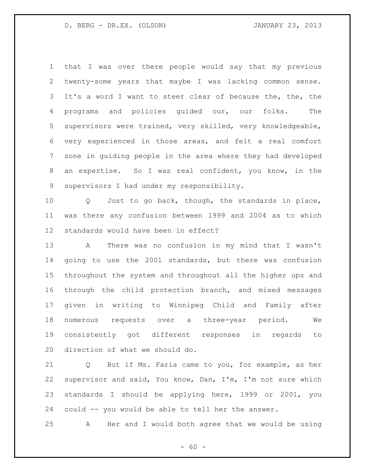that I was over there people would say that my previous twenty-some years that maybe I was lacking common sense. It's a word I want to steer clear of because the, the, the programs and policies guided our, our folks. The supervisors were trained, very skilled, very knowledgeable, very experienced in those areas, and felt a real comfort zone in guiding people in the area where they had developed an expertise. So I was real confident, you know, in the supervisors I had under my responsibility.

 Q Just to go back, though, the standards in place, was there any confusion between 1999 and 2004 as to which standards would have been in effect?

 A There was no confusion in my mind that I wasn't going to use the 2001 standards, but there was confusion throughout the system and throughout all the higher ups and through the child protection branch, and mixed messages given in writing to Winnipeg Child and Family after numerous requests over a three-year period. We consistently got different responses in regards to direction of what we should do.

 Q But if Ms. Faria came to you, for example, as her supervisor and said, You know, Dan, I'm, I'm not sure which standards I should be applying here, 1999 or 2001, you could -- you would be able to tell her the answer.

A Her and I would both agree that we would be using

 $- 60 -$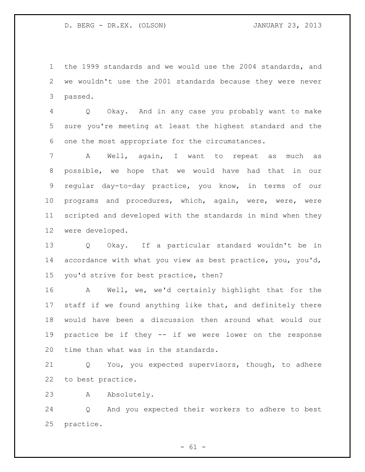the 1999 standards and we would use the 2004 standards, and we wouldn't use the 2001 standards because they were never passed.

 Q Okay. And in any case you probably want to make sure you're meeting at least the highest standard and the one the most appropriate for the circumstances.

 A Well, again, I want to repeat as much as possible, we hope that we would have had that in our regular day-to-day practice, you know, in terms of our programs and procedures, which, again, were, were, were scripted and developed with the standards in mind when they were developed.

 Q Okay. If a particular standard wouldn't be in accordance with what you view as best practice, you, you'd, you'd strive for best practice, then?

 A Well, we, we'd certainly highlight that for the staff if we found anything like that, and definitely there would have been a discussion then around what would our practice be if they -- if we were lower on the response time than what was in the standards.

 Q You, you expected supervisors, though, to adhere to best practice.

A Absolutely.

 Q And you expected their workers to adhere to best practice.

 $- 61 -$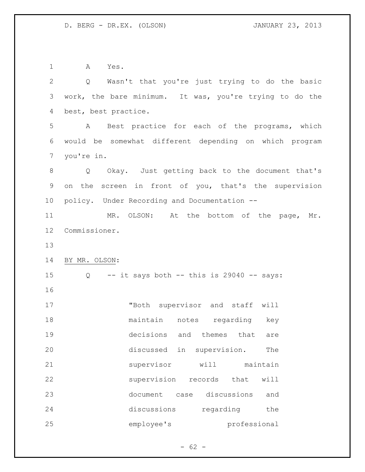A Yes.

| $\overline{2}$ | Q Wasn't that you're just trying to do the basic        |
|----------------|---------------------------------------------------------|
| 3              | work, the bare minimum. It was, you're trying to do the |
| $\overline{4}$ | best, best practice.                                    |
| 5              | A Best practice for each of the programs, which         |
| 6              | would be somewhat different depending on which program  |
| $7\phantom{.}$ | you're in.                                              |
| 8              | Q Okay. Just getting back to the document that's        |
| $\mathsf 9$    | on the screen in front of you, that's the supervision   |
| 10             | policy. Under Recording and Documentation --            |
| 11             | MR. OLSON: At the bottom of the page, Mr.               |
| 12             | Commissioner.                                           |
| 13             |                                                         |
| 14             | BY MR. OLSON:                                           |
| 15             | $Q$ -- it says both -- this is 29040 -- says:           |
| 16             |                                                         |
| 17             | "Both supervisor and staff will                         |
| 18             | maintain notes regarding key                            |
| 19             | decisions and themes that<br>are                        |
| 20             | discussed<br>in<br>supervision.<br>The                  |
| 21             | supervisor<br>will<br>maintain                          |
| 22             | supervision<br>records<br>that<br>will                  |
| 23             | document<br>discussions<br>case<br>and                  |
| 24             | discussions<br>regarding<br>the                         |
| 25             | employee's<br>professional                              |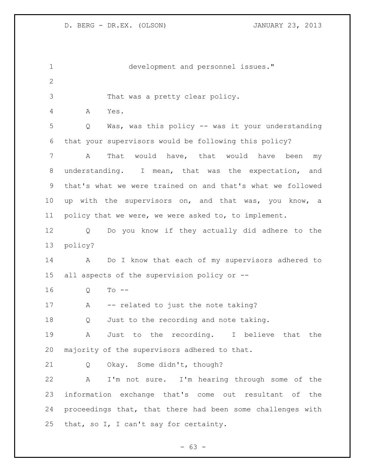| $\mathbf 1$  | development and personnel issues."                         |
|--------------|------------------------------------------------------------|
| $\mathbf{2}$ |                                                            |
| 3            | That was a pretty clear policy.                            |
| 4            | Α<br>Yes.                                                  |
| 5            | Was, was this policy -- was it your understanding<br>Q     |
| 6            | that your supervisors would be following this policy?      |
| 7            | would have, that would have<br>A<br>That<br>been<br>my     |
| 8            | understanding. I mean, that was the expectation, and       |
| 9            | that's what we were trained on and that's what we followed |
| 10           | up with the supervisors on, and that was, you know, a      |
| 11           | policy that we were, we were asked to, to implement.       |
| 12           | Do you know if they actually did adhere to the<br>Q        |
| 13           | policy?                                                    |
| 14           | Do I know that each of my supervisors adhered to<br>A      |
| 15           | all aspects of the supervision policy or --                |
| 16           | $To --$<br>Q                                               |
| 17           | -- related to just the note taking?<br>A                   |
| 18           | Just to the recording and note taking.<br>Q                |
| 19           | Just to the recording. I believe that the<br>A             |
| 20           | majority of the supervisors adhered to that.               |
| 21           | Okay. Some didn't, though?<br>Q                            |
| 22           | A<br>I'm not sure. I'm hearing through some of the         |
| 23           | information exchange that's come out resultant of the      |
| 24           | proceedings that, that there had been some challenges with |
| 25           | that, so I, I can't say for certainty.                     |

- 63 -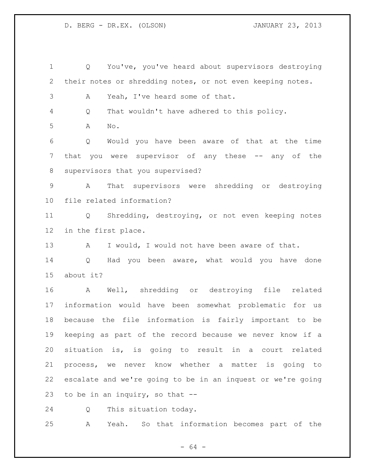Q You've, you've heard about supervisors destroying their notes or shredding notes, or not even keeping notes. A Yeah, I've heard some of that. Q That wouldn't have adhered to this policy. A No. Q Would you have been aware of that at the time that you were supervisor of any these -- any of the supervisors that you supervised? A That supervisors were shredding or destroying file related information? Q Shredding, destroying, or not even keeping notes in the first place. 13 A I would, I would not have been aware of that. Q Had you been aware, what would you have done about it? A Well, shredding or destroying file related information would have been somewhat problematic for us because the file information is fairly important to be keeping as part of the record because we never know if a situation is, is going to result in a court related process, we never know whether a matter is going to escalate and we're going to be in an inquest or we're going to be in an inquiry, so that -- Q This situation today.

A Yeah. So that information becomes part of the

- 64 -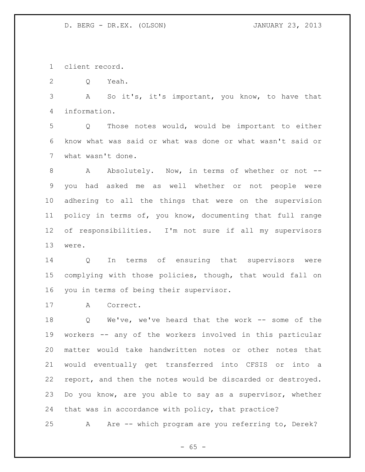client record.

Q Yeah.

 A So it's, it's important, you know, to have that information.

 Q Those notes would, would be important to either know what was said or what was done or what wasn't said or what wasn't done.

 A Absolutely. Now, in terms of whether or not -- you had asked me as well whether or not people were adhering to all the things that were on the supervision policy in terms of, you know, documenting that full range of responsibilities. I'm not sure if all my supervisors were.

 Q In terms of ensuring that supervisors were complying with those policies, though, that would fall on you in terms of being their supervisor.

A Correct.

 Q We've, we've heard that the work -- some of the workers -- any of the workers involved in this particular matter would take handwritten notes or other notes that would eventually get transferred into CFSIS or into a report, and then the notes would be discarded or destroyed. Do you know, are you able to say as a supervisor, whether that was in accordance with policy, that practice?

A Are -- which program are you referring to, Derek?

 $- 65 -$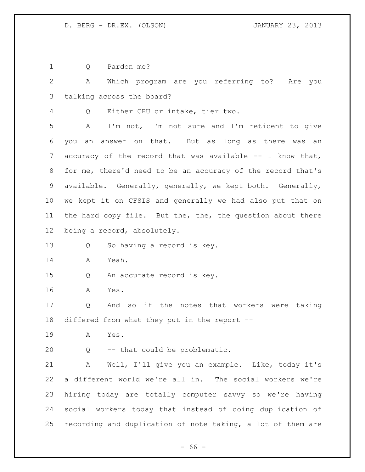Q Pardon me?

 A Which program are you referring to? Are you talking across the board?

Q Either CRU or intake, tier two.

 A I'm not, I'm not sure and I'm reticent to give you an answer on that. But as long as there was an accuracy of the record that was available -- I know that, for me, there'd need to be an accuracy of the record that's available. Generally, generally, we kept both. Generally, we kept it on CFSIS and generally we had also put that on 11 the hard copy file. But the, the, the question about there being a record, absolutely.

Q So having a record is key.

A Yeah.

Q An accurate record is key.

A Yes.

 Q And so if the notes that workers were taking differed from what they put in the report --

A Yes.

Q -- that could be problematic.

 A Well, I'll give you an example. Like, today it's a different world we're all in. The social workers we're hiring today are totally computer savvy so we're having social workers today that instead of doing duplication of recording and duplication of note taking, a lot of them are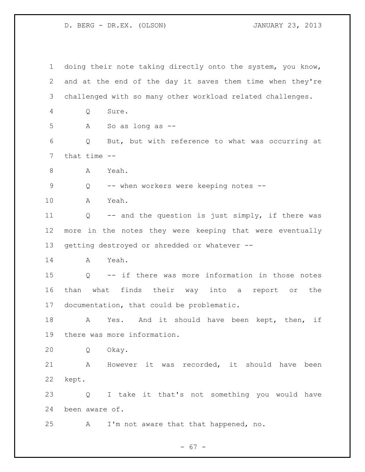doing their note taking directly onto the system, you know, and at the end of the day it saves them time when they're challenged with so many other workload related challenges. Q Sure. A So as long as -- Q But, but with reference to what was occurring at that time -- A Yeah. Q -- when workers were keeping notes -- A Yeah. Q -- and the question is just simply, if there was more in the notes they were keeping that were eventually getting destroyed or shredded or whatever -- A Yeah. Q -- if there was more information in those notes than what finds their way into a report or the documentation, that could be problematic. 18 A Yes. And it should have been kept, then, if there was more information. Q Okay. A However it was recorded, it should have been kept. Q I take it that's not something you would have been aware of. A I'm not aware that that happened, no.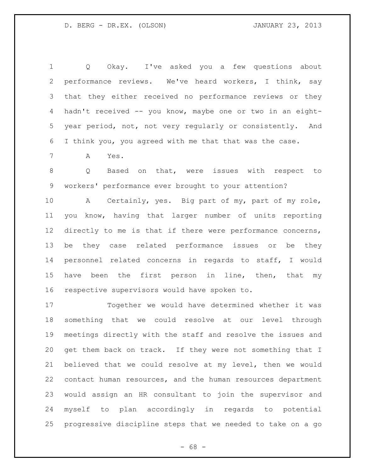Q Okay. I've asked you a few questions about performance reviews. We've heard workers, I think, say that they either received no performance reviews or they hadn't received -- you know, maybe one or two in an eight- year period, not, not very regularly or consistently. And I think you, you agreed with me that that was the case.

A Yes.

 Q Based on that, were issues with respect to workers' performance ever brought to your attention?

 A Certainly, yes. Big part of my, part of my role, you know, having that larger number of units reporting 12 directly to me is that if there were performance concerns, be they case related performance issues or be they personnel related concerns in regards to staff, I would 15 have been the first person in line, then, that my respective supervisors would have spoken to.

 Together we would have determined whether it was something that we could resolve at our level through meetings directly with the staff and resolve the issues and get them back on track. If they were not something that I believed that we could resolve at my level, then we would contact human resources, and the human resources department would assign an HR consultant to join the supervisor and myself to plan accordingly in regards to potential progressive discipline steps that we needed to take on a go

- 68 -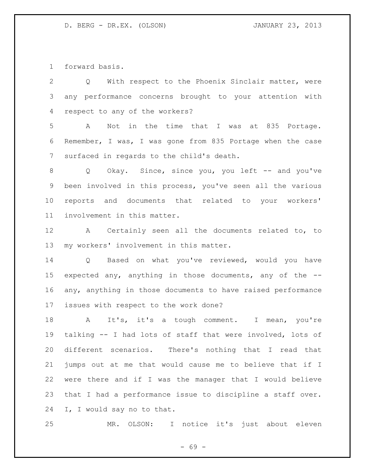forward basis.

| 2               | Q With respect to the Phoenix Sinclair matter, were         |
|-----------------|-------------------------------------------------------------|
| 3               | any performance concerns brought to your attention with     |
| 4               | respect to any of the workers?                              |
| 5               | Not in the time that I was at 835 Portage.<br>A             |
| 6               | Remember, I was, I was gone from 835 Portage when the case  |
| $7\phantom{.0}$ | surfaced in regards to the child's death.                   |
| 8               | Q Okay. Since, since you, you left -- and you've            |
| 9               | been involved in this process, you've seen all the various  |
| 10 <sub>o</sub> | reports and documents that related to your workers'         |
| 11 <sub>1</sub> | involvement in this matter.                                 |
| 12              | A Certainly seen all the documents related to, to           |
| 13              | my workers' involvement in this matter.                     |
| 14              | Q Based on what you've reviewed, would you have             |
| 15              | expected any, anything in those documents, any of the --    |
| 16              | any, anything in those documents to have raised performance |
| 17 <sub>2</sub> | issues with respect to the work done?                       |
| 18              | It's, it's a tough comment. I mean, you're<br>A             |
| 19              | talking -- I had lots of staff that were involved, lots of  |
| 20              | different scenarios. There's nothing that I read that       |
| 21              | jumps out at me that would cause me to believe that if I    |
| 22              | were there and if I was the manager that I would believe    |
| 23              | that I had a performance issue to discipline a staff over.  |
| 24              | I, I would say no to that.                                  |
|                 |                                                             |

MR. OLSON: I notice it's just about eleven

- 69 -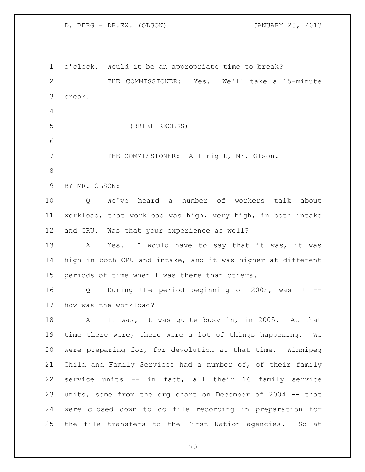o'clock. Would it be an appropriate time to break? THE COMMISSIONER: Yes. We'll take a 15-minute break. (BRIEF RECESS) THE COMMISSIONER: All right, Mr. Olson. BY MR. OLSON: Q We've heard a number of workers talk about workload, that workload was high, very high, in both intake and CRU. Was that your experience as well? 13 A Yes. I would have to say that it was, it was high in both CRU and intake, and it was higher at different periods of time when I was there than others. Q During the period beginning of 2005, was it -- how was the workload? 18 A It was, it was quite busy in, in 2005. At that time there were, there were a lot of things happening. We were preparing for, for devolution at that time. Winnipeg Child and Family Services had a number of, of their family service units -- in fact, all their 16 family service units, some from the org chart on December of 2004 -- that were closed down to do file recording in preparation for the file transfers to the First Nation agencies. So at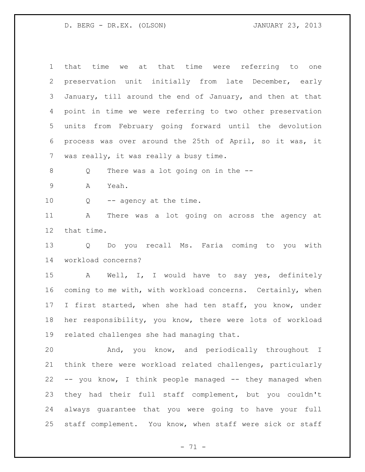| $\mathbf 1$     | that time we at that time were referring to one            |
|-----------------|------------------------------------------------------------|
| 2               | preservation unit initially from late December, early      |
| 3               | January, till around the end of January, and then at that  |
| 4               | point in time we were referring to two other preservation  |
| 5               | units from February going forward until the devolution     |
| 6               | process was over around the 25th of April, so it was, it   |
| $7\overline{ }$ | was really, it was really a busy time.                     |
| 8               | There was a lot going on in the --<br>Q                    |
| $\mathsf 9$     | Yeah.<br>Α                                                 |
| 10              | Q<br>-- agency at the time.                                |
| 11              | There was a lot going on across the agency at<br>A         |
| 12              | that time.                                                 |
| 13              | Do you recall Ms. Faria coming to you with<br>Q            |
| 14              | workload concerns?                                         |
| 15              | A Well, I, I would have to say yes, definitely             |
| 16              | coming to me with, with workload concerns. Certainly, when |
| 17 <sub>2</sub> | I first started, when she had ten staff, you know, under   |
| 18              | her responsibility, you know, there were lots of workload  |
| 19              | related challenges she had managing that.                  |
| 20              | And, you know, and periodically throughout I               |
| 21              | think there were workload related challenges, particularly |
| 22              | -- you know, I think people managed -- they managed when   |
| 23              | they had their full staff complement, but you couldn't     |
| 24              | always guarantee that you were going to have your full     |
| 25              | staff complement. You know, when staff were sick or staff  |

- 71 -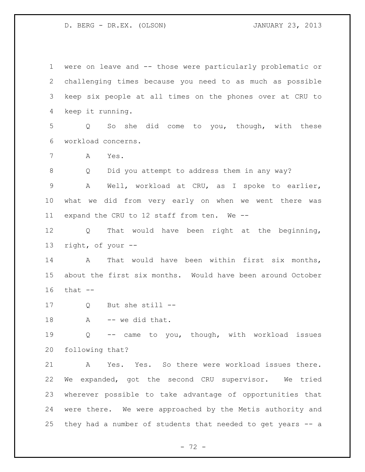were on leave and -- those were particularly problematic or challenging times because you need to as much as possible keep six people at all times on the phones over at CRU to keep it running. Q So she did come to you, though, with these workload concerns. A Yes. Q Did you attempt to address them in any way? A Well, workload at CRU, as I spoke to earlier, what we did from very early on when we went there was expand the CRU to 12 staff from ten. We -- Q That would have been right at the beginning, right, of your -- 14 A That would have been within first six months, about the first six months. Would have been around October that -- Q But she still -- 18 A -- we did that. Q -- came to you, though, with workload issues following that? A Yes. Yes. So there were workload issues there. We expanded, got the second CRU supervisor. We tried wherever possible to take advantage of opportunities that were there. We were approached by the Metis authority and they had a number of students that needed to get years -- a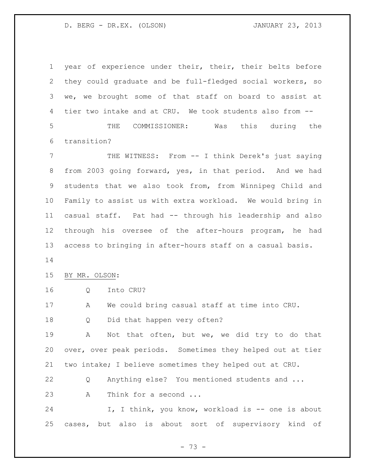year of experience under their, their, their belts before they could graduate and be full-fledged social workers, so we, we brought some of that staff on board to assist at tier two intake and at CRU. We took students also from -- THE COMMISSIONER: Was this during the transition? THE WITNESS: From -- I think Derek's just saying from 2003 going forward, yes, in that period. And we had students that we also took from, from Winnipeg Child and Family to assist us with extra workload. We would bring in casual staff. Pat had -- through his leadership and also through his oversee of the after-hours program, he had access to bringing in after-hours staff on a casual basis. BY MR. OLSON: Q Into CRU? A We could bring casual staff at time into CRU. Q Did that happen very often? A Not that often, but we, we did try to do that over, over peak periods. Sometimes they helped out at tier two intake; I believe sometimes they helped out at CRU. Q Anything else? You mentioned students and ... 23 A Think for a second ... 24 I, I think, you know, workload is -- one is about cases, but also is about sort of supervisory kind of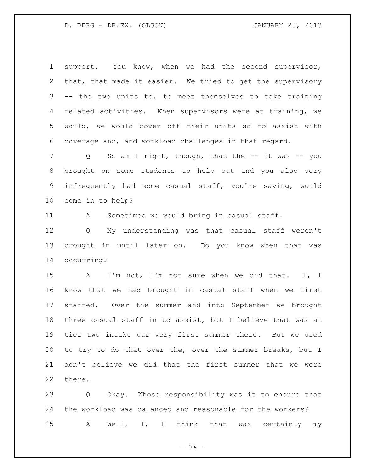support. You know, when we had the second supervisor, that, that made it easier. We tried to get the supervisory -- the two units to, to meet themselves to take training related activities. When supervisors were at training, we would, we would cover off their units so to assist with coverage and, and workload challenges in that regard.

7 Q So am I right, though, that the -- it was -- you brought on some students to help out and you also very infrequently had some casual staff, you're saying, would come in to help?

11 A Sometimes we would bring in casual staff.

 Q My understanding was that casual staff weren't brought in until later on. Do you know when that was occurring?

 A I'm not, I'm not sure when we did that. I, I know that we had brought in casual staff when we first started. Over the summer and into September we brought three casual staff in to assist, but I believe that was at tier two intake our very first summer there. But we used to try to do that over the, over the summer breaks, but I don't believe we did that the first summer that we were there.

 Q Okay. Whose responsibility was it to ensure that the workload was balanced and reasonable for the workers? A Well, I, I think that was certainly my

- 74 -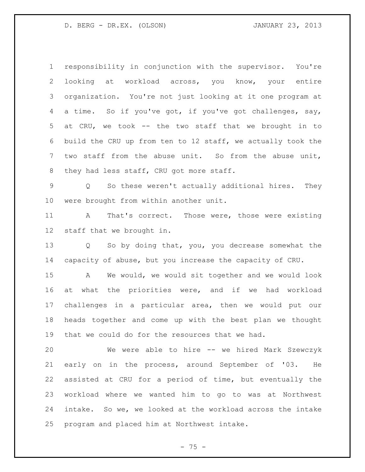responsibility in conjunction with the supervisor. You're looking at workload across, you know, your entire organization. You're not just looking at it one program at a time. So if you've got, if you've got challenges, say, at CRU, we took -- the two staff that we brought in to build the CRU up from ten to 12 staff, we actually took the two staff from the abuse unit. So from the abuse unit, 8 they had less staff, CRU got more staff.

 Q So these weren't actually additional hires. They were brought from within another unit.

 A That's correct. Those were, those were existing staff that we brought in.

 Q So by doing that, you, you decrease somewhat the capacity of abuse, but you increase the capacity of CRU.

 A We would, we would sit together and we would look at what the priorities were, and if we had workload challenges in a particular area, then we would put our heads together and come up with the best plan we thought that we could do for the resources that we had.

 We were able to hire -- we hired Mark Szewczyk early on in the process, around September of '03. He assisted at CRU for a period of time, but eventually the workload where we wanted him to go to was at Northwest intake. So we, we looked at the workload across the intake program and placed him at Northwest intake.

 $- 75 -$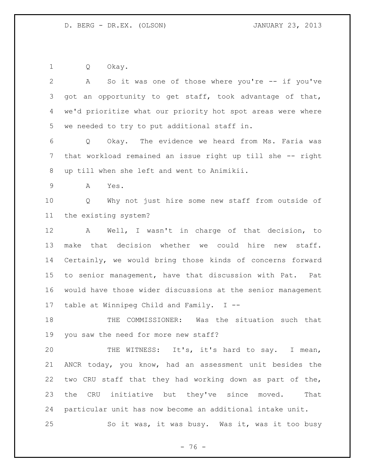Q Okay.

 A So it was one of those where you're -- if you've got an opportunity to get staff, took advantage of that, we'd prioritize what our priority hot spot areas were where we needed to try to put additional staff in. Q Okay. The evidence we heard from Ms. Faria was that workload remained an issue right up till she -- right up till when she left and went to Animikii. A Yes. Q Why not just hire some new staff from outside of the existing system? A Well, I wasn't in charge of that decision, to make that decision whether we could hire new staff. Certainly, we would bring those kinds of concerns forward to senior management, have that discussion with Pat. Pat would have those wider discussions at the senior management table at Winnipeg Child and Family. I -- THE COMMISSIONER: Was the situation such that you saw the need for more new staff? THE WITNESS: It's, it's hard to say. I mean, ANCR today, you know, had an assessment unit besides the two CRU staff that they had working down as part of the, the CRU initiative but they've since moved. That particular unit has now become an additional intake unit. So it was, it was busy. Was it, was it too busy

 $- 76 -$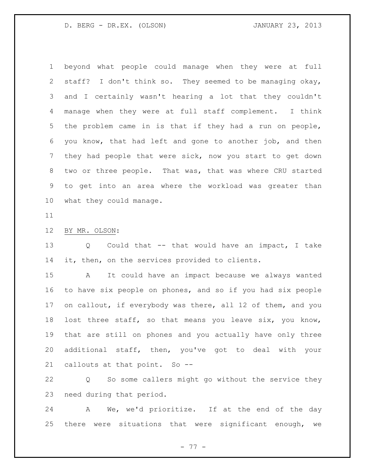beyond what people could manage when they were at full staff? I don't think so. They seemed to be managing okay, and I certainly wasn't hearing a lot that they couldn't manage when they were at full staff complement. I think the problem came in is that if they had a run on people, you know, that had left and gone to another job, and then they had people that were sick, now you start to get down two or three people. That was, that was where CRU started to get into an area where the workload was greater than what they could manage.

## BY MR. OLSON:

 Q Could that -- that would have an impact, I take 14 it, then, on the services provided to clients.

 A It could have an impact because we always wanted to have six people on phones, and so if you had six people 17 on callout, if everybody was there, all 12 of them, and you lost three staff, so that means you leave six, you know, that are still on phones and you actually have only three additional staff, then, you've got to deal with your callouts at that point. So --

 Q So some callers might go without the service they need during that period.

 A We, we'd prioritize. If at the end of the day there were situations that were significant enough, we

- 77 -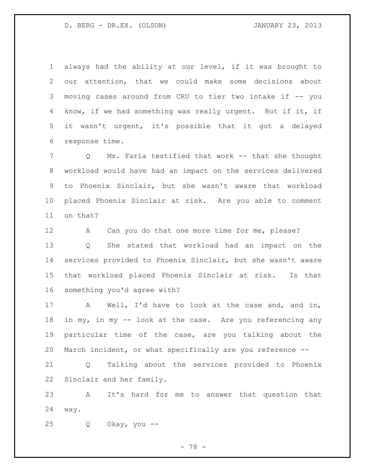always had the ability at our level, if it was brought to our attention, that we could make some decisions about moving cases around from CRU to tier two intake if -- you know, if we had something was really urgent. But if it, if it wasn't urgent, it's possible that it got a delayed response time.

 Q Ms. Faria testified that work -- that she thought workload would have had an impact on the services delivered to Phoenix Sinclair, but she wasn't aware that workload placed Phoenix Sinclair at risk. Are you able to comment on that?

12 A Can you do that one more time for me, please? Q She stated that workload had an impact on the services provided to Phoenix Sinclair, but she wasn't aware that workload placed Phoenix Sinclair at risk. Is that something you'd agree with?

 A Well, I'd have to look at the case and, and in, in my, in my -- look at the case. Are you referencing any particular time of the case, are you talking about the March incident, or what specifically are you reference --

 Q Talking about the services provided to Phoenix Sinclair and her family.

 A It's hard for me to answer that question that way.

Q Okay, you --

- 78 -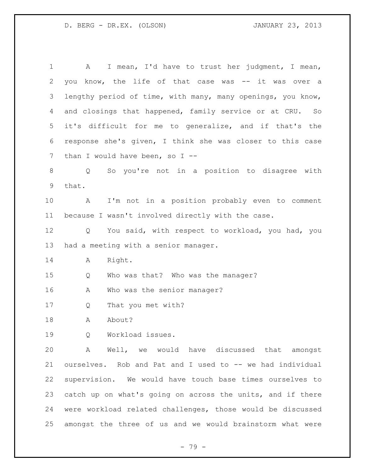A I mean, I'd have to trust her judgment, I mean, you know, the life of that case was -- it was over a lengthy period of time, with many, many openings, you know, and closings that happened, family service or at CRU. So it's difficult for me to generalize, and if that's the response she's given, I think she was closer to this case 7 than I would have been, so I -- Q So you're not in a position to disagree with that. A I'm not in a position probably even to comment because I wasn't involved directly with the case. Q You said, with respect to workload, you had, you had a meeting with a senior manager. A Right. Q Who was that? Who was the manager? 16 A Who was the senior manager? Q That you met with? 18 A About? Q Workload issues. A Well, we would have discussed that amongst ourselves. Rob and Pat and I used to -- we had individual supervision. We would have touch base times ourselves to catch up on what's going on across the units, and if there were workload related challenges, those would be discussed amongst the three of us and we would brainstorm what were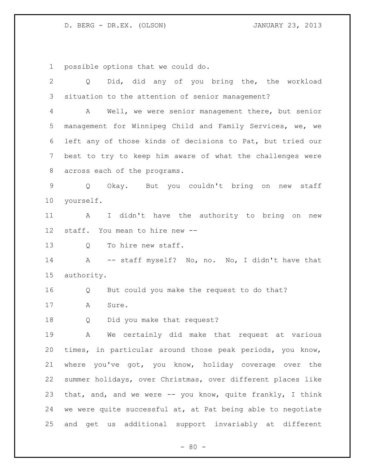possible options that we could do.

 Q Did, did any of you bring the, the workload situation to the attention of senior management? A Well, we were senior management there, but senior management for Winnipeg Child and Family Services, we, we left any of those kinds of decisions to Pat, but tried our best to try to keep him aware of what the challenges were across each of the programs. Q Okay. But you couldn't bring on new staff yourself. A I didn't have the authority to bring on new staff. You mean to hire new -- 13 O To hire new staff. A -- staff myself? No, no. No, I didn't have that authority. Q But could you make the request to do that? A Sure. Q Did you make that request? A We certainly did make that request at various times, in particular around those peak periods, you know, where you've got, you know, holiday coverage over the summer holidays, over Christmas, over different places like that, and, and we were -- you know, quite frankly, I think we were quite successful at, at Pat being able to negotiate and get us additional support invariably at different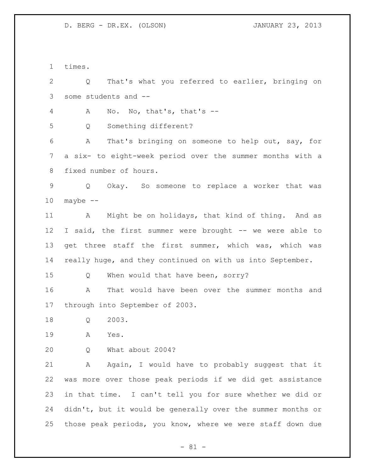times.

 Q That's what you referred to earlier, bringing on some students and --

A No. No, that's, that's --

Q Something different?

 A That's bringing on someone to help out, say, for a six- to eight-week period over the summer months with a fixed number of hours.

 Q Okay. So someone to replace a worker that was maybe  $-$ 

11 A Might be on holidays, that kind of thing. And as I said, the first summer were brought -- we were able to 13 get three staff the first summer, which was, which was really huge, and they continued on with us into September.

15 Q When would that have been, sorry?

 A That would have been over the summer months and through into September of 2003.

Q 2003.

A Yes.

Q What about 2004?

 A Again, I would have to probably suggest that it was more over those peak periods if we did get assistance in that time. I can't tell you for sure whether we did or didn't, but it would be generally over the summer months or those peak periods, you know, where we were staff down due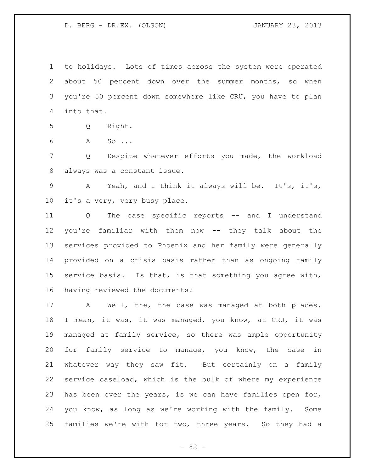to holidays. Lots of times across the system were operated about 50 percent down over the summer months, so when you're 50 percent down somewhere like CRU, you have to plan into that.

- Q Right.
- A So ...

 Q Despite whatever efforts you made, the workload always was a constant issue.

 A Yeah, and I think it always will be. It's, it's, it's a very, very busy place.

 Q The case specific reports -- and I understand you're familiar with them now -- they talk about the services provided to Phoenix and her family were generally provided on a crisis basis rather than as ongoing family service basis. Is that, is that something you agree with, having reviewed the documents?

17 A Well, the, the case was managed at both places. I mean, it was, it was managed, you know, at CRU, it was managed at family service, so there was ample opportunity for family service to manage, you know, the case in whatever way they saw fit. But certainly on a family service caseload, which is the bulk of where my experience has been over the years, is we can have families open for, you know, as long as we're working with the family. Some families we're with for two, three years. So they had a

- 82 -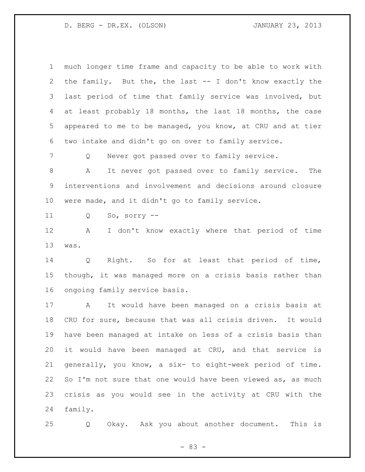| $\mathbf 1$    | much longer time frame and capacity to be able to work with |
|----------------|-------------------------------------------------------------|
| $\overline{2}$ | the family. But the, the last -- I don't know exactly the   |
| 3              | last period of time that family service was involved, but   |
| 4              | at least probably 18 months, the last 18 months, the case   |
| 5              | appeared to me to be managed, you know, at CRU and at tier  |
| 6              | two intake and didn't go on over to family service.         |
| 7              | Never got passed over to family service.<br>Q               |
| 8              | It never got passed over to family service. The<br>A        |
| $\mathsf 9$    | interventions and involvement and decisions around closure  |
| 10             | were made, and it didn't go to family service.              |
| 11             | So, sorry $--$<br>Q                                         |
| 12             | I don't know exactly where that period of time<br>A         |
| 13             | was.                                                        |
| 14             | Q Right. So for at least that period of time,               |
| 15             | though, it was managed more on a crisis basis rather than   |
| 16             | ongoing family service basis.                               |
| 17             | It would have been managed on a crisis basis at<br>A        |
| 18             | CRU for sure, because that was all crisis driven. It would  |
| 19             | have been managed at intake on less of a crisis basis than  |
| 20             | it would have been managed at CRU, and that service is      |
| 21             | generally, you know, a six- to eight-week period of time.   |
| 22             | So I'm not sure that one would have been viewed as, as much |
| 23             |                                                             |
|                | crisis as you would see in the activity at CRU with the     |

Q Okay. Ask you about another document. This is

- 83 -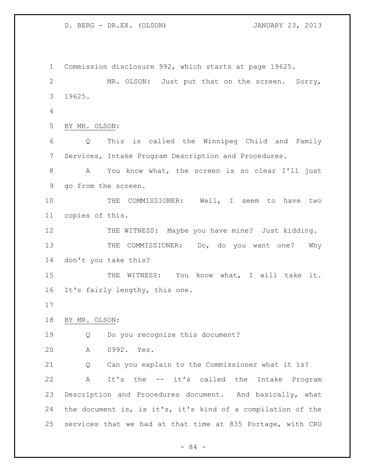Commission disclosure 992, which starts at page 19625. MR. OLSON: Just put that on the screen. Sorry, 19625. BY MR. OLSON: Q This is called the Winnipeg Child and Family Services, Intake Program Description and Procedures. A You know what, the screen is so clear I'll just go from the screen. THE COMMISSIONER: Well, I seem to have two copies of this. 12 THE WITNESS: Maybe you have mine? Just kidding. 13 THE COMMISSIONER: Do, do you want one? Why don't you take this? 15 THE WITNESS: You know what, I will take it. It's fairly lengthy, this one. BY MR. OLSON: Q Do you recognize this document? A 0992. Yes. Q Can you explain to the Commissioner what it is? A It's the -- it's called the Intake Program Description and Procedures document. And basically, what the document is, is it's, it's kind of a compilation of the services that we had at that time at 835 Portage, with CRU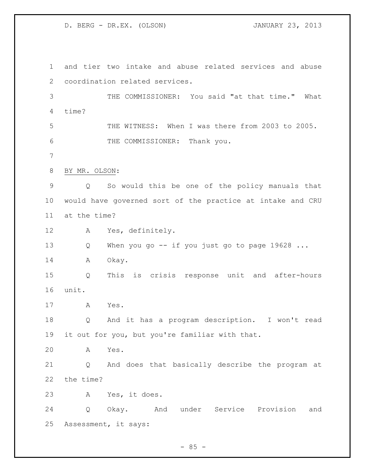and tier two intake and abuse related services and abuse coordination related services. THE COMMISSIONER: You said "at that time." What time? THE WITNESS: When I was there from 2003 to 2005. THE COMMISSIONER: Thank you. BY MR. OLSON: Q So would this be one of the policy manuals that would have governed sort of the practice at intake and CRU at the time? A Yes, definitely. 13 Q When you go -- if you just go to page 19628 ... 14 A Okay. Q This is crisis response unit and after-hours unit. A Yes. Q And it has a program description. I won't read it out for you, but you're familiar with that. A Yes. Q And does that basically describe the program at the time? A Yes, it does. Q Okay. And under Service Provision and Assessment, it says: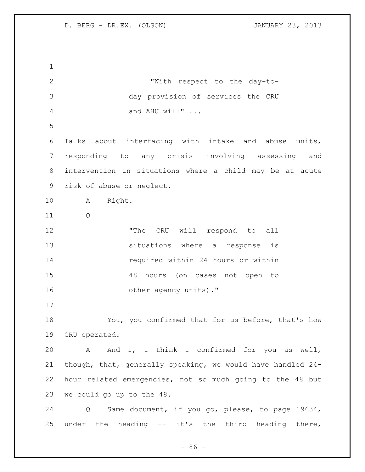"With respect to the day-to- day provision of services the CRU 4 and AHU will" ... Talks about interfacing with intake and abuse units, responding to any crisis involving assessing and intervention in situations where a child may be at acute risk of abuse or neglect. A Right. Q 12 The CRU will respond to all situations where a response is required within 24 hours or within 48 hours (on cases not open to 16 other agency units)." You, you confirmed that for us before, that's how CRU operated. A And I, I think I confirmed for you as well, though, that, generally speaking, we would have handled 24- hour related emergencies, not so much going to the 48 but we could go up to the 48. Q Same document, if you go, please, to page 19634, under the heading -- it's the third heading there,

 $-86 -$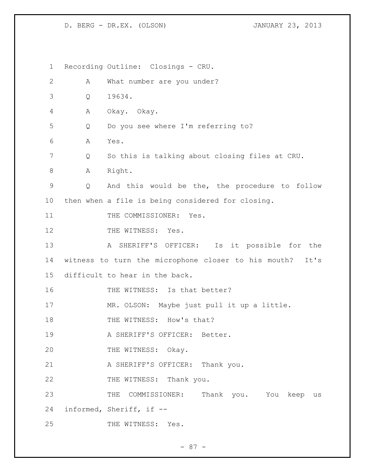1 Recording Outline: Closings - CRU. 2 A What number are you under? 3 Q 19634. 4 A Okay. Okay. 5 Q Do you see where I'm referring to? 6 A Yes. 7 Q So this is talking about closing files at CRU. 8 A Right. 9 Q And this would be the, the procedure to follow 10 then when a file is being considered for closing. 11 THE COMMISSIONER: Yes. 12 THE WITNESS: Yes. 13 A SHERIFF'S OFFICER: Is it possible for the 14 witness to turn the microphone closer to his mouth? It's 15 difficult to hear in the back. 16 THE WITNESS: Is that better? 17 MR. OLSON: Maybe just pull it up a little. 18 THE WITNESS: How's that? 19 A SHERIFF'S OFFICER: Better. 20 THE WITNESS: Okay. 21 A SHERIFF'S OFFICER: Thank you. 22 THE WITNESS: Thank you. 23 THE COMMISSIONER: Thank you. You keep us 24 informed, Sheriff, if -- 25 THE WITNESS: Yes.

- 87 -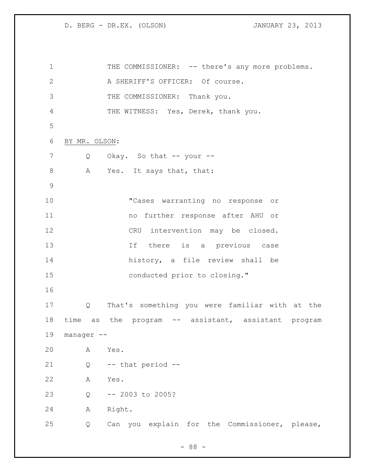1 THE COMMISSIONER: -- there's any more problems. 2 A SHERIFF'S OFFICER: Of course. THE COMMISSIONER: Thank you. THE WITNESS: Yes, Derek, thank you. BY MR. OLSON: 7 Q Okay. So that -- your --8 A Yes. It says that, that: "Cases warranting no response or no further response after AHU or CRU intervention may be closed. 13 13 If there is a previous case history, a file review shall be conducted prior to closing." Q That's something you were familiar with at the time as the program -- assistant, assistant program manager -- A Yes. Q -- that period -- A Yes. Q -- 2003 to 2005? A Right. Q Can you explain for the Commissioner, please,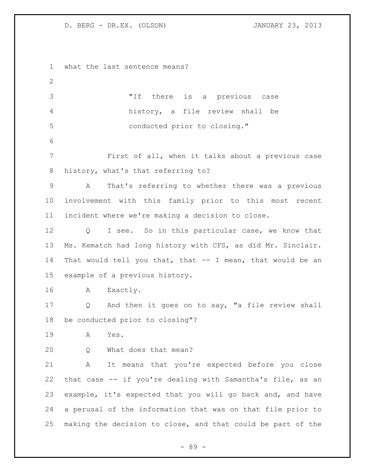what the last sentence means? "If there is a previous case history, a file review shall be conducted prior to closing." First of all, when it talks about a previous case history, what's that referring to? A That's referring to whether there was a previous involvement with this family prior to this most recent incident where we're making a decision to close. Q I see. So in this particular case, we know that Ms. Kematch had long history with CFS, as did Mr. Sinclair. That would tell you that, that -- I mean, that would be an example of a previous history. A Exactly. Q And then it goes on to say, "a file review shall be conducted prior to closing"? A Yes. Q What does that mean? A It means that you're expected before you close that case -- if you're dealing with Samantha's file, as an example, it's expected that you will go back and, and have a perusal of the information that was on that file prior to making the decision to close, and that could be part of the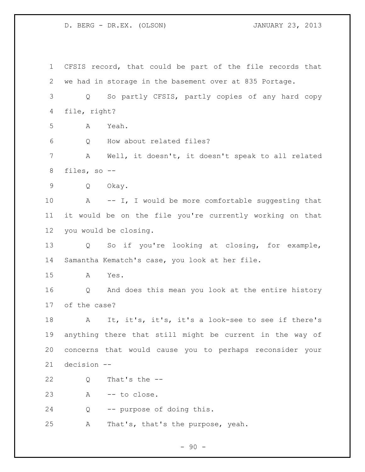CFSIS record, that could be part of the file records that we had in storage in the basement over at 835 Portage. Q So partly CFSIS, partly copies of any hard copy file, right? A Yeah. Q How about related files? A Well, it doesn't, it doesn't speak to all related files, so -- Q Okay. 10 A -- I, I would be more comfortable suggesting that it would be on the file you're currently working on that you would be closing. Q So if you're looking at closing, for example, Samantha Kematch's case, you look at her file. A Yes. Q And does this mean you look at the entire history of the case? A It, it's, it's, it's a look-see to see if there's anything there that still might be current in the way of concerns that would cause you to perhaps reconsider your decision -- Q That's the -- A -- to close. Q -- purpose of doing this. A That's, that's the purpose, yeah.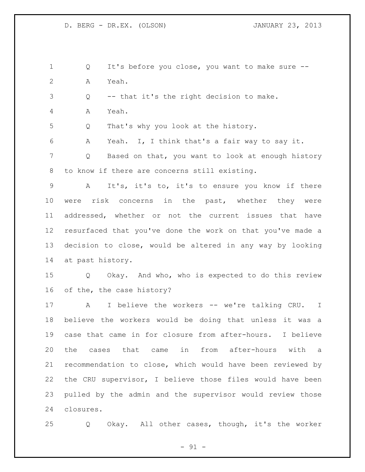Q It's before you close, you want to make sure -- A Yeah. Q -- that it's the right decision to make. A Yeah. Q That's why you look at the history. A Yeah. I, I think that's a fair way to say it. Q Based on that, you want to look at enough history to know if there are concerns still existing. A It's, it's to, it's to ensure you know if there were risk concerns in the past, whether they were addressed, whether or not the current issues that have resurfaced that you've done the work on that you've made a decision to close, would be altered in any way by looking at past history. Q Okay. And who, who is expected to do this review of the, the case history? 17 A I believe the workers -- we're talking CRU. I believe the workers would be doing that unless it was a case that came in for closure from after-hours. I believe the cases that came in from after-hours with a recommendation to close, which would have been reviewed by the CRU supervisor, I believe those files would have been pulled by the admin and the supervisor would review those closures.

Q Okay. All other cases, though, it's the worker

 $-91 -$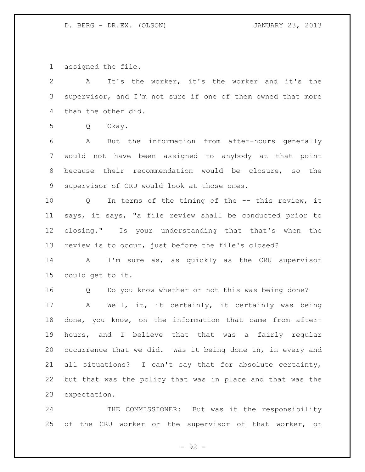assigned the file.

 A It's the worker, it's the worker and it's the supervisor, and I'm not sure if one of them owned that more than the other did. Q Okay. A But the information from after-hours generally would not have been assigned to anybody at that point because their recommendation would be closure, so the supervisor of CRU would look at those ones. Q In terms of the timing of the -- this review, it says, it says, "a file review shall be conducted prior to closing." Is your understanding that that's when the review is to occur, just before the file's closed? A I'm sure as, as quickly as the CRU supervisor could get to it. Q Do you know whether or not this was being done? A Well, it, it certainly, it certainly was being done, you know, on the information that came from after- hours, and I believe that that was a fairly regular occurrence that we did. Was it being done in, in every and all situations? I can't say that for absolute certainty, but that was the policy that was in place and that was the expectation.

24 THE COMMISSIONER: But was it the responsibility of the CRU worker or the supervisor of that worker, or

- 92 -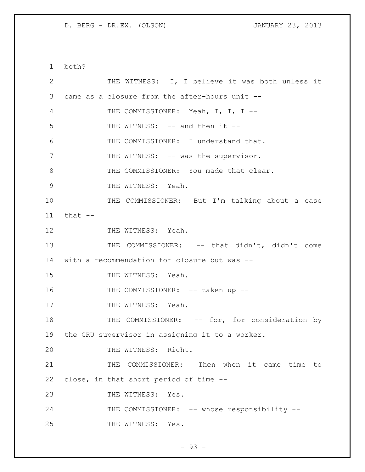both?

| $\mathbf{2}$ | THE WITNESS: I, I believe it was both unless it   |
|--------------|---------------------------------------------------|
| 3            | came as a closure from the after-hours unit --    |
| 4            | THE COMMISSIONER: Yeah, I, I, I --                |
| 5            | THE WITNESS: -- and then it --                    |
| 6            | THE COMMISSIONER: I understand that.              |
| 7            | THE WITNESS: -- was the supervisor.               |
| 8            | THE COMMISSIONER: You made that clear.            |
| 9            | THE WITNESS: Yeah.                                |
| 10           | THE COMMISSIONER: But I'm talking about a case    |
| 11           | that $--$                                         |
| 12           | THE WITNESS: Yeah.                                |
| 13           | THE COMMISSIONER: -- that didn't, didn't come     |
| 14           | with a recommendation for closure but was --      |
| 15           | THE WITNESS: Yeah.                                |
| 16           | THE COMMISSIONER: -- taken up --                  |
| 17           | THE WITNESS: Yeah.                                |
| 18           | THE COMMISSIONER: -- for, for consideration by    |
| 19           | the CRU supervisor in assigning it to a worker.   |
| 20           | THE WITNESS: Right.                               |
| 21           | Then when it came time<br>THE COMMISSIONER:<br>to |
| 22           | close, in that short period of time --            |
| 23           | THE WITNESS:<br>Yes.                              |
| 24           | THE COMMISSIONER: -- whose responsibility --      |
| 25           | THE WITNESS: Yes.                                 |

- 93 -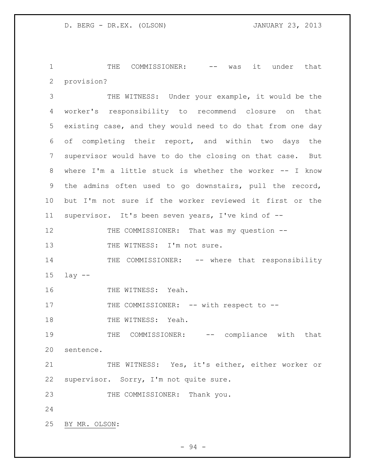1 THE COMMISSIONER: -- was it under that 2 provision?

3 THE WITNESS: Under your example, it would be the 4 worker's responsibility to recommend closure on that 5 existing case, and they would need to do that from one day 6 of completing their report, and within two days the 7 supervisor would have to do the closing on that case. But 8 where I'm a little stuck is whether the worker -- I know 9 the admins often used to go downstairs, pull the record, 10 but I'm not sure if the worker reviewed it first or the 11 supervisor. It's been seven years, I've kind of -- 12 THE COMMISSIONER: That was my question --13 THE WITNESS: I'm not sure. 14 THE COMMISSIONER: -- where that responsibility 15 lay -- 16 THE WITNESS: Yeah. 17 THE COMMISSIONER: -- with respect to --

18 THE WITNESS: Yeah.

19 THE COMMISSIONER: -- compliance with that 20 sentence.

21 THE WITNESS: Yes, it's either, either worker or 22 supervisor. Sorry, I'm not quite sure.

23 THE COMMISSIONER: Thank you.

24

25 BY MR. OLSON: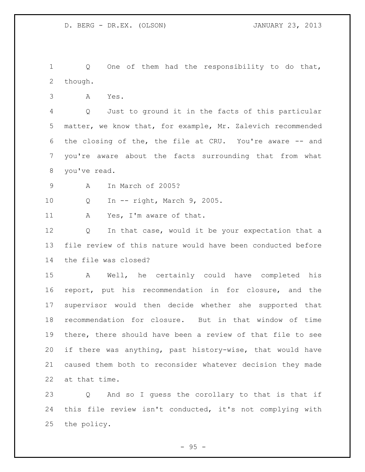1 Q One of them had the responsibility to do that, though.

A Yes.

 Q Just to ground it in the facts of this particular matter, we know that, for example, Mr. Zalevich recommended the closing of the, the file at CRU. You're aware -- and you're aware about the facts surrounding that from what you've read.

A In March of 2005?

Q In -- right, March 9, 2005.

A Yes, I'm aware of that.

12 Q In that case, would it be your expectation that a file review of this nature would have been conducted before the file was closed?

 A Well, he certainly could have completed his report, put his recommendation in for closure, and the supervisor would then decide whether she supported that recommendation for closure. But in that window of time there, there should have been a review of that file to see if there was anything, past history-wise, that would have caused them both to reconsider whatever decision they made at that time.

 Q And so I guess the corollary to that is that if this file review isn't conducted, it's not complying with the policy.

 $-95 -$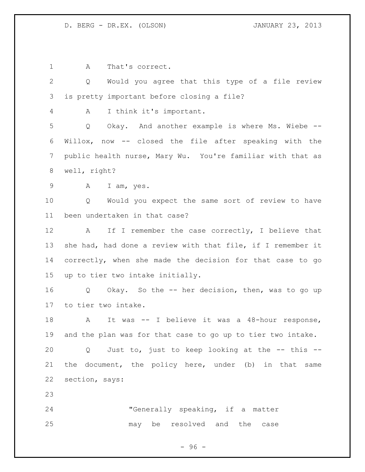A That's correct. Q Would you agree that this type of a file review is pretty important before closing a file? A I think it's important. Q Okay. And another example is where Ms. Wiebe -- Willox, now -- closed the file after speaking with the public health nurse, Mary Wu. You're familiar with that as well, right? A I am, yes. Q Would you expect the same sort of review to have been undertaken in that case? 12 A If I remember the case correctly, I believe that she had, had done a review with that file, if I remember it correctly, when she made the decision for that case to go up to tier two intake initially. Q Okay. So the -- her decision, then, was to go up to tier two intake. A It was -- I believe it was a 48-hour response, and the plan was for that case to go up to tier two intake. Q Just to, just to keep looking at the -- this -- the document, the policy here, under (b) in that same section, says: "Generally speaking, if a matter may be resolved and the case

- 96 -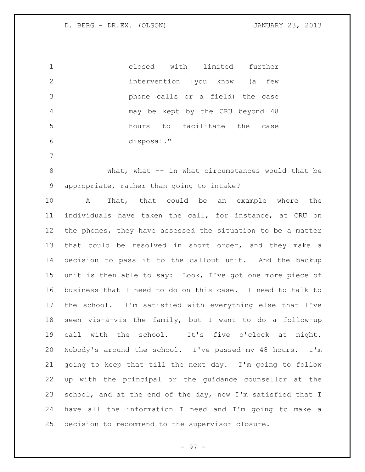closed with limited further intervention [you know] (a few phone calls or a field) the case may be kept by the CRU beyond 48 hours to facilitate the case disposal."

 What, what -- in what circumstances would that be appropriate, rather than going to intake?

 A That, that could be an example where the individuals have taken the call, for instance, at CRU on the phones, they have assessed the situation to be a matter that could be resolved in short order, and they make a decision to pass it to the callout unit. And the backup unit is then able to say: Look, I've got one more piece of business that I need to do on this case. I need to talk to the school. I'm satisfied with everything else that I've seen vis-à-vis the family, but I want to do a follow-up call with the school. It's five o'clock at night. Nobody's around the school. I've passed my 48 hours. I'm going to keep that till the next day. I'm going to follow up with the principal or the guidance counsellor at the 23 school, and at the end of the day, now I'm satisfied that I have all the information I need and I'm going to make a decision to recommend to the supervisor closure.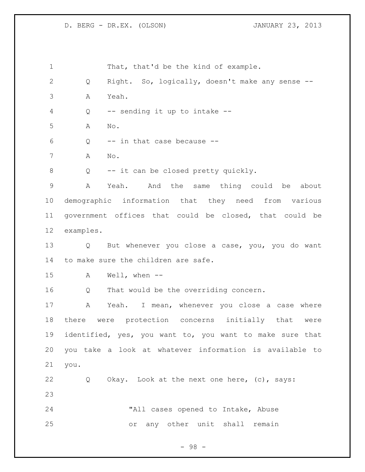1 That, that'd be the kind of example. Q Right. So, logically, doesn't make any sense -- A Yeah. Q -- sending it up to intake -- A No. Q -- in that case because -- A No. Q -- it can be closed pretty quickly. A Yeah. And the same thing could be about demographic information that they need from various government offices that could be closed, that could be examples. Q But whenever you close a case, you, you do want to make sure the children are safe. A Well, when -- Q That would be the overriding concern. A Yeah. I mean, whenever you close a case where there were protection concerns initially that were identified, yes, you want to, you want to make sure that you take a look at whatever information is available to you. Q Okay. Look at the next one here, (c), says: "All cases opened to Intake, Abuse or any other unit shall remain

- 98 -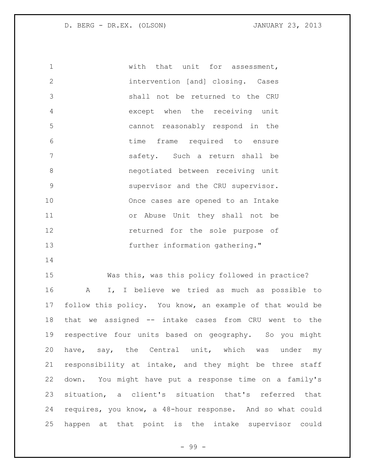with that unit for assessment, intervention [and] closing. Cases shall not be returned to the CRU except when the receiving unit cannot reasonably respond in the time frame required to ensure safety. Such a return shall be negotiated between receiving unit supervisor and the CRU supervisor. Once cases are opened to an Intake or Abuse Unit they shall not be returned for the sole purpose of further information gathering."

 Was this, was this policy followed in practice? A I, I believe we tried as much as possible to follow this policy. You know, an example of that would be that we assigned -- intake cases from CRU went to the respective four units based on geography. So you might have, say, the Central unit, which was under my responsibility at intake, and they might be three staff down. You might have put a response time on a family's situation, a client's situation that's referred that requires, you know, a 48-hour response. And so what could happen at that point is the intake supervisor could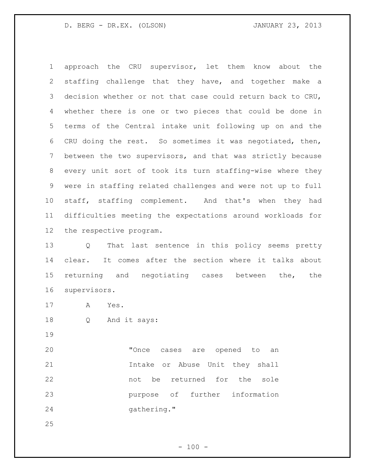approach the CRU supervisor, let them know about the staffing challenge that they have, and together make a decision whether or not that case could return back to CRU, whether there is one or two pieces that could be done in terms of the Central intake unit following up on and the CRU doing the rest. So sometimes it was negotiated, then, between the two supervisors, and that was strictly because every unit sort of took its turn staffing-wise where they were in staffing related challenges and were not up to full staff, staffing complement. And that's when they had difficulties meeting the expectations around workloads for the respective program.

 Q That last sentence in this policy seems pretty clear. It comes after the section where it talks about 15 returning and negotiating cases between the, the supervisors.

- A Yes.
- Q And it says:

20 Tonce cases are opened to an Intake or Abuse Unit they shall not be returned for the sole purpose of further information 24 gathering."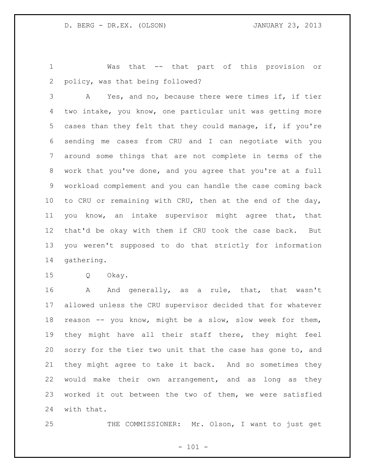Was that -- that part of this provision or policy, was that being followed?

 A Yes, and no, because there were times if, if tier two intake, you know, one particular unit was getting more cases than they felt that they could manage, if, if you're sending me cases from CRU and I can negotiate with you around some things that are not complete in terms of the work that you've done, and you agree that you're at a full workload complement and you can handle the case coming back 10 to CRU or remaining with CRU, then at the end of the day, you know, an intake supervisor might agree that, that that'd be okay with them if CRU took the case back. But you weren't supposed to do that strictly for information gathering.

Q Okay.

 A And generally, as a rule, that, that wasn't allowed unless the CRU supervisor decided that for whatever reason -- you know, might be a slow, slow week for them, they might have all their staff there, they might feel 20 sorry for the tier two unit that the case has gone to, and they might agree to take it back. And so sometimes they would make their own arrangement, and as long as they worked it out between the two of them, we were satisfied with that.

25 THE COMMISSIONER: Mr. Olson, I want to just get

 $- 101 -$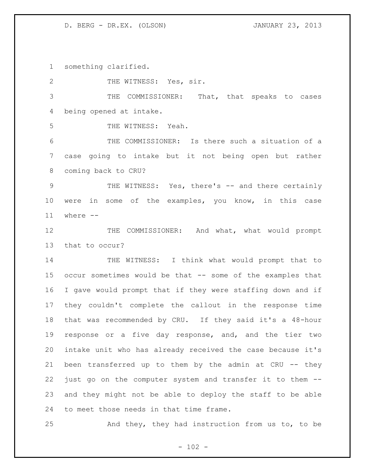something clarified.

2 THE WITNESS: Yes, sir. THE COMMISSIONER: That, that speaks to cases being opened at intake. THE WITNESS: Yeah. THE COMMISSIONER: Is there such a situation of a case going to intake but it not being open but rather coming back to CRU? 9 THE WITNESS: Yes, there's -- and there certainly were in some of the examples, you know, in this case where -- 12 THE COMMISSIONER: And what, what would prompt that to occur? 14 THE WITNESS: I think what would prompt that to occur sometimes would be that -- some of the examples that I gave would prompt that if they were staffing down and if they couldn't complete the callout in the response time that was recommended by CRU. If they said it's a 48-hour response or a five day response, and, and the tier two intake unit who has already received the case because it's been transferred up to them by the admin at CRU -- they just go on the computer system and transfer it to them -- and they might not be able to deploy the staff to be able to meet those needs in that time frame. And they, they had instruction from us to, to be

 $- 102 -$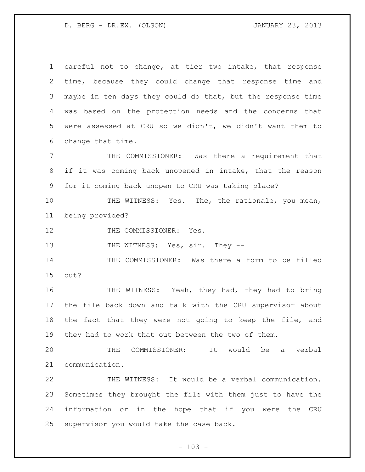careful not to change, at tier two intake, that response time, because they could change that response time and maybe in ten days they could do that, but the response time was based on the protection needs and the concerns that were assessed at CRU so we didn't, we didn't want them to change that time. THE COMMISSIONER: Was there a requirement that

 if it was coming back unopened in intake, that the reason for it coming back unopen to CRU was taking place?

10 THE WITNESS: Yes. The, the rationale, you mean, being provided?

12 THE COMMISSIONER: Yes.

13 THE WITNESS: Yes, sir. They --

 THE COMMISSIONER: Was there a form to be filled out?

 THE WITNESS: Yeah, they had, they had to bring the file back down and talk with the CRU supervisor about the fact that they were not going to keep the file, and they had to work that out between the two of them.

 THE COMMISSIONER: It would be a verbal communication.

 THE WITNESS: It would be a verbal communication. Sometimes they brought the file with them just to have the information or in the hope that if you were the CRU supervisor you would take the case back.

 $- 103 -$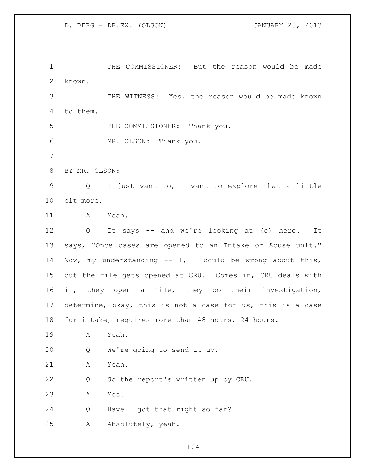THE COMMISSIONER: But the reason would be made known.

 THE WITNESS: Yes, the reason would be made known to them.

THE COMMISSIONER: Thank you.

MR. OLSON: Thank you.

BY MR. OLSON:

 Q I just want to, I want to explore that a little bit more.

A Yeah.

 Q It says -- and we're looking at (c) here. It says, "Once cases are opened to an Intake or Abuse unit." Now, my understanding -- I, I could be wrong about this, but the file gets opened at CRU. Comes in, CRU deals with it, they open a file, they do their investigation, determine, okay, this is not a case for us, this is a case for intake, requires more than 48 hours, 24 hours.

A Yeah.

Q We're going to send it up.

A Yeah.

Q So the report's written up by CRU.

A Yes.

Q Have I got that right so far?

A Absolutely, yeah.

 $- 104 -$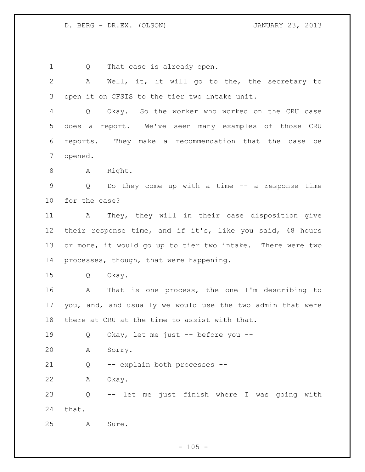1 Q That case is already open. A Well, it, it will go to the, the secretary to

open it on CFSIS to the tier two intake unit.

 Q Okay. So the worker who worked on the CRU case does a report. We've seen many examples of those CRU reports. They make a recommendation that the case be opened.

8 A Right.

 Q Do they come up with a time -- a response time for the case?

 A They, they will in their case disposition give their response time, and if it's, like you said, 48 hours or more, it would go up to tier two intake. There were two 14 processes, though, that were happening.

Q Okay.

 A That is one process, the one I'm describing to you, and, and usually we would use the two admin that were there at CRU at the time to assist with that.

Q Okay, let me just -- before you --

A Sorry.

Q -- explain both processes --

A Okay.

 Q -- let me just finish where I was going with that.

A Sure.

 $- 105 -$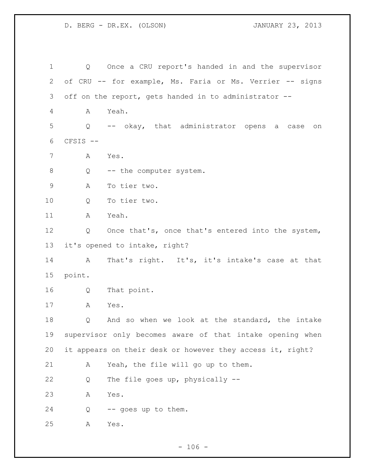Q Once a CRU report's handed in and the supervisor of CRU -- for example, Ms. Faria or Ms. Verrier -- signs off on the report, gets handed in to administrator -- A Yeah. Q -- okay, that administrator opens a case on CFSIS -- A Yes. 8 Q -- the computer system. A To tier two. Q To tier two. A Yeah. Q Once that's, once that's entered into the system, it's opened to intake, right? A That's right. It's, it's intake's case at that point. Q That point. A Yes. Q And so when we look at the standard, the intake supervisor only becomes aware of that intake opening when it appears on their desk or however they access it, right? A Yeah, the file will go up to them. Q The file goes up, physically -- A Yes. Q -- goes up to them. A Yes.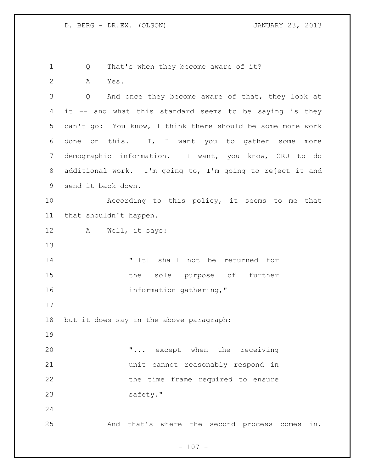Q That's when they become aware of it? A Yes. Q And once they become aware of that, they look at it -- and what this standard seems to be saying is they can't go: You know, I think there should be some more work done on this. I, I want you to gather some more demographic information. I want, you know, CRU to do additional work. I'm going to, I'm going to reject it and send it back down. According to this policy, it seems to me that that shouldn't happen. A Well, it says: "[It] shall not be returned for the sole purpose of further 16 information gathering," but it does say in the above paragraph: "... except when the receiving unit cannot reasonably respond in the time frame required to ensure 23 safety." And that's where the second process comes in.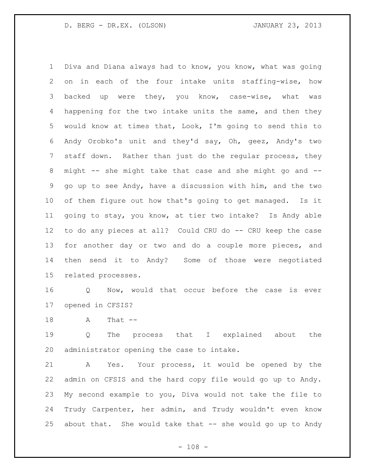Diva and Diana always had to know, you know, what was going on in each of the four intake units staffing-wise, how backed up were they, you know, case-wise, what was happening for the two intake units the same, and then they would know at times that, Look, I'm going to send this to Andy Orobko's unit and they'd say, Oh, geez, Andy's two staff down. Rather than just do the regular process, they might -- she might take that case and she might go and -- go up to see Andy, have a discussion with him, and the two of them figure out how that's going to get managed. Is it going to stay, you know, at tier two intake? Is Andy able to do any pieces at all? Could CRU do -- CRU keep the case for another day or two and do a couple more pieces, and then send it to Andy? Some of those were negotiated related processes.

 Q Now, would that occur before the case is ever opened in CFSIS?

18 A That --

 Q The process that I explained about the administrator opening the case to intake.

 A Yes. Your process, it would be opened by the admin on CFSIS and the hard copy file would go up to Andy. My second example to you, Diva would not take the file to Trudy Carpenter, her admin, and Trudy wouldn't even know about that. She would take that -- she would go up to Andy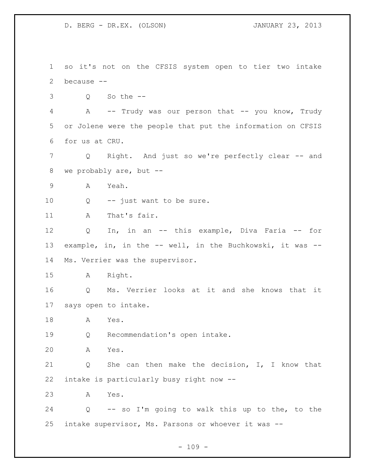so it's not on the CFSIS system open to tier two intake because -- Q So the -- 4 A -- Trudy was our person that -- you know, Trudy or Jolene were the people that put the information on CFSIS for us at CRU. Q Right. And just so we're perfectly clear -- and we probably are, but -- A Yeah. Q -- just want to be sure. 11 A That's fair. Q In, in an -- this example, Diva Faria -- for example, in, in the -- well, in the Buchkowski, it was -- Ms. Verrier was the supervisor. A Right. Q Ms. Verrier looks at it and she knows that it says open to intake. A Yes. Q Recommendation's open intake. A Yes. Q She can then make the decision, I, I know that intake is particularly busy right now -- A Yes. Q -- so I'm going to walk this up to the, to the intake supervisor, Ms. Parsons or whoever it was --

 $- 109 -$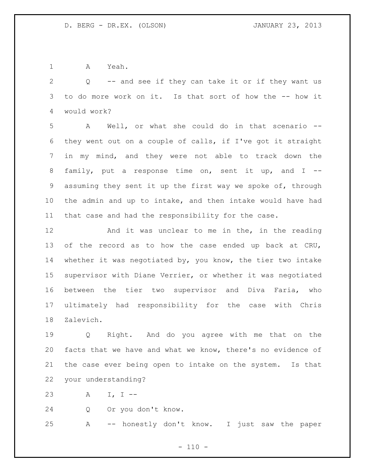A Yeah.

 Q -- and see if they can take it or if they want us to do more work on it. Is that sort of how the -- how it would work?

 A Well, or what she could do in that scenario -- they went out on a couple of calls, if I've got it straight in my mind, and they were not able to track down the family, put a response time on, sent it up, and I -- assuming they sent it up the first way we spoke of, through the admin and up to intake, and then intake would have had that case and had the responsibility for the case.

 And it was unclear to me in the, in the reading of the record as to how the case ended up back at CRU, whether it was negotiated by, you know, the tier two intake supervisor with Diane Verrier, or whether it was negotiated between the tier two supervisor and Diva Faria, who ultimately had responsibility for the case with Chris Zalevich.

 Q Right. And do you agree with me that on the facts that we have and what we know, there's no evidence of the case ever being open to intake on the system. Is that your understanding?

A I, I --

Q Or you don't know.

A -- honestly don't know. I just saw the paper

 $- 110 -$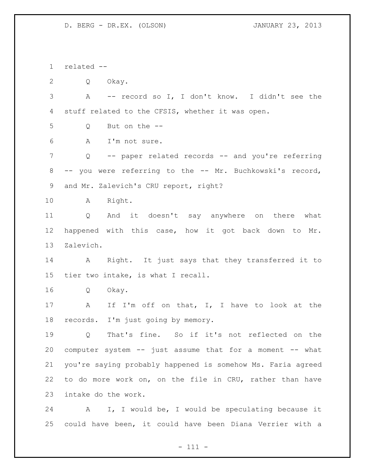related --

Q Okay.

 A -- record so I, I don't know. I didn't see the stuff related to the CFSIS, whether it was open.

Q But on the --

A I'm not sure.

 Q -- paper related records -- and you're referring -- you were referring to the -- Mr. Buchkowski's record, and Mr. Zalevich's CRU report, right?

A Right.

 Q And it doesn't say anywhere on there what happened with this case, how it got back down to Mr. Zalevich.

 A Right. It just says that they transferred it to tier two intake, is what I recall.

Q Okay.

 A If I'm off on that, I, I have to look at the records. I'm just going by memory.

 Q That's fine. So if it's not reflected on the computer system -- just assume that for a moment -- what you're saying probably happened is somehow Ms. Faria agreed to do more work on, on the file in CRU, rather than have intake do the work.

 A I, I would be, I would be speculating because it could have been, it could have been Diana Verrier with a

- 111 -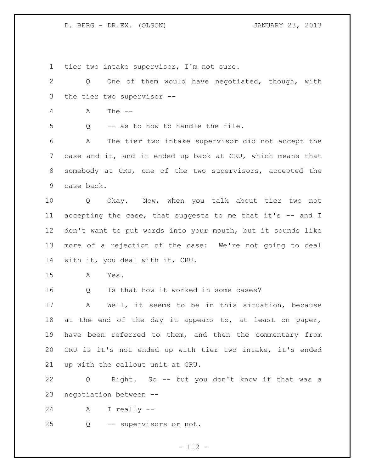tier two intake supervisor, I'm not sure.

 Q One of them would have negotiated, though, with the tier two supervisor -- A The -- Q -- as to how to handle the file. A The tier two intake supervisor did not accept the case and it, and it ended up back at CRU, which means that somebody at CRU, one of the two supervisors, accepted the case back. Q Okay. Now, when you talk about tier two not accepting the case, that suggests to me that it's -- and I don't want to put words into your mouth, but it sounds like more of a rejection of the case: We're not going to deal with it, you deal with it, CRU. A Yes. Q Is that how it worked in some cases? A Well, it seems to be in this situation, because at the end of the day it appears to, at least on paper, have been referred to them, and then the commentary from CRU is it's not ended up with tier two intake, it's ended up with the callout unit at CRU. Q Right. So -- but you don't know if that was a negotiation between -- A I really -- Q -- supervisors or not.

- 112 -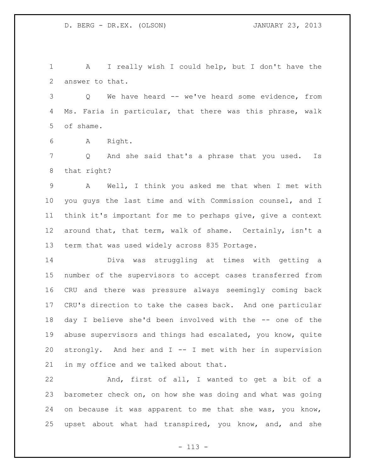A I really wish I could help, but I don't have the answer to that.

 Q We have heard -- we've heard some evidence, from Ms. Faria in particular, that there was this phrase, walk of shame.

A Right.

7 Q And she said that's a phrase that you used. Is that right?

 A Well, I think you asked me that when I met with you guys the last time and with Commission counsel, and I think it's important for me to perhaps give, give a context around that, that term, walk of shame. Certainly, isn't a term that was used widely across 835 Portage.

 Diva was struggling at times with getting a number of the supervisors to accept cases transferred from CRU and there was pressure always seemingly coming back CRU's direction to take the cases back. And one particular day I believe she'd been involved with the -- one of the abuse supervisors and things had escalated, you know, quite strongly. And her and I -- I met with her in supervision in my office and we talked about that.

 And, first of all, I wanted to get a bit of a barometer check on, on how she was doing and what was going on because it was apparent to me that she was, you know, upset about what had transpired, you know, and, and she

- 113 -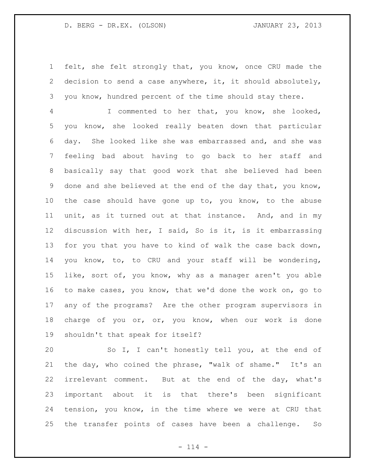felt, she felt strongly that, you know, once CRU made the decision to send a case anywhere, it, it should absolutely, you know, hundred percent of the time should stay there.

 I commented to her that, you know, she looked, you know, she looked really beaten down that particular day. She looked like she was embarrassed and, and she was feeling bad about having to go back to her staff and basically say that good work that she believed had been done and she believed at the end of the day that, you know, the case should have gone up to, you know, to the abuse unit, as it turned out at that instance. And, and in my discussion with her, I said, So is it, is it embarrassing for you that you have to kind of walk the case back down, you know, to, to CRU and your staff will be wondering, like, sort of, you know, why as a manager aren't you able to make cases, you know, that we'd done the work on, go to any of the programs? Are the other program supervisors in 18 charge of you or, or, you know, when our work is done shouldn't that speak for itself?

 So I, I can't honestly tell you, at the end of the day, who coined the phrase, "walk of shame." It's an irrelevant comment. But at the end of the day, what's important about it is that there's been significant tension, you know, in the time where we were at CRU that the transfer points of cases have been a challenge. So

 $- 114 -$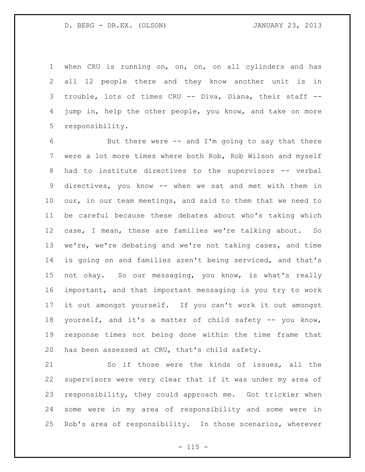when CRU is running on, on, on, on all cylinders and has all 12 people there and they know another unit is in trouble, lots of times CRU -- Diva, Diana, their staff -- jump in, help the other people, you know, and take on more responsibility.

 But there were -- and I'm going to say that there were a lot more times where both Rob, Rob Wilson and myself had to institute directives to the supervisors -- verbal directives, you know -- when we sat and met with them in our, in our team meetings, and said to them that we need to be careful because these debates about who's taking which case, I mean, these are families we're talking about. So we're, we're debating and we're not taking cases, and time is going on and families aren't being serviced, and that's not okay. So our messaging, you know, is what's really important, and that important messaging is you try to work it out amongst yourself. If you can't work it out amongst yourself, and it's a matter of child safety -- you know, response times not being done within the time frame that has been assessed at CRU, that's child safety.

 So if those were the kinds of issues, all the supervisors were very clear that if it was under my area of responsibility, they could approach me. Got trickier when some were in my area of responsibility and some were in Rob's area of responsibility. In those scenarios, wherever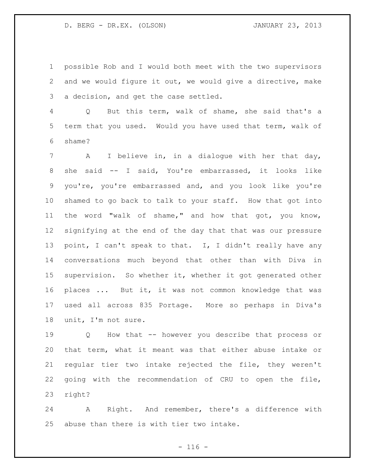possible Rob and I would both meet with the two supervisors and we would figure it out, we would give a directive, make a decision, and get the case settled.

 Q But this term, walk of shame, she said that's a term that you used. Would you have used that term, walk of shame?

 A I believe in, in a dialogue with her that day, she said -- I said, You're embarrassed, it looks like you're, you're embarrassed and, and you look like you're shamed to go back to talk to your staff. How that got into the word "walk of shame," and how that got, you know, signifying at the end of the day that that was our pressure point, I can't speak to that. I, I didn't really have any conversations much beyond that other than with Diva in supervision. So whether it, whether it got generated other places ... But it, it was not common knowledge that was used all across 835 Portage. More so perhaps in Diva's unit, I'm not sure.

 Q How that -- however you describe that process or that term, what it meant was that either abuse intake or regular tier two intake rejected the file, they weren't going with the recommendation of CRU to open the file, right?

 A Right. And remember, there's a difference with abuse than there is with tier two intake.

 $- 116 -$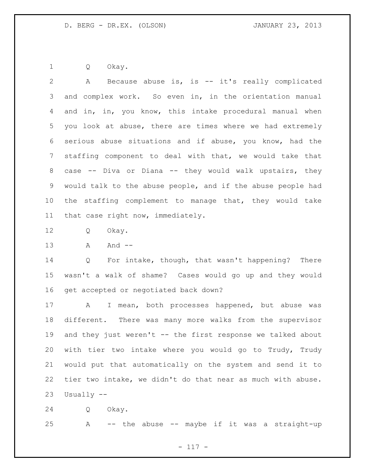Q Okay.

 A Because abuse is, is -- it's really complicated and complex work. So even in, in the orientation manual and in, in, you know, this intake procedural manual when you look at abuse, there are times where we had extremely serious abuse situations and if abuse, you know, had the staffing component to deal with that, we would take that case -- Diva or Diana -- they would walk upstairs, they would talk to the abuse people, and if the abuse people had the staffing complement to manage that, they would take that case right now, immediately.

Q Okay.

A And --

 Q For intake, though, that wasn't happening? There wasn't a walk of shame? Cases would go up and they would get accepted or negotiated back down?

 A I mean, both processes happened, but abuse was different. There was many more walks from the supervisor 19 and they just weren't -- the first response we talked about with tier two intake where you would go to Trudy, Trudy would put that automatically on the system and send it to tier two intake, we didn't do that near as much with abuse. Usually --

Q Okay.

A -- the abuse -- maybe if it was a straight-up

- 117 -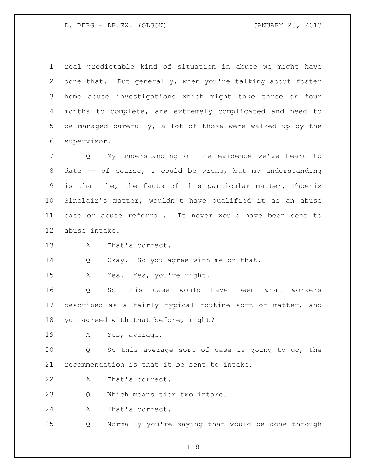real predictable kind of situation in abuse we might have done that. But generally, when you're talking about foster home abuse investigations which might take three or four months to complete, are extremely complicated and need to be managed carefully, a lot of those were walked up by the supervisor.

 Q My understanding of the evidence we've heard to date -- of course, I could be wrong, but my understanding is that the, the facts of this particular matter, Phoenix Sinclair's matter, wouldn't have qualified it as an abuse case or abuse referral. It never would have been sent to abuse intake.

A That's correct.

14 Q Okay. So you agree with me on that.

A Yes. Yes, you're right.

 Q So this case would have been what workers described as a fairly typical routine sort of matter, and you agreed with that before, right?

A Yes, average.

 Q So this average sort of case is going to go, the recommendation is that it be sent to intake.

A That's correct.

23 O Which means tier two intake.

A That's correct.

Q Normally you're saying that would be done through

- 118 -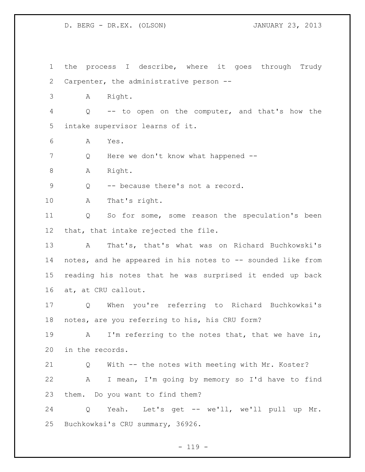the process I describe, where it goes through Trudy Carpenter, the administrative person -- A Right. Q -- to open on the computer, and that's how the intake supervisor learns of it. A Yes. 7 Q Here we don't know what happened --8 A Right. Q -- because there's not a record. A That's right. Q So for some, some reason the speculation's been that, that intake rejected the file. A That's, that's what was on Richard Buchkowski's 14 notes, and he appeared in his notes to -- sounded like from reading his notes that he was surprised it ended up back at, at CRU callout. Q When you're referring to Richard Buchkowksi's notes, are you referring to his, his CRU form? 19 A I'm referring to the notes that, that we have in, in the records. Q With -- the notes with meeting with Mr. Koster? A I mean, I'm going by memory so I'd have to find them. Do you want to find them? Q Yeah. Let's get -- we'll, we'll pull up Mr. Buchkowksi's CRU summary, 36926.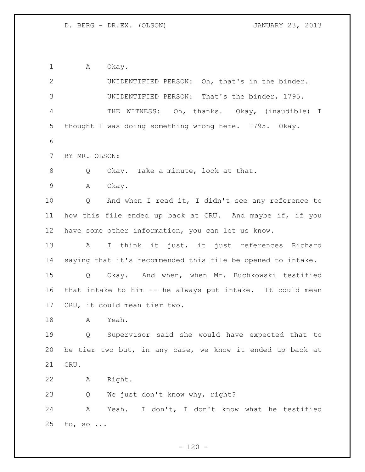1 A Okay.

 UNIDENTIFIED PERSON: Oh, that's in the binder. UNIDENTIFIED PERSON: That's the binder, 1795. THE WITNESS: Oh, thanks. Okay, (inaudible) I thought I was doing something wrong here. 1795. Okay. BY MR. OLSON: 8 Q Okay. Take a minute, look at that. A Okay. Q And when I read it, I didn't see any reference to how this file ended up back at CRU. And maybe if, if you have some other information, you can let us know. A I think it just, it just references Richard saying that it's recommended this file be opened to intake. Q Okay. And when, when Mr. Buchkowski testified that intake to him -- he always put intake. It could mean CRU, it could mean tier two. A Yeah. Q Supervisor said she would have expected that to be tier two but, in any case, we know it ended up back at CRU. A Right. Q We just don't know why, right? A Yeah. I don't, I don't know what he testified to, so ...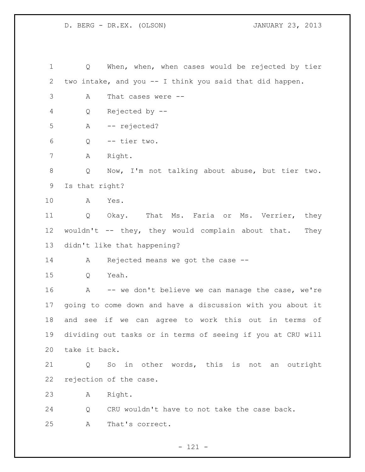Q When, when, when cases would be rejected by tier two intake, and you -- I think you said that did happen. A That cases were -- Q Rejected by -- A -- rejected? Q -- tier two. A Right. Q Now, I'm not talking about abuse, but tier two. Is that right? A Yes. Q Okay. That Ms. Faria or Ms. Verrier, they 12 wouldn't -- they, they would complain about that. They didn't like that happening? A Rejected means we got the case -- Q Yeah. A -- we don't believe we can manage the case, we're going to come down and have a discussion with you about it and see if we can agree to work this out in terms of dividing out tasks or in terms of seeing if you at CRU will take it back. Q So in other words, this is not an outright rejection of the case. A Right. Q CRU wouldn't have to not take the case back. A That's correct.

- 121 -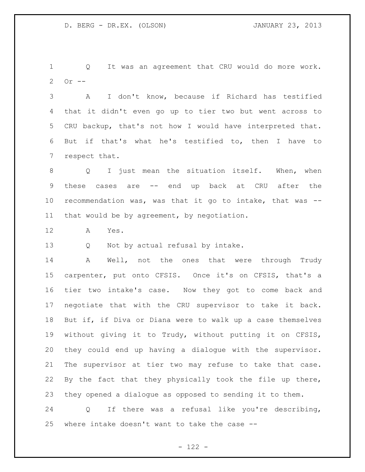Q It was an agreement that CRU would do more work. Or --

 A I don't know, because if Richard has testified that it didn't even go up to tier two but went across to CRU backup, that's not how I would have interpreted that. But if that's what he's testified to, then I have to respect that.

 Q I just mean the situation itself. When, when these cases are -- end up back at CRU after the recommendation was, was that it go to intake, that was -- that would be by agreement, by negotiation.

A Yes.

13 Q Not by actual refusal by intake.

 A Well, not the ones that were through Trudy carpenter, put onto CFSIS. Once it's on CFSIS, that's a tier two intake's case. Now they got to come back and negotiate that with the CRU supervisor to take it back. But if, if Diva or Diana were to walk up a case themselves without giving it to Trudy, without putting it on CFSIS, they could end up having a dialogue with the supervisor. The supervisor at tier two may refuse to take that case. By the fact that they physically took the file up there, they opened a dialogue as opposed to sending it to them.

 Q If there was a refusal like you're describing, where intake doesn't want to take the case --

- 122 -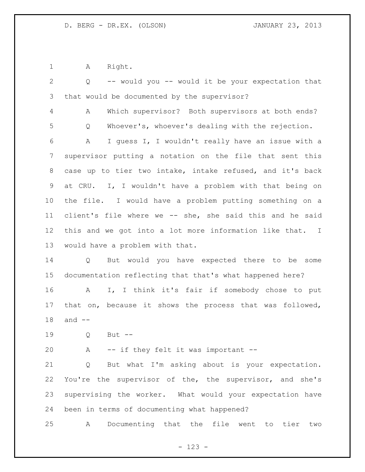A Right.

| $\mathbf{2}$   | -- would you -- would it be your expectation that<br>$Q \qquad \qquad$ |
|----------------|------------------------------------------------------------------------|
| 3              | that would be documented by the supervisor?                            |
| $\overline{4}$ | Which supervisor? Both supervisors at both ends?<br>A                  |
| 5              | Whoever's, whoever's dealing with the rejection.<br>Q                  |
| 6              | I quess I, I wouldn't really have an issue with a<br>A                 |
| 7              | supervisor putting a notation on the file that sent this               |
| 8              | case up to tier two intake, intake refused, and it's back              |
| 9              | at CRU. I, I wouldn't have a problem with that being on                |
| 10             | the file. I would have a problem putting something on a                |
| 11             | client's file where we -- she, she said this and he said               |
| 12             | this and we got into a lot more information like that. I               |
| 13             | would have a problem with that.                                        |
| 14             | But would you have expected there to be some<br>Q                      |
| 15             | documentation reflecting that that's what happened here?               |
| 16             | I, I think it's fair if somebody chose to put<br>A                     |
| 17             | that on, because it shows the process that was followed,               |
| 18             | and $--$                                                               |
| 19             | Q<br>But $--$                                                          |
| 20             | -- if they felt it was important --<br>A                               |
| 21             | But what I'm asking about is your expectation.<br>Q                    |
| 22             | You're the supervisor of the, the supervisor, and she's                |
| 23             | supervising the worker. What would your expectation have               |
| 24             | been in terms of documenting what happened?                            |
| 25             | Documenting that the file went to tier<br>A<br>two                     |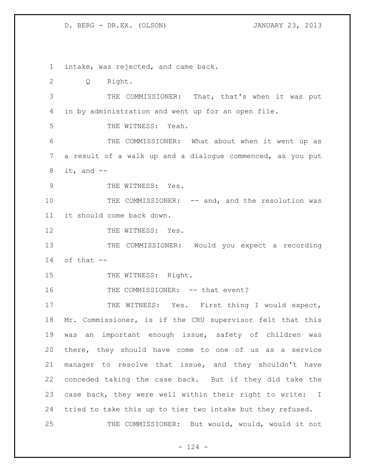intake, was rejected, and came back. Q Right. THE COMMISSIONER: That, that's when it was put in by administration and went up for an open file. THE WITNESS: Yeah. THE COMMISSIONER: What about when it went up as a result of a walk up and a dialogue commenced, as you put it, and  $-$ 9 THE WITNESS: Yes. 10 THE COMMISSIONER: -- and, and the resolution was it should come back down. 12 THE WITNESS: Yes. THE COMMISSIONER: Would you expect a recording 14 of that  $-$ 15 THE WITNESS: Right. 16 THE COMMISSIONER: -- that event? 17 THE WITNESS: Yes. First thing I would expect, Mr. Commissioner, is if the CRU supervisor felt that this was an important enough issue, safety of children was there, they should have come to one of us as a service manager to resolve that issue, and they shouldn't have conceded taking the case back. But if they did take the case back, they were well within their right to write: I tried to take this up to tier two intake but they refused. THE COMMISSIONER: But would, would, would it not

 $- 124 -$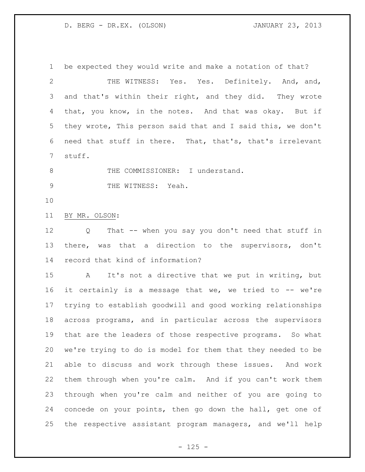be expected they would write and make a notation of that? THE WITNESS: Yes. Yes. Definitely. And, and, and that's within their right, and they did. They wrote that, you know, in the notes. And that was okay. But if they wrote, This person said that and I said this, we don't need that stuff in there. That, that's, that's irrelevant stuff. 8 THE COMMISSIONER: I understand. 9 THE WITNESS: Yeah. BY MR. OLSON: Q That -- when you say you don't need that stuff in there, was that a direction to the supervisors, don't record that kind of information? A It's not a directive that we put in writing, but it certainly is a message that we, we tried to -- we're trying to establish goodwill and good working relationships across programs, and in particular across the supervisors that are the leaders of those respective programs. So what we're trying to do is model for them that they needed to be able to discuss and work through these issues. And work them through when you're calm. And if you can't work them through when you're calm and neither of you are going to concede on your points, then go down the hall, get one of

the respective assistant program managers, and we'll help

 $- 125 -$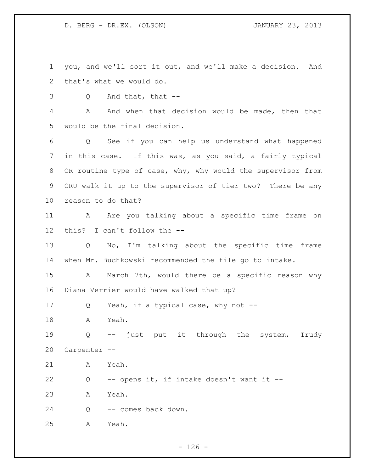you, and we'll sort it out, and we'll make a decision. And that's what we would do.

Q And that, that --

 A And when that decision would be made, then that would be the final decision.

 Q See if you can help us understand what happened in this case. If this was, as you said, a fairly typical 8 OR routine type of case, why, why would the supervisor from CRU walk it up to the supervisor of tier two? There be any reason to do that?

11 A Are you talking about a specific time frame on this? I can't follow the --

 Q No, I'm talking about the specific time frame when Mr. Buchkowski recommended the file go to intake.

 A March 7th, would there be a specific reason why Diana Verrier would have walked that up?

Q Yeah, if a typical case, why not --

A Yeah.

 Q -- just put it through the system, Trudy Carpenter --

A Yeah.

Q -- opens it, if intake doesn't want it --

A Yeah.

Q -- comes back down.

A Yeah.

 $- 126 -$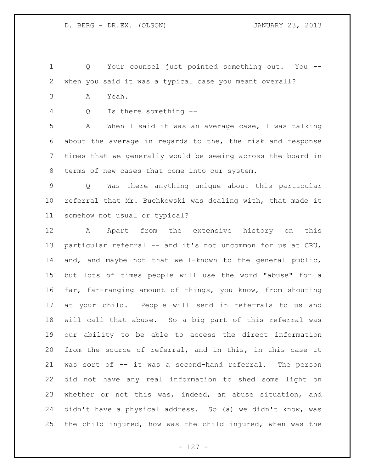Q Your counsel just pointed something out. You -- when you said it was a typical case you meant overall?

A Yeah.

Q Is there something --

 A When I said it was an average case, I was talking about the average in regards to the, the risk and response times that we generally would be seeing across the board in terms of new cases that come into our system.

 Q Was there anything unique about this particular referral that Mr. Buchkowski was dealing with, that made it somehow not usual or typical?

 A Apart from the extensive history on this 13 particular referral -- and it's not uncommon for us at CRU, and, and maybe not that well-known to the general public, but lots of times people will use the word "abuse" for a far, far-ranging amount of things, you know, from shouting at your child. People will send in referrals to us and will call that abuse. So a big part of this referral was our ability to be able to access the direct information from the source of referral, and in this, in this case it was sort of -- it was a second-hand referral. The person did not have any real information to shed some light on whether or not this was, indeed, an abuse situation, and 24 didn't have a physical address. So (a) we didn't know, was the child injured, how was the child injured, when was the

- 127 -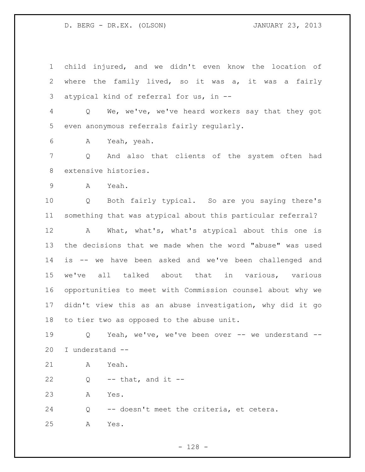child injured, and we didn't even know the location of where the family lived, so it was a, it was a fairly atypical kind of referral for us, in --

 Q We, we've, we've heard workers say that they got even anonymous referrals fairly regularly.

A Yeah, yeah.

 Q And also that clients of the system often had extensive histories.

A Yeah.

 Q Both fairly typical. So are you saying there's something that was atypical about this particular referral?

 A What, what's, what's atypical about this one is the decisions that we made when the word "abuse" was used is -- we have been asked and we've been challenged and we've all talked about that in various, various opportunities to meet with Commission counsel about why we didn't view this as an abuse investigation, why did it go to tier two as opposed to the abuse unit.

 Q Yeah, we've, we've been over -- we understand -- I understand --

A Yeah.

 $22 \qquad Q \qquad -- \text{ that, and it --}$ 

A Yes.

Q -- doesn't meet the criteria, et cetera.

A Yes.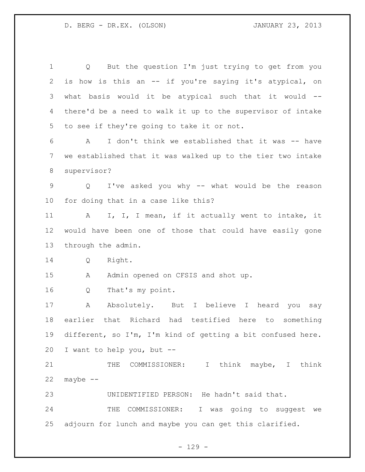Q But the question I'm just trying to get from you is how is this an -- if you're saying it's atypical, on what basis would it be atypical such that it would -- there'd be a need to walk it up to the supervisor of intake to see if they're going to take it or not. A I don't think we established that it was -- have we established that it was walked up to the tier two intake supervisor? Q I've asked you why -- what would be the reason for doing that in a case like this? 11 A I, I, I mean, if it actually went to intake, it would have been one of those that could have easily gone through the admin. Q Right. 15 A Admin opened on CFSIS and shot up. Q That's my point. 17 A Absolutely. But I believe I heard you say earlier that Richard had testified here to something different, so I'm, I'm kind of getting a bit confused here. I want to help you, but -- 21 THE COMMISSIONER: I think maybe, I think maybe  $--$  UNIDENTIFIED PERSON: He hadn't said that. THE COMMISSIONER: I was going to suggest we adjourn for lunch and maybe you can get this clarified.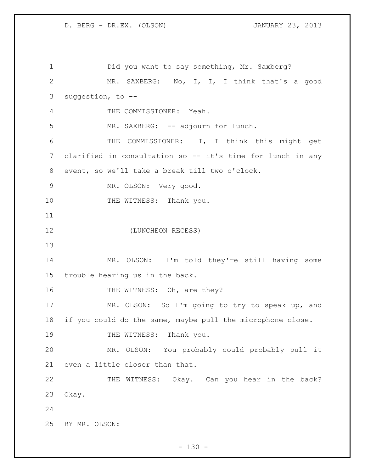Did you want to say something, Mr. Saxberg? MR. SAXBERG: No, I, I, I think that's a good suggestion, to -- THE COMMISSIONER: Yeah. 5 MR. SAXBERG: -- adjourn for lunch. THE COMMISSIONER: I, I think this might get clarified in consultation so -- it's time for lunch in any event, so we'll take a break till two o'clock. MR. OLSON: Very good. 10 THE WITNESS: Thank you. (LUNCHEON RECESS) MR. OLSON: I'm told they're still having some trouble hearing us in the back. 16 THE WITNESS: Oh, are they? MR. OLSON: So I'm going to try to speak up, and if you could do the same, maybe pull the microphone close. 19 THE WITNESS: Thank you. MR. OLSON: You probably could probably pull it even a little closer than that. 22 THE WITNESS: Okay. Can you hear in the back? Okay. BY MR. OLSON: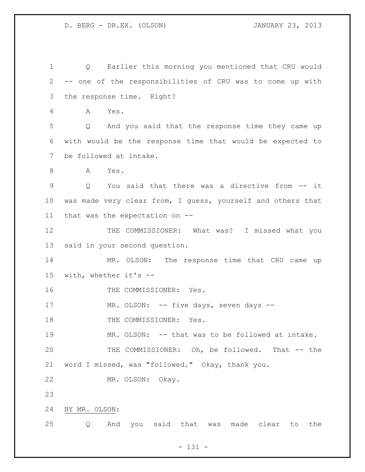Q Earlier this morning you mentioned that CRU would -- one of the responsibilities of CRU was to come up with the response time. Right? A Yes. Q And you said that the response time they came up with would be the response time that would be expected to be followed at intake. 8 A Yes. Q You said that there was a directive from -- it was made very clear from, I guess, yourself and others that that was the expectation on -- THE COMMISSIONER: What was? I missed what you said in your second question. MR. OLSON: The response time that CRU came up with, whether it's -- 16 THE COMMISSIONER: Yes. 17 MR. OLSON: -- five days, seven days --18 THE COMMISSIONER: Yes. MR. OLSON: -- that was to be followed at intake. THE COMMISSIONER: Oh, be followed. That -- the word I missed, was "followed." Okay, thank you. MR. OLSON: Okay. BY MR. OLSON: Q And you said that was made clear to the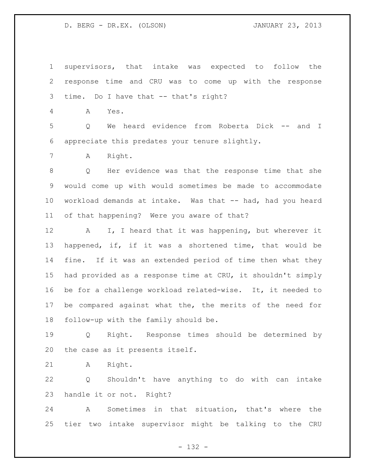supervisors, that intake was expected to follow the response time and CRU was to come up with the response time. Do I have that -- that's right? A Yes. Q We heard evidence from Roberta Dick -- and I appreciate this predates your tenure slightly. A Right. Q Her evidence was that the response time that she would come up with would sometimes be made to accommodate 10 workload demands at intake. Was that -- had, had you heard of that happening? Were you aware of that? 12 A I, I heard that it was happening, but wherever it happened, if, if it was a shortened time, that would be fine. If it was an extended period of time then what they had provided as a response time at CRU, it shouldn't simply be for a challenge workload related-wise. It, it needed to be compared against what the, the merits of the need for follow-up with the family should be. Q Right. Response times should be determined by the case as it presents itself. A Right. Q Shouldn't have anything to do with can intake

 A Sometimes in that situation, that's where the tier two intake supervisor might be talking to the CRU

handle it or not. Right?

- 132 -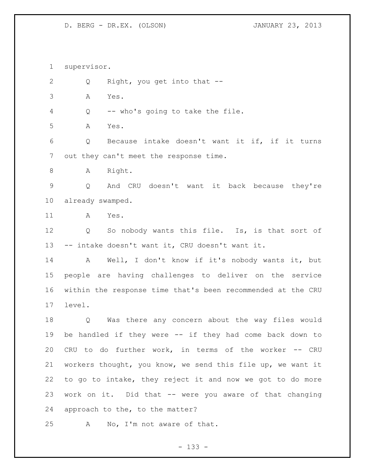supervisor.

2 Q Right, you get into that --

A Yes.

Q -- who's going to take the file.

A Yes.

 Q Because intake doesn't want it if, if it turns out they can't meet the response time.

8 A Right.

 Q And CRU doesn't want it back because they're already swamped.

A Yes.

12 Q So nobody wants this file. Is, is that sort of -- intake doesn't want it, CRU doesn't want it.

 A Well, I don't know if it's nobody wants it, but people are having challenges to deliver on the service within the response time that's been recommended at the CRU level.

 Q Was there any concern about the way files would be handled if they were -- if they had come back down to CRU to do further work, in terms of the worker -- CRU workers thought, you know, we send this file up, we want it to go to intake, they reject it and now we got to do more work on it. Did that -- were you aware of that changing approach to the, to the matter?

A No, I'm not aware of that.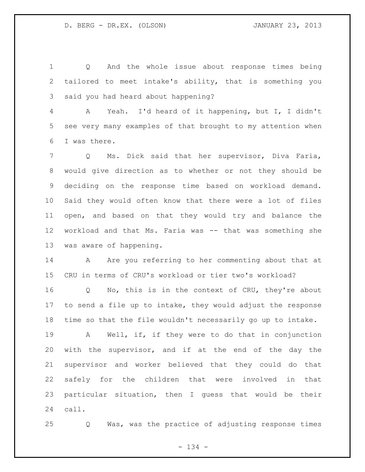Q And the whole issue about response times being tailored to meet intake's ability, that is something you said you had heard about happening?

 A Yeah. I'd heard of it happening, but I, I didn't see very many examples of that brought to my attention when I was there.

 Q Ms. Dick said that her supervisor, Diva Faria, would give direction as to whether or not they should be deciding on the response time based on workload demand. Said they would often know that there were a lot of files open, and based on that they would try and balance the workload and that Ms. Faria was -- that was something she was aware of happening.

14 A Are you referring to her commenting about that at CRU in terms of CRU's workload or tier two's workload?

 Q No, this is in the context of CRU, they're about to send a file up to intake, they would adjust the response time so that the file wouldn't necessarily go up to intake.

 A Well, if, if they were to do that in conjunction with the supervisor, and if at the end of the day the supervisor and worker believed that they could do that safely for the children that were involved in that particular situation, then I guess that would be their call.

Q Was, was the practice of adjusting response times

- 134 -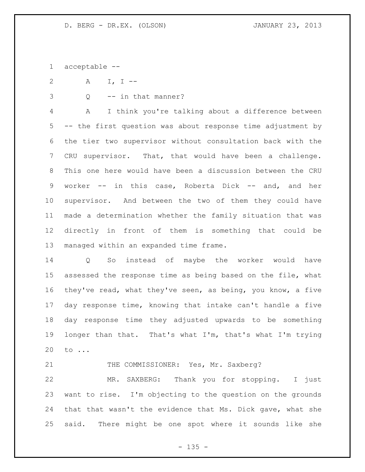acceptable --

A I, I --

Q -- in that manner?

 A I think you're talking about a difference between -- the first question was about response time adjustment by the tier two supervisor without consultation back with the CRU supervisor. That, that would have been a challenge. This one here would have been a discussion between the CRU worker -- in this case, Roberta Dick -- and, and her supervisor. And between the two of them they could have made a determination whether the family situation that was directly in front of them is something that could be managed within an expanded time frame.

 Q So instead of maybe the worker would have assessed the response time as being based on the file, what they've read, what they've seen, as being, you know, a five day response time, knowing that intake can't handle a five day response time they adjusted upwards to be something longer than that. That's what I'm, that's what I'm trying to ...

21 THE COMMISSIONER: Yes, Mr. Saxberg?

 MR. SAXBERG: Thank you for stopping. I just want to rise. I'm objecting to the question on the grounds that that wasn't the evidence that Ms. Dick gave, what she said. There might be one spot where it sounds like she

 $- 135 -$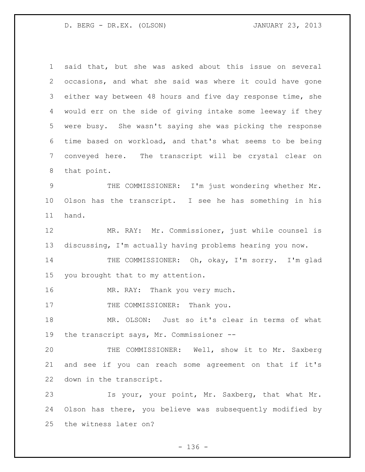said that, but she was asked about this issue on several occasions, and what she said was where it could have gone either way between 48 hours and five day response time, she would err on the side of giving intake some leeway if they were busy. She wasn't saying she was picking the response time based on workload, and that's what seems to be being conveyed here. The transcript will be crystal clear on that point. THE COMMISSIONER: I'm just wondering whether Mr. Olson has the transcript. I see he has something in his hand. MR. RAY: Mr. Commissioner, just while counsel is discussing, I'm actually having problems hearing you now. THE COMMISSIONER: Oh, okay, I'm sorry. I'm glad you brought that to my attention. 16 MR. RAY: Thank you very much. 17 THE COMMISSIONER: Thank you. MR. OLSON: Just so it's clear in terms of what the transcript says, Mr. Commissioner -- THE COMMISSIONER: Well, show it to Mr. Saxberg and see if you can reach some agreement on that if it's down in the transcript. Is your, your point, Mr. Saxberg, that what Mr. Olson has there, you believe was subsequently modified by the witness later on?

- 136 -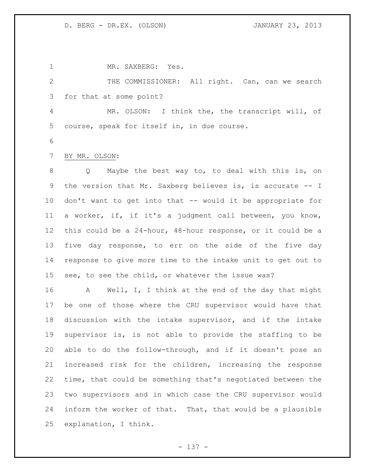MR. SAXBERG: Yes.

 THE COMMISSIONER: All right. Can, can we search for that at some point?

 MR. OLSON: I think the, the transcript will, of course, speak for itself in, in due course.

- 
- BY MR. OLSON:

 Q Maybe the best way to, to deal with this is, on the version that Mr. Saxberg believes is, is accurate -- I don't want to get into that -- would it be appropriate for a worker, if, if it's a judgment call between, you know, this could be a 24-hour, 48-hour response, or it could be a five day response, to err on the side of the five day response to give more time to the intake unit to get out to see, to see the child, or whatever the issue was?

 A Well, I, I think at the end of the day that might be one of those where the CRU supervisor would have that discussion with the intake supervisor, and if the intake supervisor is, is not able to provide the staffing to be able to do the follow-through, and if it doesn't pose an increased risk for the children, increasing the response time, that could be something that's negotiated between the two supervisors and in which case the CRU supervisor would inform the worker of that. That, that would be a plausible explanation, I think.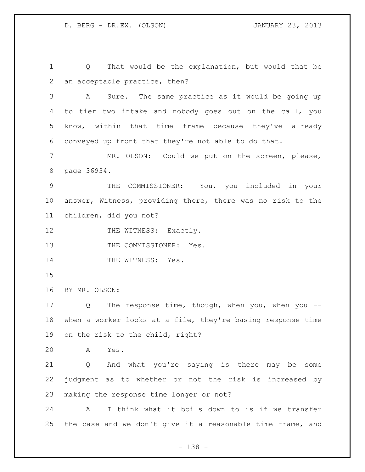Q That would be the explanation, but would that be an acceptable practice, then? A Sure. The same practice as it would be going up to tier two intake and nobody goes out on the call, you know, within that time frame because they've already conveyed up front that they're not able to do that. MR. OLSON: Could we put on the screen, please, page 36934. THE COMMISSIONER: You, you included in your answer, Witness, providing there, there was no risk to the children, did you not? 12 THE WITNESS: Exactly. 13 THE COMMISSIONER: Yes. 14 THE WITNESS: Yes. BY MR. OLSON: 17 Q The response time, though, when you, when you -- when a worker looks at a file, they're basing response time on the risk to the child, right? A Yes. Q And what you're saying is there may be some judgment as to whether or not the risk is increased by making the response time longer or not? A I think what it boils down to is if we transfer

- 138 -

the case and we don't give it a reasonable time frame, and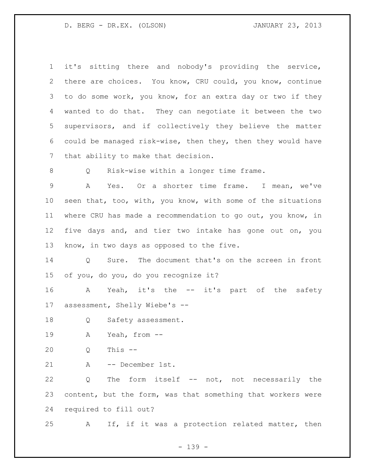it's sitting there and nobody's providing the service, there are choices. You know, CRU could, you know, continue to do some work, you know, for an extra day or two if they wanted to do that. They can negotiate it between the two supervisors, and if collectively they believe the matter could be managed risk-wise, then they, then they would have that ability to make that decision. Q Risk-wise within a longer time frame. A Yes. Or a shorter time frame. I mean, we've seen that, too, with, you know, with some of the situations where CRU has made a recommendation to go out, you know, in five days and, and tier two intake has gone out on, you know, in two days as opposed to the five. Q Sure. The document that's on the screen in front of you, do you, do you recognize it? A Yeah, it's the -- it's part of the safety assessment, Shelly Wiebe's -- 18 Q Safety assessment. A Yeah, from -- Q This -- A -- December 1st. Q The form itself -- not, not necessarily the content, but the form, was that something that workers were required to fill out? A If, if it was a protection related matter, then

- 139 -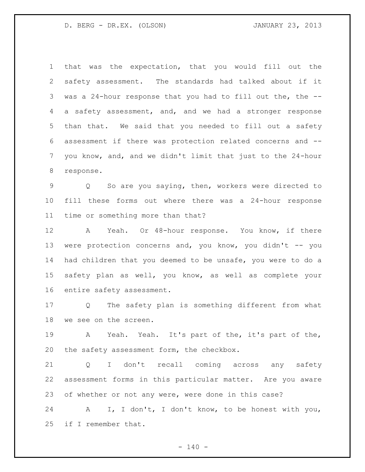that was the expectation, that you would fill out the safety assessment. The standards had talked about if it was a 24-hour response that you had to fill out the, the -- a safety assessment, and, and we had a stronger response than that. We said that you needed to fill out a safety assessment if there was protection related concerns and -- you know, and, and we didn't limit that just to the 24-hour response.

 Q So are you saying, then, workers were directed to fill these forms out where there was a 24-hour response time or something more than that?

 A Yeah. Or 48-hour response. You know, if there were protection concerns and, you know, you didn't -- you had children that you deemed to be unsafe, you were to do a safety plan as well, you know, as well as complete your entire safety assessment.

 Q The safety plan is something different from what we see on the screen.

 A Yeah. Yeah. It's part of the, it's part of the, the safety assessment form, the checkbox.

 Q I don't recall coming across any safety assessment forms in this particular matter. Are you aware of whether or not any were, were done in this case?

 A I, I don't, I don't know, to be honest with you, if I remember that.

 $- 140 -$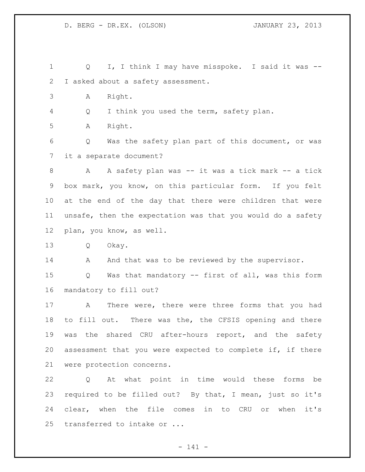Q I, I think I may have misspoke. I said it was -- I asked about a safety assessment. A Right. Q I think you used the term, safety plan. A Right. Q Was the safety plan part of this document, or was it a separate document? 8 A A safety plan was -- it was a tick mark -- a tick box mark, you know, on this particular form. If you felt at the end of the day that there were children that were unsafe, then the expectation was that you would do a safety plan, you know, as well. Q Okay. 14 And that was to be reviewed by the supervisor. Q Was that mandatory -- first of all, was this form mandatory to fill out? A There were, there were three forms that you had to fill out. There was the, the CFSIS opening and there 19 was the shared CRU after-hours report, and the safety assessment that you were expected to complete if, if there were protection concerns. Q At what point in time would these forms be required to be filled out? By that, I mean, just so it's clear, when the file comes in to CRU or when it's transferred to intake or ...

- 141 -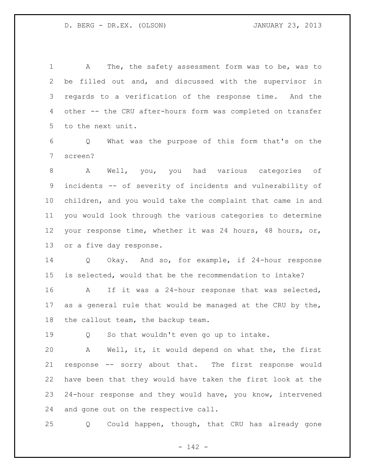A The, the safety assessment form was to be, was to be filled out and, and discussed with the supervisor in regards to a verification of the response time. And the other -- the CRU after-hours form was completed on transfer to the next unit.

 Q What was the purpose of this form that's on the screen?

 A Well, you, you had various categories of incidents -- of severity of incidents and vulnerability of children, and you would take the complaint that came in and you would look through the various categories to determine your response time, whether it was 24 hours, 48 hours, or, or a five day response.

 Q Okay. And so, for example, if 24-hour response is selected, would that be the recommendation to intake?

 A If it was a 24-hour response that was selected, as a general rule that would be managed at the CRU by the, the callout team, the backup team.

Q So that wouldn't even go up to intake.

 A Well, it, it would depend on what the, the first response -- sorry about that. The first response would have been that they would have taken the first look at the 24-hour response and they would have, you know, intervened and gone out on the respective call.

Q Could happen, though, that CRU has already gone

- 142 -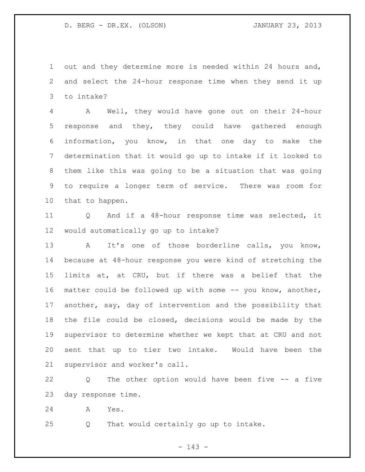out and they determine more is needed within 24 hours and, and select the 24-hour response time when they send it up to intake?

 A Well, they would have gone out on their 24-hour response and they, they could have gathered enough information, you know, in that one day to make the determination that it would go up to intake if it looked to them like this was going to be a situation that was going to require a longer term of service. There was room for that to happen.

 Q And if a 48-hour response time was selected, it would automatically go up to intake?

 A It's one of those borderline calls, you know, because at 48-hour response you were kind of stretching the limits at, at CRU, but if there was a belief that the matter could be followed up with some -- you know, another, another, say, day of intervention and the possibility that the file could be closed, decisions would be made by the supervisor to determine whether we kept that at CRU and not sent that up to tier two intake. Would have been the supervisor and worker's call.

 Q The other option would have been five -- a five day response time.

A Yes.

Q That would certainly go up to intake.

- 143 -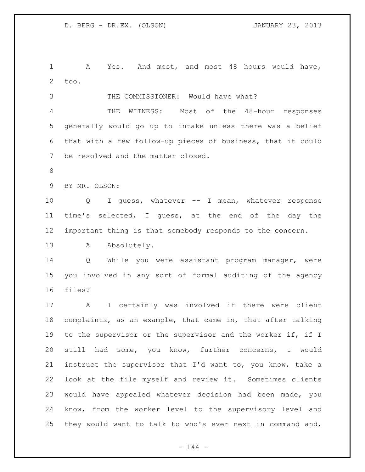A Yes. And most, and most 48 hours would have, too.

 THE COMMISSIONER: Would have what? THE WITNESS: Most of the 48-hour responses generally would go up to intake unless there was a belief that with a few follow-up pieces of business, that it could be resolved and the matter closed.

BY MR. OLSON:

 Q I guess, whatever -- I mean, whatever response time's selected, I guess, at the end of the day the important thing is that somebody responds to the concern.

13 A Absolutely.

 Q While you were assistant program manager, were you involved in any sort of formal auditing of the agency files?

 A I certainly was involved if there were client complaints, as an example, that came in, that after talking 19 to the supervisor or the supervisor and the worker if, if I still had some, you know, further concerns, I would instruct the supervisor that I'd want to, you know, take a look at the file myself and review it. Sometimes clients would have appealed whatever decision had been made, you know, from the worker level to the supervisory level and they would want to talk to who's ever next in command and,

 $- 144 -$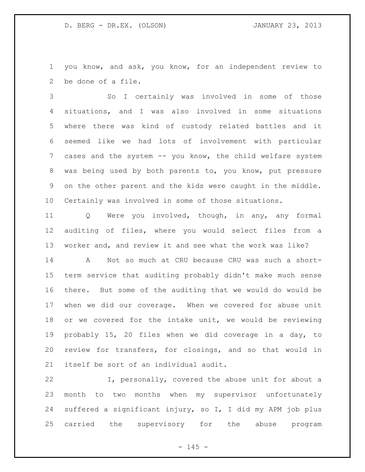you know, and ask, you know, for an independent review to be done of a file.

 So I certainly was involved in some of those situations, and I was also involved in some situations where there was kind of custody related battles and it seemed like we had lots of involvement with particular cases and the system -- you know, the child welfare system was being used by both parents to, you know, put pressure on the other parent and the kids were caught in the middle. Certainly was involved in some of those situations.

 Q Were you involved, though, in any, any formal auditing of files, where you would select files from a worker and, and review it and see what the work was like?

 A Not so much at CRU because CRU was such a short- term service that auditing probably didn't make much sense there. But some of the auditing that we would do would be when we did our coverage. When we covered for abuse unit or we covered for the intake unit, we would be reviewing probably 15, 20 files when we did coverage in a day, to review for transfers, for closings, and so that would in itself be sort of an individual audit.

 I, personally, covered the abuse unit for about a month to two months when my supervisor unfortunately suffered a significant injury, so I, I did my APM job plus carried the supervisory for the abuse program

 $- 145 -$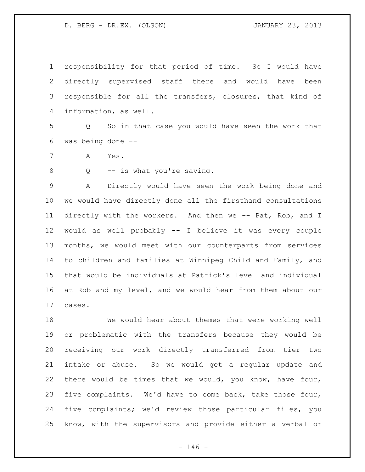responsibility for that period of time. So I would have directly supervised staff there and would have been responsible for all the transfers, closures, that kind of information, as well.

 Q So in that case you would have seen the work that was being done --

A Yes.

8 Q -- is what you're saying.

 A Directly would have seen the work being done and we would have directly done all the firsthand consultations directly with the workers. And then we -- Pat, Rob, and I would as well probably -- I believe it was every couple months, we would meet with our counterparts from services to children and families at Winnipeg Child and Family, and that would be individuals at Patrick's level and individual at Rob and my level, and we would hear from them about our cases.

 We would hear about themes that were working well or problematic with the transfers because they would be receiving our work directly transferred from tier two intake or abuse. So we would get a regular update and there would be times that we would, you know, have four, five complaints. We'd have to come back, take those four, five complaints; we'd review those particular files, you know, with the supervisors and provide either a verbal or

 $- 146 -$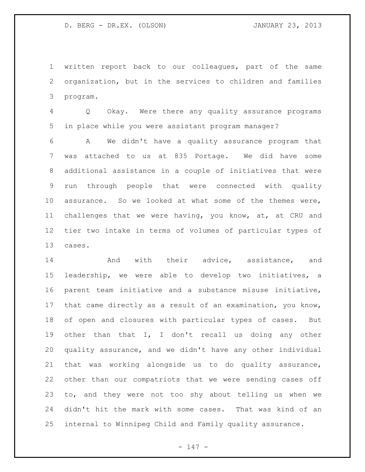written report back to our colleagues, part of the same organization, but in the services to children and families program.

 Q Okay. Were there any quality assurance programs in place while you were assistant program manager?

 A We didn't have a quality assurance program that was attached to us at 835 Portage. We did have some additional assistance in a couple of initiatives that were run through people that were connected with quality assurance. So we looked at what some of the themes were, challenges that we were having, you know, at, at CRU and tier two intake in terms of volumes of particular types of cases.

14 and with their advice, assistance, and leadership, we were able to develop two initiatives, a parent team initiative and a substance misuse initiative, that came directly as a result of an examination, you know, of open and closures with particular types of cases. But other than that I, I don't recall us doing any other quality assurance, and we didn't have any other individual that was working alongside us to do quality assurance, other than our compatriots that we were sending cases off to, and they were not too shy about telling us when we didn't hit the mark with some cases. That was kind of an internal to Winnipeg Child and Family quality assurance.

- 147 -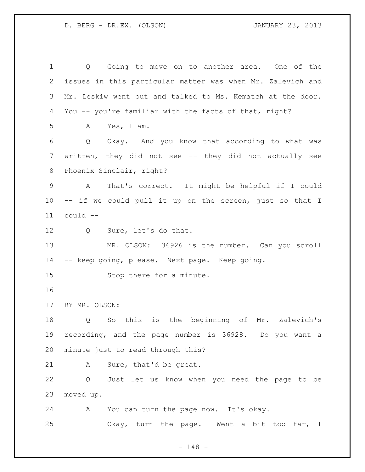Q Going to move on to another area. One of the issues in this particular matter was when Mr. Zalevich and Mr. Leskiw went out and talked to Ms. Kematch at the door. You -- you're familiar with the facts of that, right? A Yes, I am. Q Okay. And you know that according to what was written, they did not see -- they did not actually see Phoenix Sinclair, right? A That's correct. It might be helpful if I could -- if we could pull it up on the screen, just so that I could -- Q Sure, let's do that. MR. OLSON: 36926 is the number. Can you scroll -- keep going, please. Next page. Keep going. Stop there for a minute. BY MR. OLSON: Q So this is the beginning of Mr. Zalevich's recording, and the page number is 36928. Do you want a minute just to read through this? A Sure, that'd be great. Q Just let us know when you need the page to be moved up. A You can turn the page now. It's okay. Okay, turn the page. Went a bit too far, I

- 148 -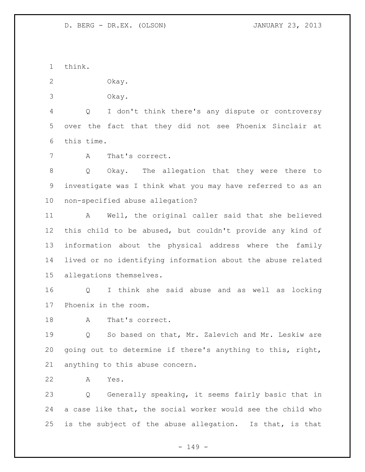think.

Okay.

Okay.

 Q I don't think there's any dispute or controversy over the fact that they did not see Phoenix Sinclair at this time.

A That's correct.

 Q Okay. The allegation that they were there to investigate was I think what you may have referred to as an non-specified abuse allegation?

 A Well, the original caller said that she believed this child to be abused, but couldn't provide any kind of information about the physical address where the family lived or no identifying information about the abuse related allegations themselves.

 Q I think she said abuse and as well as locking Phoenix in the room.

18 A That's correct.

 Q So based on that, Mr. Zalevich and Mr. Leskiw are going out to determine if there's anything to this, right, anything to this abuse concern.

A Yes.

 Q Generally speaking, it seems fairly basic that in a case like that, the social worker would see the child who is the subject of the abuse allegation. Is that, is that

- 149 -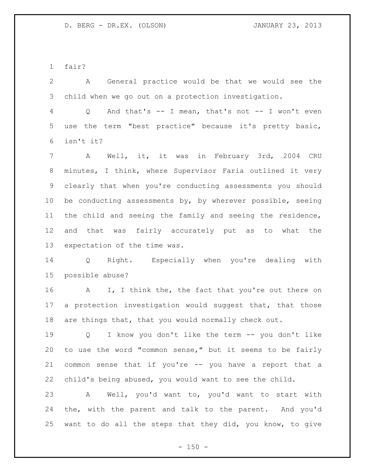fair?

 A General practice would be that we would see the child when we go out on a protection investigation.

 Q And that's -- I mean, that's not -- I won't even use the term "best practice" because it's pretty basic, isn't it?

 A Well, it, it was in February 3rd, 2004 CRU minutes, I think, where Supervisor Faria outlined it very clearly that when you're conducting assessments you should 10 be conducting assessments by, by wherever possible, seeing the child and seeing the family and seeing the residence, and that was fairly accurately put as to what the expectation of the time was.

 Q Right. Especially when you're dealing with possible abuse?

16 A I, I think the, the fact that you're out there on 17 a protection investigation would suggest that, that those are things that, that you would normally check out.

 Q I know you don't like the term -- you don't like to use the word "common sense," but it seems to be fairly common sense that if you're -- you have a report that a child's being abused, you would want to see the child.

 A Well, you'd want to, you'd want to start with the, with the parent and talk to the parent. And you'd want to do all the steps that they did, you know, to give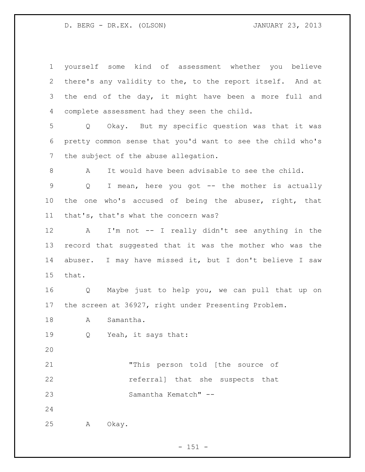yourself some kind of assessment whether you believe there's any validity to the, to the report itself. And at the end of the day, it might have been a more full and complete assessment had they seen the child. Q Okay. But my specific question was that it was pretty common sense that you'd want to see the child who's the subject of the abuse allegation. A It would have been advisable to see the child. Q I mean, here you got -- the mother is actually the one who's accused of being the abuser, right, that that's, that's what the concern was? A I'm not -- I really didn't see anything in the record that suggested that it was the mother who was the abuser. I may have missed it, but I don't believe I saw that. Q Maybe just to help you, we can pull that up on the screen at 36927, right under Presenting Problem. 18 A Samantha. Q Yeah, it says that: "This person told [the source of referral] that she suspects that Samantha Kematch" -- A Okay.

 $- 151 -$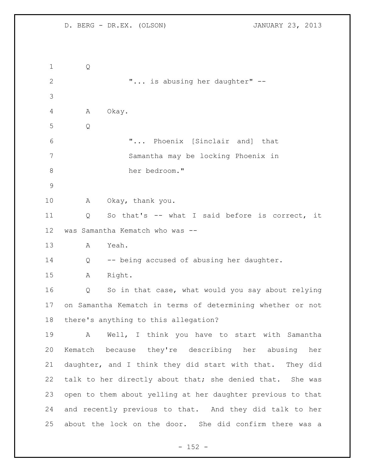Q  $\ldots$  "... is abusing her daughter" -- A Okay. Q "... Phoenix [Sinclair and] that Samantha may be locking Phoenix in her bedroom." A Okay, thank you. Q So that's -- what I said before is correct, it was Samantha Kematch who was -- A Yeah. Q -- being accused of abusing her daughter. A Right. Q So in that case, what would you say about relying on Samantha Kematch in terms of determining whether or not there's anything to this allegation? A Well, I think you have to start with Samantha Kematch because they're describing her abusing her daughter, and I think they did start with that. They did talk to her directly about that; she denied that. She was open to them about yelling at her daughter previous to that and recently previous to that. And they did talk to her about the lock on the door. She did confirm there was a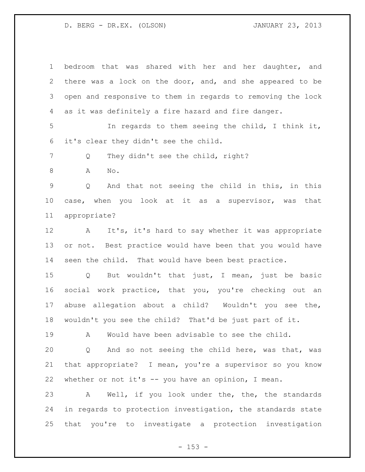bedroom that was shared with her and her daughter, and there was a lock on the door, and, and she appeared to be open and responsive to them in regards to removing the lock as it was definitely a fire hazard and fire danger. In regards to them seeing the child, I think it, it's clear they didn't see the child. 7 Q They didn't see the child, right? A No. Q And that not seeing the child in this, in this case, when you look at it as a supervisor, was that appropriate? A It's, it's hard to say whether it was appropriate or not. Best practice would have been that you would have seen the child. That would have been best practice. Q But wouldn't that just, I mean, just be basic social work practice, that you, you're checking out an abuse allegation about a child? Wouldn't you see the, wouldn't you see the child? That'd be just part of it. A Would have been advisable to see the child. Q And so not seeing the child here, was that, was that appropriate? I mean, you're a supervisor so you know whether or not it's -- you have an opinion, I mean. A Well, if you look under the, the, the standards in regards to protection investigation, the standards state that you're to investigate a protection investigation

 $- 153 -$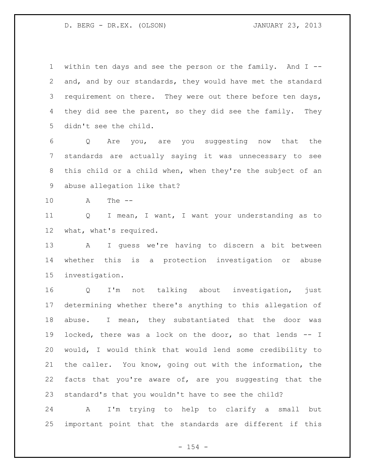within ten days and see the person or the family. And I -- and, and by our standards, they would have met the standard 3 requirement on there. They were out there before ten days, 4 they did see the parent, so they did see the family. They didn't see the child.

 Q Are you, are you suggesting now that the standards are actually saying it was unnecessary to see this child or a child when, when they're the subject of an abuse allegation like that?

A The --

 Q I mean, I want, I want your understanding as to what, what's required.

 A I guess we're having to discern a bit between whether this is a protection investigation or abuse investigation.

 Q I'm not talking about investigation, just determining whether there's anything to this allegation of abuse. I mean, they substantiated that the door was locked, there was a lock on the door, so that lends -- I would, I would think that would lend some credibility to the caller. You know, going out with the information, the facts that you're aware of, are you suggesting that the standard's that you wouldn't have to see the child?

 A I'm trying to help to clarify a small but important point that the standards are different if this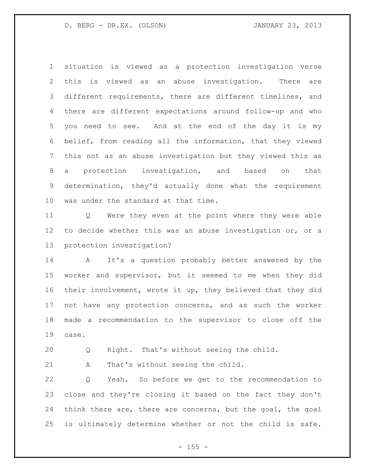situation is viewed as a protection investigation verse this is viewed as an abuse investigation. There are different requirements, there are different timelines, and there are different expectations around follow-up and who you need to see. And at the end of the day it is my belief, from reading all the information, that they viewed this not as an abuse investigation but they viewed this as a protection investigation, and based on that determination, they'd actually done what the requirement was under the standard at that time.

 Q Were they even at the point where they were able to decide whether this was an abuse investigation or, or a protection investigation?

 A It's a question probably better answered by the worker and supervisor, but it seemed to me when they did their involvement, wrote it up, they believed that they did not have any protection concerns, and as such the worker made a recommendation to the supervisor to close off the case.

Q Right. That's without seeing the child.

A That's without seeing the child.

 Q Yeah. So before we get to the recommendation to close and they're closing it based on the fact they don't think there are, there are concerns, but the goal, the goal is ultimately determine whether or not the child is safe.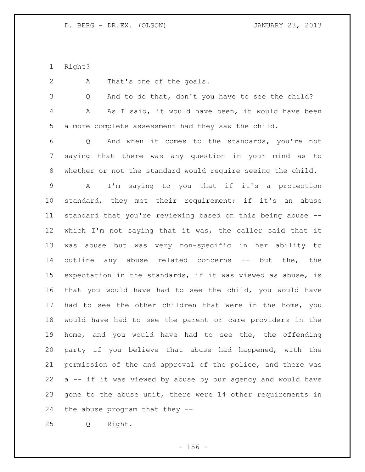Right?

A That's one of the goals.

 Q And to do that, don't you have to see the child? A As I said, it would have been, it would have been a more complete assessment had they saw the child.

 Q And when it comes to the standards, you're not saying that there was any question in your mind as to whether or not the standard would require seeing the child.

 A I'm saying to you that if it's a protection standard, they met their requirement; if it's an abuse standard that you're reviewing based on this being abuse -- which I'm not saying that it was, the caller said that it was abuse but was very non-specific in her ability to outline any abuse related concerns -- but the, the expectation in the standards, if it was viewed as abuse, is that you would have had to see the child, you would have had to see the other children that were in the home, you would have had to see the parent or care providers in the home, and you would have had to see the, the offending party if you believe that abuse had happened, with the permission of the and approval of the police, and there was a -- if it was viewed by abuse by our agency and would have gone to the abuse unit, there were 14 other requirements in the abuse program that they --

Q Right.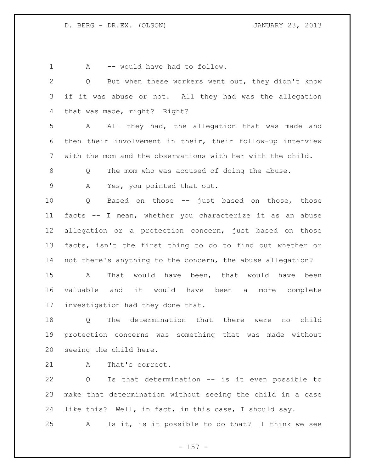1 A -- would have had to follow. Q But when these workers went out, they didn't know if it was abuse or not. All they had was the allegation that was made, right? Right? A All they had, the allegation that was made and then their involvement in their, their follow-up interview with the mom and the observations with her with the child. Q The mom who was accused of doing the abuse. A Yes, you pointed that out. Q Based on those -- just based on those, those facts -- I mean, whether you characterize it as an abuse allegation or a protection concern, just based on those facts, isn't the first thing to do to find out whether or not there's anything to the concern, the abuse allegation? A That would have been, that would have been valuable and it would have been a more complete investigation had they done that.

 Q The determination that there were no child protection concerns was something that was made without seeing the child here.

21 A That's correct.

 Q Is that determination -- is it even possible to make that determination without seeing the child in a case like this? Well, in fact, in this case, I should say.

A Is it, is it possible to do that? I think we see

 $- 157 -$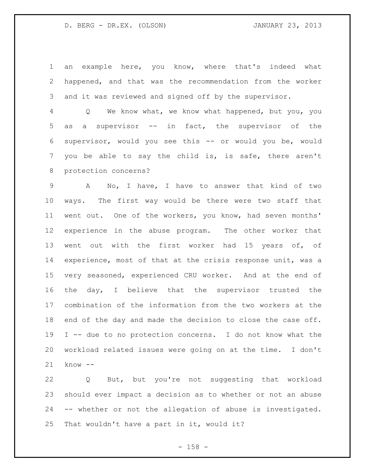an example here, you know, where that's indeed what happened, and that was the recommendation from the worker and it was reviewed and signed off by the supervisor.

 Q We know what, we know what happened, but you, you as a supervisor -- in fact, the supervisor of the supervisor, would you see this -- or would you be, would you be able to say the child is, is safe, there aren't protection concerns?

 A No, I have, I have to answer that kind of two ways. The first way would be there were two staff that went out. One of the workers, you know, had seven months' experience in the abuse program. The other worker that went out with the first worker had 15 years of, of experience, most of that at the crisis response unit, was a very seasoned, experienced CRU worker. And at the end of the day, I believe that the supervisor trusted the combination of the information from the two workers at the 18 end of the day and made the decision to close the case off. I -- due to no protection concerns. I do not know what the workload related issues were going on at the time. I don't know --

 Q But, but you're not suggesting that workload should ever impact a decision as to whether or not an abuse -- whether or not the allegation of abuse is investigated. That wouldn't have a part in it, would it?

- 158 -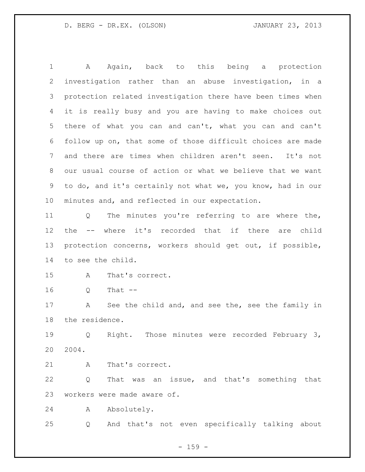A Again, back to this being a protection investigation rather than an abuse investigation, in a protection related investigation there have been times when it is really busy and you are having to make choices out there of what you can and can't, what you can and can't follow up on, that some of those difficult choices are made and there are times when children aren't seen. It's not our usual course of action or what we believe that we want to do, and it's certainly not what we, you know, had in our minutes and, and reflected in our expectation.

 Q The minutes you're referring to are where the, the -- where it's recorded that if there are child protection concerns, workers should get out, if possible, to see the child.

A That's correct.

Q That --

 A See the child and, and see the, see the family in the residence.

 Q Right. Those minutes were recorded February 3, 2004.

A That's correct.

 Q That was an issue, and that's something that workers were made aware of.

A Absolutely.

Q And that's not even specifically talking about

 $- 159 -$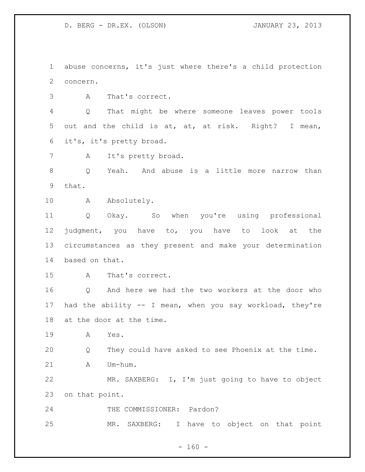abuse concerns, it's just where there's a child protection concern.

A That's correct.

 Q That might be where someone leaves power tools out and the child is at, at, at risk. Right? I mean, it's, it's pretty broad.

A It's pretty broad.

 Q Yeah. And abuse is a little more narrow than that.

10 A Absolutely.

 Q Okay. So when you're using professional judgment, you have to, you have to look at the circumstances as they present and make your determination based on that.

A That's correct.

 Q And here we had the two workers at the door who had the ability -- I mean, when you say workload, they're at the door at the time.

A Yes.

Q They could have asked to see Phoenix at the time.

21 A Um-hum.

 MR. SAXBERG: I, I'm just going to have to object on that point.

THE COMMISSIONER: Pardon?

MR. SAXBERG: I have to object on that point

 $- 160 -$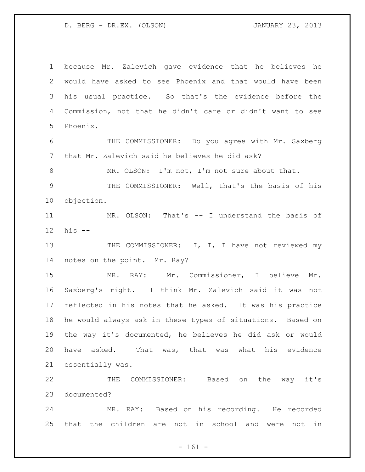because Mr. Zalevich gave evidence that he believes he would have asked to see Phoenix and that would have been his usual practice. So that's the evidence before the Commission, not that he didn't care or didn't want to see Phoenix. THE COMMISSIONER: Do you agree with Mr. Saxberg that Mr. Zalevich said he believes he did ask? MR. OLSON: I'm not, I'm not sure about that. THE COMMISSIONER: Well, that's the basis of his objection. MR. OLSON: That's -- I understand the basis of his -- 13 THE COMMISSIONER: I, I, I have not reviewed my notes on the point. Mr. Ray? MR. RAY: Mr. Commissioner, I believe Mr. Saxberg's right. I think Mr. Zalevich said it was not reflected in his notes that he asked. It was his practice he would always ask in these types of situations. Based on the way it's documented, he believes he did ask or would have asked. That was, that was what his evidence essentially was. THE COMMISSIONER: Based on the way it's documented? MR. RAY: Based on his recording. He recorded that the children are not in school and were not in

- 161 -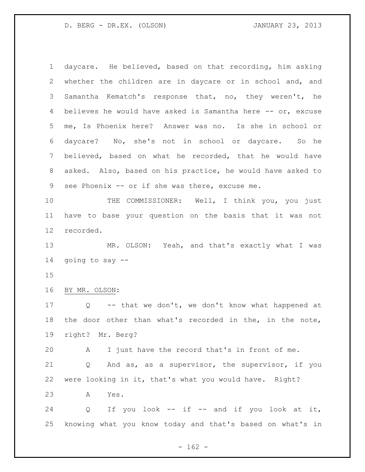daycare. He believed, based on that recording, him asking whether the children are in daycare or in school and, and Samantha Kematch's response that, no, they weren't, he 4 believes he would have asked is Samantha here -- or, excuse me, Is Phoenix here? Answer was no. Is she in school or daycare? No, she's not in school or daycare. So he believed, based on what he recorded, that he would have asked. Also, based on his practice, he would have asked to 9 see Phoenix -- or if she was there, excuse me.

 THE COMMISSIONER: Well, I think you, you just have to base your question on the basis that it was not recorded.

 MR. OLSON: Yeah, and that's exactly what I was going to say --

BY MR. OLSON:

 Q -- that we don't, we don't know what happened at the door other than what's recorded in the, in the note, right? Mr. Berg?

A I just have the record that's in front of me.

 Q And as, as a supervisor, the supervisor, if you were looking in it, that's what you would have. Right?

A Yes.

24 Q If you look -- if -- and if you look at it, knowing what you know today and that's based on what's in

 $- 162 -$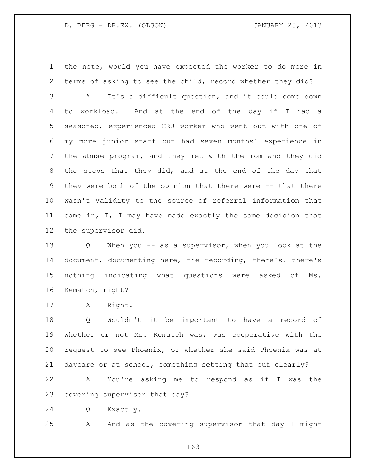the note, would you have expected the worker to do more in terms of asking to see the child, record whether they did?

 A It's a difficult question, and it could come down to workload. And at the end of the day if I had a seasoned, experienced CRU worker who went out with one of my more junior staff but had seven months' experience in the abuse program, and they met with the mom and they did the steps that they did, and at the end of the day that 9 they were both of the opinion that there were -- that there wasn't validity to the source of referral information that came in, I, I may have made exactly the same decision that the supervisor did.

 Q When you -- as a supervisor, when you look at the document, documenting here, the recording, there's, there's nothing indicating what questions were asked of Ms. Kematch, right?

A Right.

 Q Wouldn't it be important to have a record of whether or not Ms. Kematch was, was cooperative with the request to see Phoenix, or whether she said Phoenix was at daycare or at school, something setting that out clearly?

 A You're asking me to respond as if I was the covering supervisor that day?

Q Exactly.

A And as the covering supervisor that day I might

- 163 -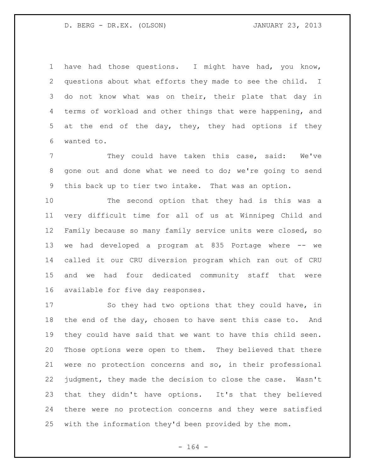have had those questions. I might have had, you know, questions about what efforts they made to see the child. I do not know what was on their, their plate that day in terms of workload and other things that were happening, and at the end of the day, they, they had options if they wanted to.

 They could have taken this case, said: We've 8 gone out and done what we need to do; we're going to send this back up to tier two intake. That was an option.

 The second option that they had is this was a very difficult time for all of us at Winnipeg Child and Family because so many family service units were closed, so we had developed a program at 835 Portage where -- we called it our CRU diversion program which ran out of CRU and we had four dedicated community staff that were available for five day responses.

 So they had two options that they could have, in the end of the day, chosen to have sent this case to. And they could have said that we want to have this child seen. Those options were open to them. They believed that there were no protection concerns and so, in their professional judgment, they made the decision to close the case. Wasn't that they didn't have options. It's that they believed there were no protection concerns and they were satisfied with the information they'd been provided by the mom.

- 164 -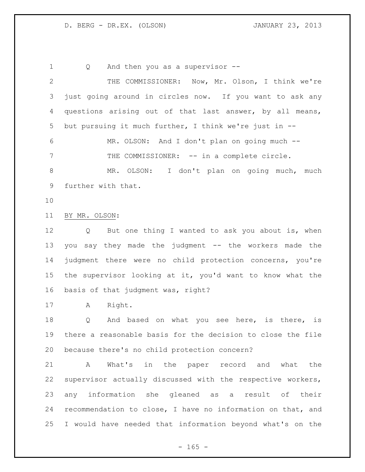1 Q And then you as a supervisor --THE COMMISSIONER: Now, Mr. Olson, I think we're

 just going around in circles now. If you want to ask any questions arising out of that last answer, by all means, but pursuing it much further, I think we're just in -- MR. OLSON: And I don't plan on going much -- 7 THE COMMISSIONER: -- in a complete circle. MR. OLSON: I don't plan on going much, much

- further with that.
- 

BY MR. OLSON:

 Q But one thing I wanted to ask you about is, when you say they made the judgment -- the workers made the judgment there were no child protection concerns, you're the supervisor looking at it, you'd want to know what the basis of that judgment was, right?

A Right.

18 Q And based on what you see here, is there, is there a reasonable basis for the decision to close the file because there's no child protection concern?

 A What's in the paper record and what the supervisor actually discussed with the respective workers, any information she gleaned as a result of their recommendation to close, I have no information on that, and I would have needed that information beyond what's on the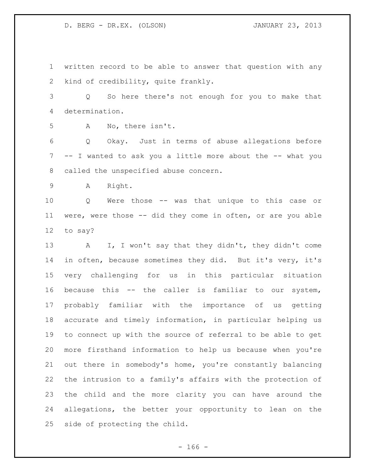written record to be able to answer that question with any kind of credibility, quite frankly.

 Q So here there's not enough for you to make that determination.

A No, there isn't.

 Q Okay. Just in terms of abuse allegations before -- I wanted to ask you a little more about the -- what you called the unspecified abuse concern.

A Right.

 Q Were those -- was that unique to this case or were, were those -- did they come in often, or are you able to say?

 A I, I won't say that they didn't, they didn't come in often, because sometimes they did. But it's very, it's very challenging for us in this particular situation because this -- the caller is familiar to our system, probably familiar with the importance of us getting accurate and timely information, in particular helping us to connect up with the source of referral to be able to get more firsthand information to help us because when you're out there in somebody's home, you're constantly balancing the intrusion to a family's affairs with the protection of the child and the more clarity you can have around the allegations, the better your opportunity to lean on the side of protecting the child.

- 166 -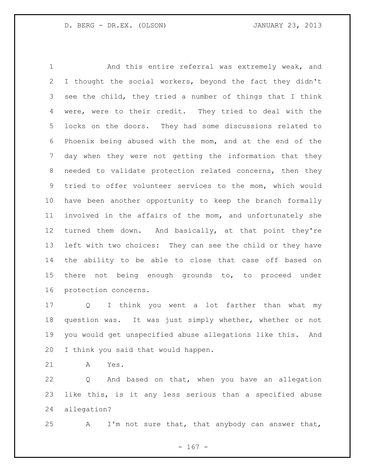And this entire referral was extremely weak, and I thought the social workers, beyond the fact they didn't see the child, they tried a number of things that I think were, were to their credit. They tried to deal with the locks on the doors. They had some discussions related to Phoenix being abused with the mom, and at the end of the day when they were not getting the information that they needed to validate protection related concerns, then they tried to offer volunteer services to the mom, which would have been another opportunity to keep the branch formally involved in the affairs of the mom, and unfortunately she turned them down. And basically, at that point they're left with two choices: They can see the child or they have the ability to be able to close that case off based on there not being enough grounds to, to proceed under protection concerns.

 Q I think you went a lot farther than what my question was. It was just simply whether, whether or not you would get unspecified abuse allegations like this. And I think you said that would happen.

A Yes.

 Q And based on that, when you have an allegation like this, is it any less serious than a specified abuse allegation?

A I'm not sure that, that anybody can answer that,

- 167 -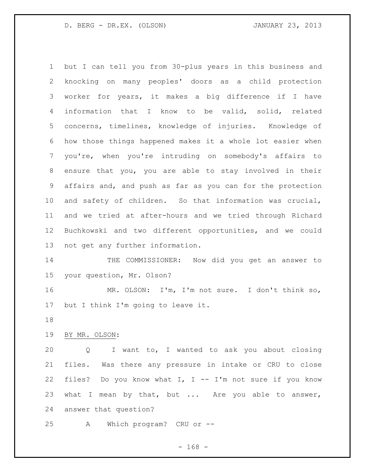but I can tell you from 30-plus years in this business and knocking on many peoples' doors as a child protection worker for years, it makes a big difference if I have information that I know to be valid, solid, related concerns, timelines, knowledge of injuries. Knowledge of how those things happened makes it a whole lot easier when you're, when you're intruding on somebody's affairs to ensure that you, you are able to stay involved in their affairs and, and push as far as you can for the protection and safety of children. So that information was crucial, and we tried at after-hours and we tried through Richard Buchkowski and two different opportunities, and we could not get any further information.

 THE COMMISSIONER: Now did you get an answer to your question, Mr. Olson?

 MR. OLSON: I'm, I'm not sure. I don't think so, but I think I'm going to leave it.

BY MR. OLSON:

 Q I want to, I wanted to ask you about closing files. Was there any pressure in intake or CRU to close files? Do you know what I, I -- I'm not sure if you know 23 what I mean by that, but ... Are you able to answer, answer that question?

A Which program? CRU or --

- 168 -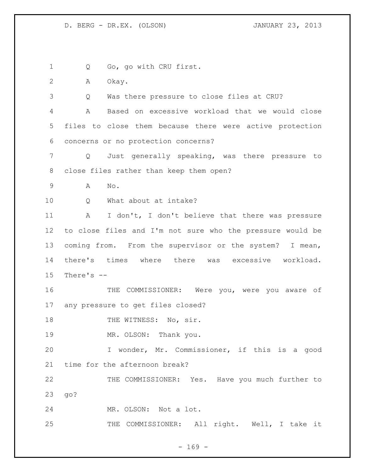Q Go, go with CRU first. A Okay. Q Was there pressure to close files at CRU? A Based on excessive workload that we would close files to close them because there were active protection concerns or no protection concerns? Q Just generally speaking, was there pressure to close files rather than keep them open? A No. 10 0 What about at intake? A I don't, I don't believe that there was pressure to close files and I'm not sure who the pressure would be coming from. From the supervisor or the system? I mean, there's times where there was excessive workload. There's -- THE COMMISSIONER: Were you, were you aware of any pressure to get files closed? 18 THE WITNESS: No, sir. 19 MR. OLSON: Thank you. I wonder, Mr. Commissioner, if this is a good time for the afternoon break? THE COMMISSIONER: Yes. Have you much further to go? MR. OLSON: Not a lot. THE COMMISSIONER: All right. Well, I take it

 $- 169 -$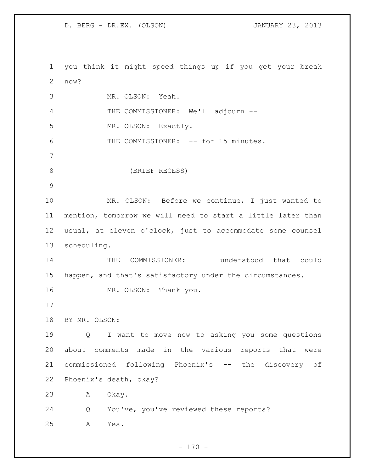you think it might speed things up if you get your break now? MR. OLSON: Yeah. THE COMMISSIONER: We'll adjourn -- MR. OLSON: Exactly. 6 THE COMMISSIONER: -- for 15 minutes. (BRIEF RECESS) MR. OLSON: Before we continue, I just wanted to mention, tomorrow we will need to start a little later than usual, at eleven o'clock, just to accommodate some counsel scheduling. THE COMMISSIONER: I understood that could happen, and that's satisfactory under the circumstances. 16 MR. OLSON: Thank you. BY MR. OLSON: Q I want to move now to asking you some questions about comments made in the various reports that were commissioned following Phoenix's -- the discovery of Phoenix's death, okay? A Okay. Q You've, you've reviewed these reports? A Yes.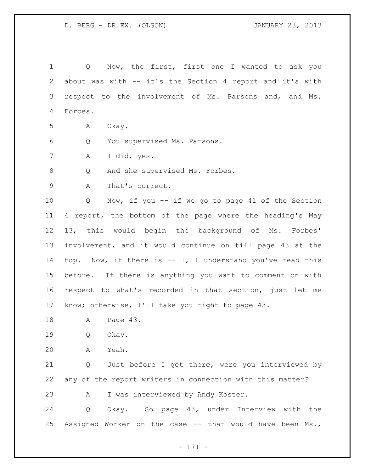Q Now, the first, first one I wanted to ask you about was with -- it's the Section 4 report and it's with respect to the involvement of Ms. Parsons and, and Ms. Forbes. A Okay. Q You supervised Ms. Parsons. A I did, yes. 8 Q And she supervised Ms. Forbes. A That's correct. Q Now, if you -- if we go to page 41 of the Section 4 report, the bottom of the page where the heading's May 13, this would begin the background of Ms. Forbes' involvement, and it would continue on till page 43 at the top. Now, if there is -- I, I understand you've read this before. If there is anything you want to comment on with respect to what's recorded in that section, just let me know; otherwise, I'll take you right to page 43. A Page 43. Q Okay. A Yeah. Q Just before I get there, were you interviewed by any of the report writers in connection with this matter? A I was interviewed by Andy Koster. Q Okay. So page 43, under Interview with the Assigned Worker on the case -- that would have been Ms.,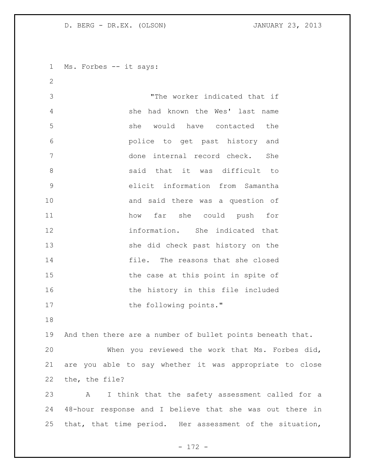Ms. Forbes -- it says:

 "The worker indicated that if she had known the Wes' last name she would have contacted the police to get past history and done internal record check. She 8 and that it was difficult to elicit information from Samantha and said there was a question of how far she could push for information. She indicated that she did check past history on the file. The reasons that she closed 15 the case at this point in spite of 16 the history in this file included 17 the following points."

 And then there are a number of bullet points beneath that. When you reviewed the work that Ms. Forbes did, are you able to say whether it was appropriate to close the, the file?

 A I think that the safety assessment called for a 48-hour response and I believe that she was out there in that, that time period. Her assessment of the situation,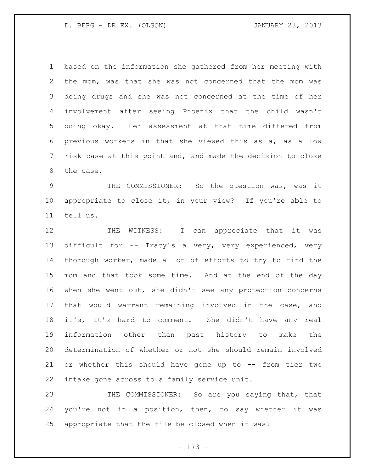based on the information she gathered from her meeting with the mom, was that she was not concerned that the mom was doing drugs and she was not concerned at the time of her involvement after seeing Phoenix that the child wasn't doing okay. Her assessment at that time differed from previous workers in that she viewed this as a, as a low risk case at this point and, and made the decision to close the case.

 THE COMMISSIONER: So the question was, was it appropriate to close it, in your view? If you're able to tell us.

12 THE WITNESS: I can appreciate that it was difficult for -- Tracy's a very, very experienced, very thorough worker, made a lot of efforts to try to find the mom and that took some time. And at the end of the day when she went out, she didn't see any protection concerns that would warrant remaining involved in the case, and it's, it's hard to comment. She didn't have any real information other than past history to make the determination of whether or not she should remain involved or whether this should have gone up to -- from tier two intake gone across to a family service unit.

23 THE COMMISSIONER: So are you saying that, that you're not in a position, then, to say whether it was appropriate that the file be closed when it was?

- 173 -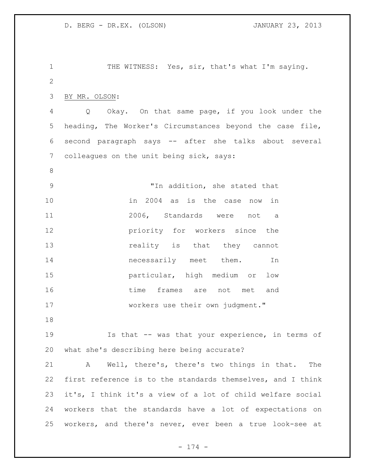1 THE WITNESS: Yes, sir, that's what I'm saying. BY MR. OLSON: Q Okay. On that same page, if you look under the heading, The Worker's Circumstances beyond the case file, second paragraph says -- after she talks about several colleagues on the unit being sick, says: "In addition, she stated that in 2004 as is the case now in 2006, Standards were not a **priority** for workers since the **reality** is that they cannot **necessarily** meet them. In particular, high medium or low time frames are not met and 17 workers use their own judgment." Is that -- was that your experience, in terms of what she's describing here being accurate? A Well, there's, there's two things in that. The first reference is to the standards themselves, and I think it's, I think it's a view of a lot of child welfare social workers that the standards have a lot of expectations on workers, and there's never, ever been a true look-see at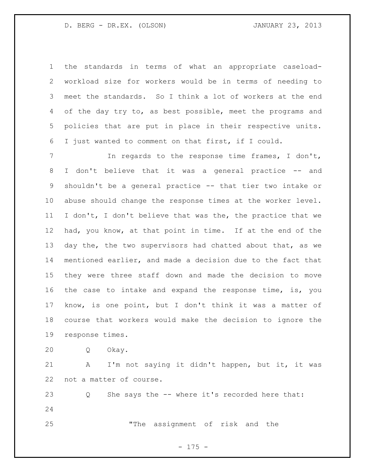the standards in terms of what an appropriate caseload- workload size for workers would be in terms of needing to meet the standards. So I think a lot of workers at the end of the day try to, as best possible, meet the programs and policies that are put in place in their respective units. I just wanted to comment on that first, if I could.

7 The regards to the response time frames, I don't, I don't believe that it was a general practice -- and shouldn't be a general practice -- that tier two intake or abuse should change the response times at the worker level. I don't, I don't believe that was the, the practice that we had, you know, at that point in time. If at the end of the 13 day the, the two supervisors had chatted about that, as we mentioned earlier, and made a decision due to the fact that they were three staff down and made the decision to move the case to intake and expand the response time, is, you know, is one point, but I don't think it was a matter of course that workers would make the decision to ignore the response times.

Q Okay.

 A I'm not saying it didn't happen, but it, it was not a matter of course.

 Q She says the -- where it's recorded here that: "The assignment of risk and the

- 175 -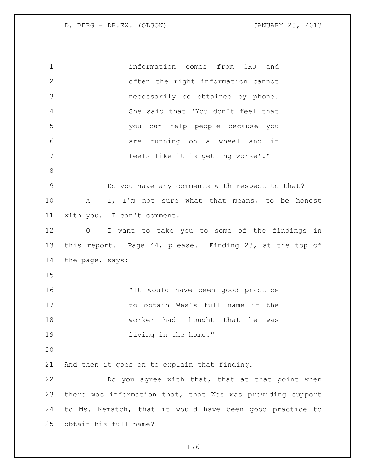information comes from CRU and often the right information cannot necessarily be obtained by phone. She said that 'You don't feel that you can help people because you are running on a wheel and it feels like it is getting worse'*.*" Do you have any comments with respect to that? A I, I'm not sure what that means, to be honest with you. I can't comment. Q I want to take you to some of the findings in this report. Page 44, please. Finding 28, at the top of the page, says: "It would have been good practice to obtain Wes's full name if the 18 worker had thought that he was **living in the home.**" And then it goes on to explain that finding. Do you agree with that, that at that point when there was information that, that Wes was providing support to Ms. Kematch, that it would have been good practice to obtain his full name?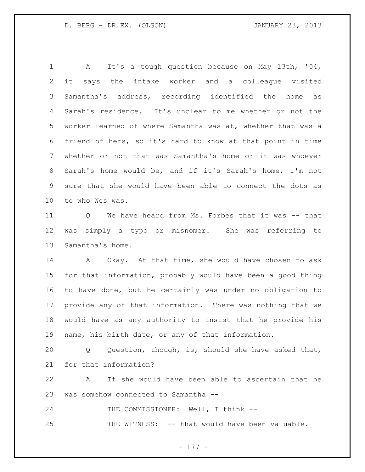A It's a tough question because on May 13th, '04, it says the intake worker and a colleague visited Samantha's address, recording identified the home as Sarah's residence. It's unclear to me whether or not the worker learned of where Samantha was at, whether that was a friend of hers, so it's hard to know at that point in time whether or not that was Samantha's home or it was whoever Sarah's home would be, and if it's Sarah's home, I'm not sure that she would have been able to connect the dots as to who Wes was.

 Q We have heard from Ms. Forbes that it was -- that was simply a typo or misnomer. She was referring to Samantha's home.

 A Okay. At that time, she would have chosen to ask for that information, probably would have been a good thing to have done, but he certainly was under no obligation to provide any of that information. There was nothing that we would have as any authority to insist that he provide his name, his birth date, or any of that information.

 Q Question, though, is, should she have asked that, for that information?

 A If she would have been able to ascertain that he was somehow connected to Samantha --

24 THE COMMISSIONER: Well, I think --THE WITNESS: -- that would have been valuable.

- 177 -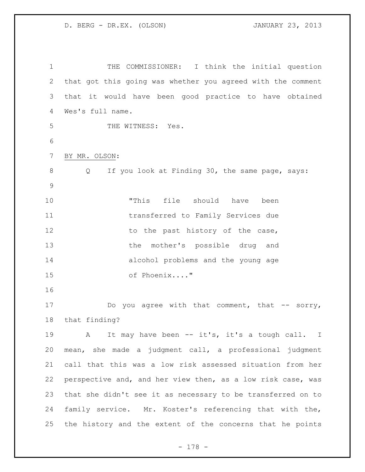THE COMMISSIONER: I think the initial question that got this going was whether you agreed with the comment that it would have been good practice to have obtained Wes's full name. 5 THE WITNESS: Yes. BY MR. OLSON: Q If you look at Finding 30, the same page, says: "This file should have been transferred to Family Services due 12 to the past history of the case, the mother's possible drug and alcohol problems and the young age of Phoenix...." 17 bo you agree with that comment, that -- sorry, that finding? 19 A It may have been -- it's, it's a tough call. I mean, she made a judgment call, a professional judgment call that this was a low risk assessed situation from her perspective and, and her view then, as a low risk case, was that she didn't see it as necessary to be transferred on to family service. Mr. Koster's referencing that with the, the history and the extent of the concerns that he points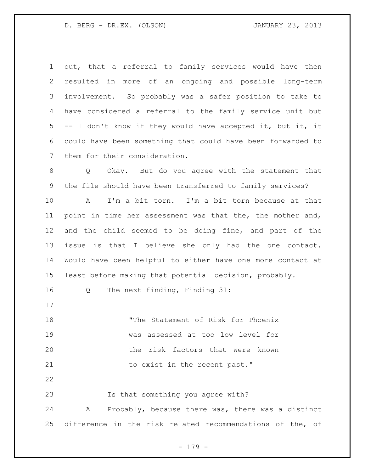out, that a referral to family services would have then resulted in more of an ongoing and possible long-term involvement. So probably was a safer position to take to have considered a referral to the family service unit but -- I don't know if they would have accepted it, but it, it could have been something that could have been forwarded to them for their consideration. Q Okay. But do you agree with the statement that the file should have been transferred to family services? A I'm a bit torn. I'm a bit torn because at that 11 point in time her assessment was that the, the mother and, and the child seemed to be doing fine, and part of the issue is that I believe she only had the one contact. Would have been helpful to either have one more contact at least before making that potential decision, probably. Q The next finding, Finding 31: "The Statement of Risk for Phoenix was assessed at too low level for the risk factors that were known 21 to exist in the recent past." Is that something you agree with? A Probably, because there was, there was a distinct difference in the risk related recommendations of the, of

- 179 -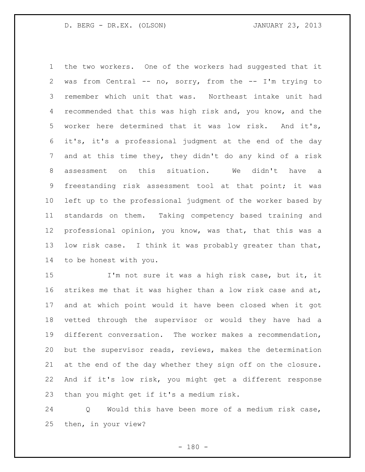the two workers. One of the workers had suggested that it was from Central -- no, sorry, from the -- I'm trying to remember which unit that was. Northeast intake unit had recommended that this was high risk and, you know, and the worker here determined that it was low risk. And it's, it's, it's a professional judgment at the end of the day and at this time they, they didn't do any kind of a risk assessment on this situation. We didn't have a freestanding risk assessment tool at that point; it was left up to the professional judgment of the worker based by standards on them. Taking competency based training and professional opinion, you know, was that, that this was a low risk case. I think it was probably greater than that, to be honest with you.

 I'm not sure it was a high risk case, but it, it 16 strikes me that it was higher than a low risk case and at, and at which point would it have been closed when it got vetted through the supervisor or would they have had a different conversation. The worker makes a recommendation, but the supervisor reads, reviews, makes the determination at the end of the day whether they sign off on the closure. And if it's low risk, you might get a different response than you might get if it's a medium risk.

 Q Would this have been more of a medium risk case, then, in your view?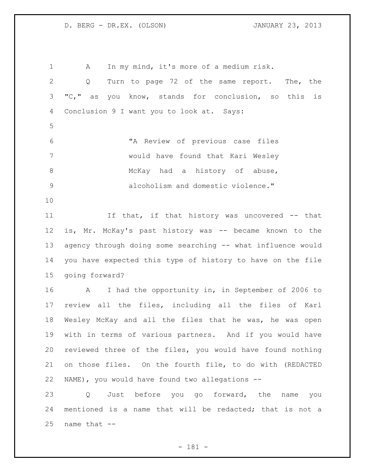A In my mind, it's more of a medium risk. Q Turn to page 72 of the same report. The, the "C," as you know, stands for conclusion, so this is Conclusion 9 I want you to look at. Says: "A Review of previous case files would have found that Kari Wesley 8 McKay had a history of abuse, alcoholism and domestic violence." If that, if that history was uncovered -- that is, Mr. McKay's past history was -- became known to the agency through doing some searching -- what influence would you have expected this type of history to have on the file going forward? A I had the opportunity in, in September of 2006 to review all the files, including all the files of Karl Wesley McKay and all the files that he was, he was open with in terms of various partners. And if you would have reviewed three of the files, you would have found nothing on those files. On the fourth file, to do with (REDACTED NAME), you would have found two allegations -- Q Just before you go forward, the name you mentioned is a name that will be redacted; that is not a name that  $-$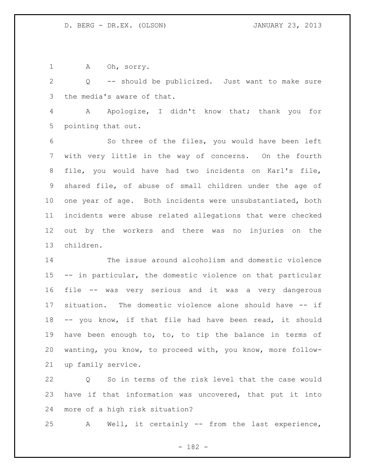1 A Oh, sorry.

 Q -- should be publicized. Just want to make sure the media's aware of that.

 A Apologize, I didn't know that; thank you for pointing that out.

 So three of the files, you would have been left with very little in the way of concerns. On the fourth file, you would have had two incidents on Karl's file, shared file, of abuse of small children under the age of one year of age. Both incidents were unsubstantiated, both incidents were abuse related allegations that were checked out by the workers and there was no injuries on the children.

 The issue around alcoholism and domestic violence -- in particular, the domestic violence on that particular file -- was very serious and it was a very dangerous situation. The domestic violence alone should have -- if -- you know, if that file had have been read, it should have been enough to, to, to tip the balance in terms of wanting, you know, to proceed with, you know, more follow-up family service.

 Q So in terms of the risk level that the case would have if that information was uncovered, that put it into more of a high risk situation?

A Well, it certainly -- from the last experience,

- 182 -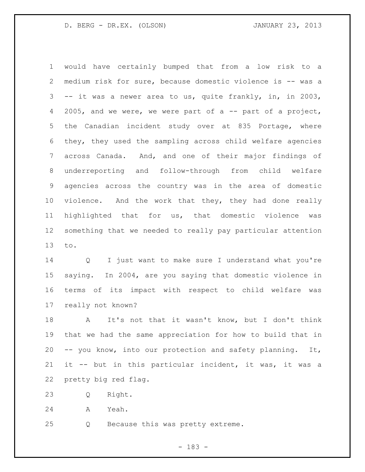would have certainly bumped that from a low risk to a medium risk for sure, because domestic violence is -- was a -- it was a newer area to us, quite frankly, in, in 2003, 4 2005, and we were, we were part of a -- part of a project, the Canadian incident study over at 835 Portage, where they, they used the sampling across child welfare agencies across Canada. And, and one of their major findings of underreporting and follow-through from child welfare agencies across the country was in the area of domestic violence. And the work that they, they had done really highlighted that for us, that domestic violence was something that we needed to really pay particular attention to.

 Q I just want to make sure I understand what you're saying. In 2004, are you saying that domestic violence in terms of its impact with respect to child welfare was really not known?

 A It's not that it wasn't know, but I don't think that we had the same appreciation for how to build that in -- you know, into our protection and safety planning. It, it -- but in this particular incident, it was, it was a pretty big red flag.

Q Right.

A Yeah.

Q Because this was pretty extreme.

- 183 -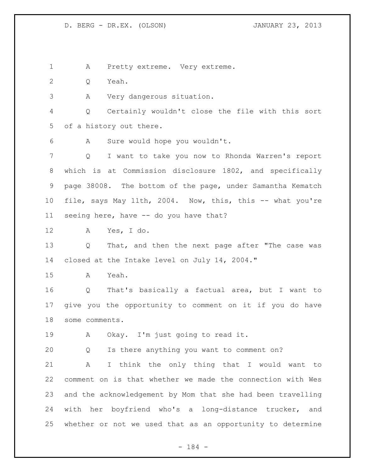A Pretty extreme. Very extreme.

Q Yeah.

A Very dangerous situation.

 Q Certainly wouldn't close the file with this sort of a history out there.

A Sure would hope you wouldn't.

 Q I want to take you now to Rhonda Warren's report which is at Commission disclosure 1802, and specifically page 38008. The bottom of the page, under Samantha Kematch file, says May 11th, 2004. Now, this, this -- what you're seeing here, have -- do you have that?

A Yes, I do.

 Q That, and then the next page after "The case was closed at the Intake level on July 14, 2004."

A Yeah.

 Q That's basically a factual area, but I want to give you the opportunity to comment on it if you do have some comments.

A Okay. I'm just going to read it.

Q Is there anything you want to comment on?

 A I think the only thing that I would want to comment on is that whether we made the connection with Wes and the acknowledgement by Mom that she had been travelling with her boyfriend who's a long-distance trucker, and whether or not we used that as an opportunity to determine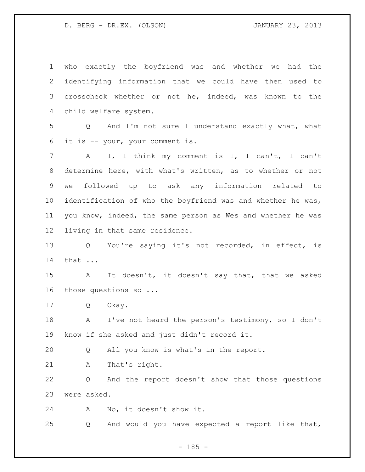| $\mathbf 1$    | who exactly the boyfriend was and whether we<br>had the               |
|----------------|-----------------------------------------------------------------------|
| 2              | identifying information that we could have then used to               |
| 3              | crosscheck whether or not he, indeed, was known to the                |
| 4              | child welfare system.                                                 |
| 5              | And I'm not sure I understand exactly what, what<br>$Q \qquad \qquad$ |
| 6              | it is -- your, your comment is.                                       |
| $7\phantom{.}$ | I, I think my comment is I, I can't, I can't<br>A                     |
| 8              | determine here, with what's written, as to whether or not             |
| 9              | followed up to ask any information related to<br>we                   |
| 10             | identification of who the boyfriend was and whether he was,           |
| 11             | you know, indeed, the same person as Wes and whether he was           |
| 12             | living in that same residence.                                        |
| 13             | Q You're saying it's not recorded, in effect, is                      |
| 14             | that                                                                  |
| 15             | It doesn't, it doesn't say that, that we asked<br>A                   |
| 16             | those questions so                                                    |
| 17             | Okay.<br>Q                                                            |
| 18             | I've not heard the person's testimony, so I don't<br>A                |
| 19             | know if she asked and just didn't record it.                          |
| 20             | All you know is what's in the report.<br>Q                            |
| 21             | That's right.<br>Α                                                    |
| 22             | And the report doesn't show that those questions<br>Q                 |
| 23             | were asked.                                                           |
| 24             | No, it doesn't show it.<br>Α                                          |
| 25             | And would you have expected a report like that,<br>Q                  |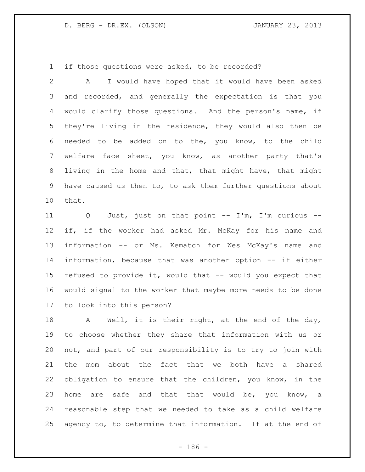if those questions were asked, to be recorded?

 A I would have hoped that it would have been asked and recorded, and generally the expectation is that you would clarify those questions. And the person's name, if they're living in the residence, they would also then be needed to be added on to the, you know, to the child welfare face sheet, you know, as another party that's living in the home and that, that might have, that might have caused us then to, to ask them further questions about that.

 Q Just, just on that point -- I'm, I'm curious -- 12 if, if the worker had asked Mr. McKay for his name and information -- or Ms. Kematch for Wes McKay's name and information, because that was another option -- if either refused to provide it, would that -- would you expect that would signal to the worker that maybe more needs to be done to look into this person?

18 A Well, it is their right, at the end of the day, to choose whether they share that information with us or not, and part of our responsibility is to try to join with the mom about the fact that we both have a shared obligation to ensure that the children, you know, in the home are safe and that that would be, you know, a reasonable step that we needed to take as a child welfare agency to, to determine that information. If at the end of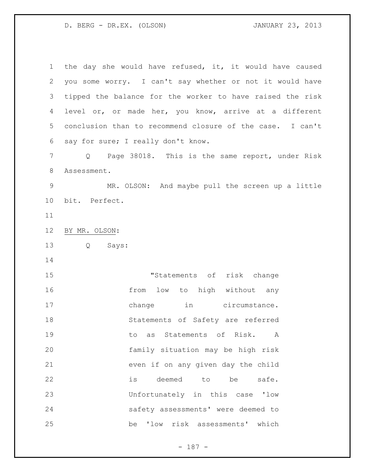the day she would have refused, it, it would have caused you some worry. I can't say whether or not it would have tipped the balance for the worker to have raised the risk level or, or made her, you know, arrive at a different conclusion than to recommend closure of the case. I can't say for sure; I really don't know.

 Q Page 38018. This is the same report, under Risk Assessment.

 MR. OLSON: And maybe pull the screen up a little bit. Perfect.

BY MR. OLSON:

Q Says:

 "Statements of risk change **from** low to high without any 17 change in circumstance. Statements of Safety are referred to as Statements of Risk. A family situation may be high risk even if on any given day the child is deemed to be safe. Unfortunately in this case 'low safety assessments' were deemed to be 'low risk assessments' which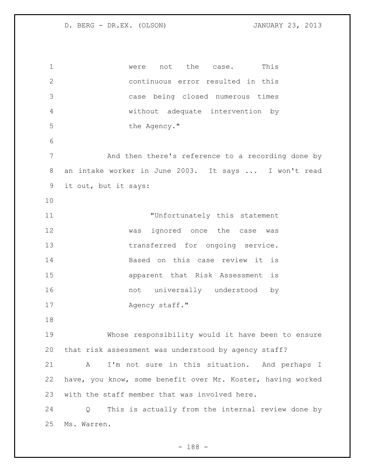1 were not the case. This continuous error resulted in this case being closed numerous times without adequate intervention by 5 the Agency." 7 And then there's reference to a recording done by an intake worker in June 2003. It says ... I won't read it out, but it says: **THE INTERFORM IN TERM** Unfortunately this statement was ignored once the case was transferred for ongoing service. Based on this case review it is apparent that Risk Assessment is 16 mot universally understood by 17 Agency staff." Whose responsibility would it have been to ensure that risk assessment was understood by agency staff? A I'm not sure in this situation. And perhaps I have, you know, some benefit over Mr. Koster, having worked with the staff member that was involved here. Q This is actually from the internal review done by Ms. Warren.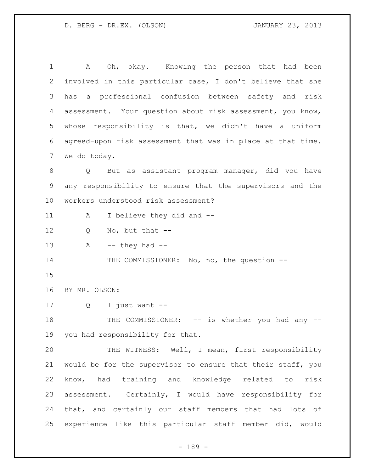| 1              | Oh, okay. Knowing the person that had been<br>A             |
|----------------|-------------------------------------------------------------|
| 2              | involved in this particular case, I don't believe that she  |
| 3              | a professional confusion between safety and risk<br>has     |
| $\overline{4}$ | assessment. Your question about risk assessment, you know,  |
| 5              | whose responsibility is that, we didn't have a uniform      |
| 6              | agreed-upon risk assessment that was in place at that time. |
| 7              | We do today.                                                |
| 8              | But as assistant program manager, did you have<br>Q         |
| $\mathsf 9$    | any responsibility to ensure that the supervisors and the   |
| 10             | workers understood risk assessment?                         |
| 11             | I believe they did and --<br>A                              |
| 12             | No, but that $--$<br>Q                                      |
| 13             | $--$ they had $--$<br>Α                                     |
| 14             | THE COMMISSIONER: No, no, the question --                   |
| 15             |                                                             |
| 16             | BY MR. OLSON:                                               |
| 17             | I just want --<br>Q                                         |
| 18             | THE COMMISSIONER: -- is whether you had any --              |
| 19             | you had responsibility for that.                            |
| 20             | THE WITNESS: Well, I mean, first responsibility             |
| 21             | would be for the supervisor to ensure that their staff, you |
| 22             | know, had training and knowledge related to<br>risk         |
| 23             | assessment. Certainly, I would have responsibility for      |
| 24             | that, and certainly our staff members that had lots of      |
| 25             |                                                             |

- 189 -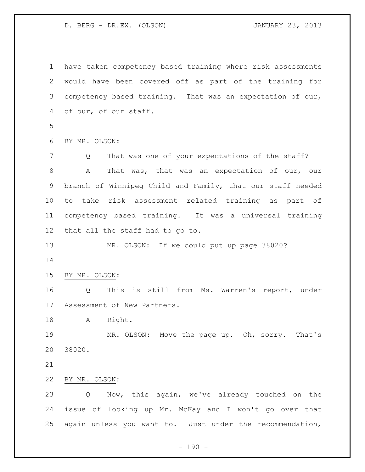have taken competency based training where risk assessments would have been covered off as part of the training for competency based training. That was an expectation of our, of our, of our staff. BY MR. OLSON: Q That was one of your expectations of the staff? A That was, that was an expectation of our, our branch of Winnipeg Child and Family, that our staff needed to take risk assessment related training as part of competency based training. It was a universal training that all the staff had to go to. MR. OLSON: If we could put up page 38020? BY MR. OLSON: Q This is still from Ms. Warren's report, under Assessment of New Partners. A Right. MR. OLSON: Move the page up. Oh, sorry. That's 38020. BY MR. OLSON: Q Now, this again, we've already touched on the issue of looking up Mr. McKay and I won't go over that again unless you want to. Just under the recommendation,

 $- 190 -$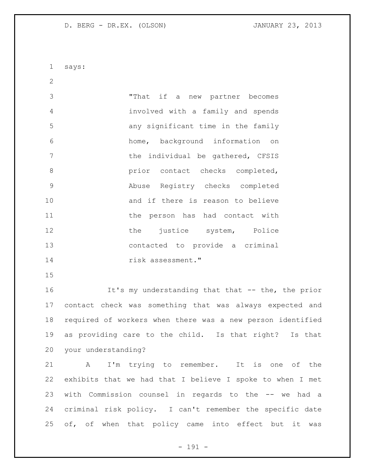says:

 "That if a new partner becomes involved with a family and spends any significant time in the family home, background information on **the individual be gathered, CFSIS butcherright** prior contact checks completed, Abuse Registry checks completed 10 and if there is reason to believe 11 the person has had contact with 12 the justice system, Police contacted to provide a criminal risk assessment."

16 16 It's my understanding that that -- the, the prior contact check was something that was always expected and required of workers when there was a new person identified as providing care to the child. Is that right? Is that your understanding?

 A I'm trying to remember. It is one of the exhibits that we had that I believe I spoke to when I met with Commission counsel in regards to the -- we had a criminal risk policy. I can't remember the specific date 25 of, of when that policy came into effect but it was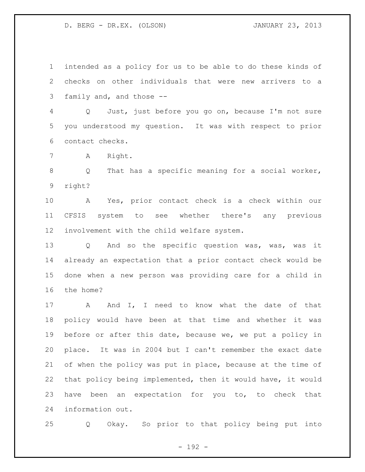intended as a policy for us to be able to do these kinds of checks on other individuals that were new arrivers to a family and, and those --

 Q Just, just before you go on, because I'm not sure you understood my question. It was with respect to prior contact checks.

A Right.

 Q That has a specific meaning for a social worker, right?

 A Yes, prior contact check is a check within our CFSIS system to see whether there's any previous involvement with the child welfare system.

13 Q And so the specific question was, was, was it already an expectation that a prior contact check would be done when a new person was providing care for a child in the home?

17 A And I, I need to know what the date of that policy would have been at that time and whether it was before or after this date, because we, we put a policy in place. It was in 2004 but I can't remember the exact date of when the policy was put in place, because at the time of that policy being implemented, then it would have, it would have been an expectation for you to, to check that information out.

Q Okay. So prior to that policy being put into

- 192 -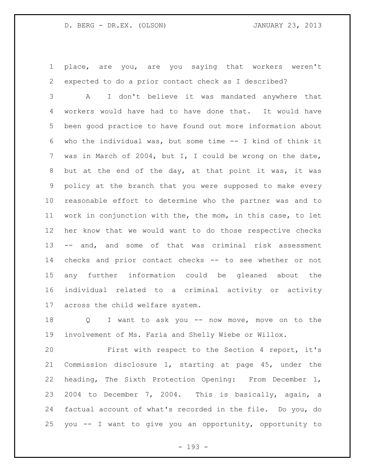place, are you, are you saying that workers weren't expected to do a prior contact check as I described?

 A I don't believe it was mandated anywhere that workers would have had to have done that. It would have been good practice to have found out more information about who the individual was, but some time -- I kind of think it was in March of 2004, but I, I could be wrong on the date, but at the end of the day, at that point it was, it was policy at the branch that you were supposed to make every reasonable effort to determine who the partner was and to work in conjunction with the, the mom, in this case, to let her know that we would want to do those respective checks -- and, and some of that was criminal risk assessment checks and prior contact checks -- to see whether or not any further information could be gleaned about the individual related to a criminal activity or activity across the child welfare system.

 Q I want to ask you -- now move, move on to the involvement of Ms. Faria and Shelly Wiebe or Willox.

 First with respect to the Section 4 report, it's Commission disclosure 1, starting at page 45, under the heading, The Sixth Protection Opening: From December 1, 2004 to December 7, 2004. This is basically, again, a factual account of what's recorded in the file. Do you, do you -- I want to give you an opportunity, opportunity to

- 193 -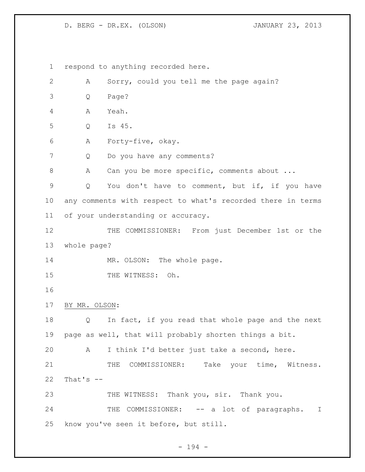respond to anything recorded here. A Sorry, could you tell me the page again? Q Page? A Yeah. Q Is 45. A Forty-five, okay. 7 Q Do you have any comments? 8 A Can you be more specific, comments about ... Q You don't have to comment, but if, if you have any comments with respect to what's recorded there in terms of your understanding or accuracy. 12 THE COMMISSIONER: From just December 1st or the whole page? 14 MR. OLSON: The whole page. 15 THE WITNESS: Oh. BY MR. OLSON: Q In fact, if you read that whole page and the next page as well, that will probably shorten things a bit. A I think I'd better just take a second, here. 21 THE COMMISSIONER: Take your time, Witness. That's  $-$ 23 THE WITNESS: Thank you, sir. Thank you. 24 THE COMMISSIONER: -- a lot of paragraphs. I know you've seen it before, but still.

- 194 -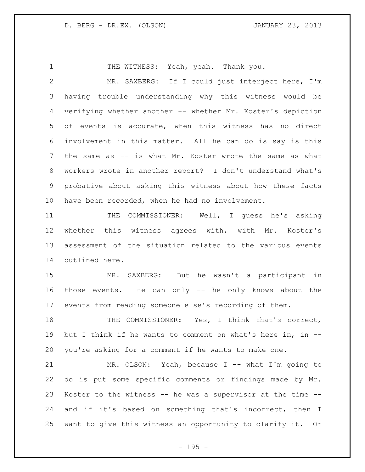1 THE WITNESS: Yeah, yeah. Thank you. MR. SAXBERG: If I could just interject here, I'm having trouble understanding why this witness would be verifying whether another -- whether Mr. Koster's depiction of events is accurate, when this witness has no direct involvement in this matter. All he can do is say is this the same as -- is what Mr. Koster wrote the same as what workers wrote in another report? I don't understand what's probative about asking this witness about how these facts have been recorded, when he had no involvement.

11 THE COMMISSIONER: Well, I guess he's asking whether this witness agrees with, with Mr. Koster's assessment of the situation related to the various events outlined here.

 MR. SAXBERG: But he wasn't a participant in those events. He can only -- he only knows about the events from reading someone else's recording of them.

18 THE COMMISSIONER: Yes, I think that's correct, but I think if he wants to comment on what's here in, in -- you're asking for a comment if he wants to make one.

 MR. OLSON: Yeah, because I -- what I'm going to do is put some specific comments or findings made by Mr. Koster to the witness -- he was a supervisor at the time -- and if it's based on something that's incorrect, then I want to give this witness an opportunity to clarify it. Or

- 195 -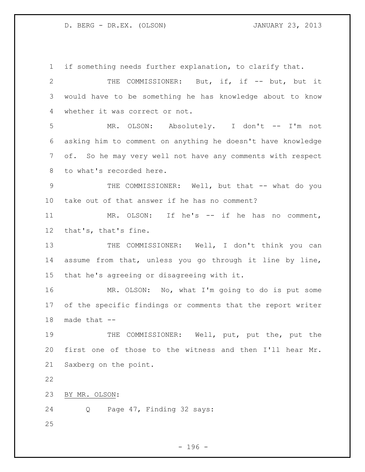if something needs further explanation, to clarify that. THE COMMISSIONER: But, if, if -- but, but it would have to be something he has knowledge about to know whether it was correct or not. MR. OLSON: Absolutely. I don't -- I'm not asking him to comment on anything he doesn't have knowledge of. So he may very well not have any comments with respect to what's recorded here. 9 THE COMMISSIONER: Well, but that -- what do you take out of that answer if he has no comment? 11 MR. OLSON: If he's -- if he has no comment, that's, that's fine. 13 THE COMMISSIONER: Well, I don't think you can assume from that, unless you go through it line by line, that he's agreeing or disagreeing with it. MR. OLSON: No, what I'm going to do is put some of the specific findings or comments that the report writer made that -- THE COMMISSIONER: Well, put, put the, put the first one of those to the witness and then I'll hear Mr. Saxberg on the point. BY MR. OLSON: Q Page 47, Finding 32 says: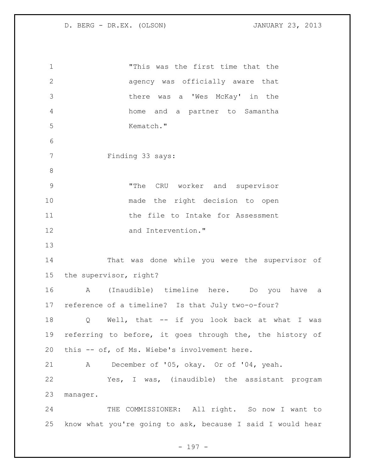"This was the first time that the agency was officially aware that there was a 'Wes McKay' in the home and a partner to Samantha Kematch." Finding 33 says: "The CRU worker and supervisor made the right decision to open 11 11 the file to Intake for Assessment and Intervention." That was done while you were the supervisor of the supervisor, right? A (Inaudible) timeline here. Do you have a reference of a timeline? Is that July two-o-four? Q Well, that -- if you look back at what I was referring to before, it goes through the, the history of this -- of, of Ms. Wiebe's involvement here. A December of '05, okay. Or of '04, yeah. Yes, I was, (inaudible) the assistant program manager. 24 THE COMMISSIONER: All right. So now I want to know what you're going to ask, because I said I would hear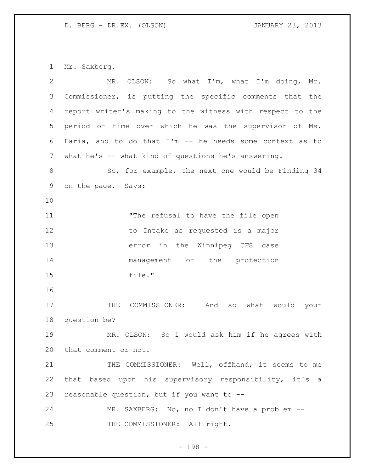Mr. Saxberg.

| $\overline{2}$ | MR. OLSON: So what I'm, what I'm doing, Mr.                |
|----------------|------------------------------------------------------------|
| 3              | Commissioner, is putting the specific comments that the    |
| 4              | report writer's making to the witness with respect to the  |
| 5              | period of time over which he was the supervisor of Ms.     |
| 6              | Faria, and to do that $I'm$ -- he needs some context as to |
| 7              | what he's -- what kind of questions he's answering.        |
| 8              | So, for example, the next one would be Finding 34          |
| 9              | on the page. Says:                                         |
| 10             |                                                            |
| 11             | "The refusal to have the file open                         |
| 12             | to Intake as requested is a major                          |
| 13             | error in the Winnipeg CFS case                             |
| 14             | management of the protection                               |
| 15             | file."                                                     |
| 16             |                                                            |
| 17             | COMMISSIONER: And so what would your<br>THE                |
| 18             | question be?                                               |
| 19             | MR. OLSON: So I would ask him if he agrees with            |
| 20             | that comment or not.                                       |
| 21             | THE COMMISSIONER: Well, offhand, it seems to me            |
| 22             | that based upon his supervisory responsibility, it's a     |
| 23             | reasonable question, but if you want to --                 |
| 24             | MR. SAXBERG: No, no I don't have a problem --              |
| 25             | THE COMMISSIONER: All right.                               |

- 198 -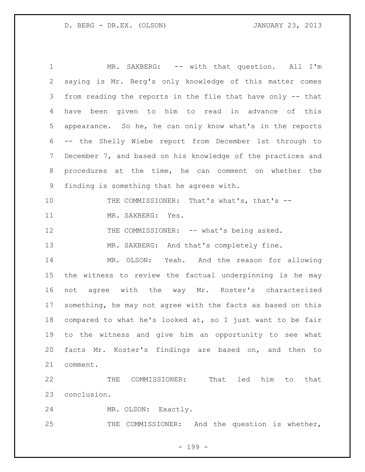1 MR. SAXBERG: -- with that question. All I'm saying is Mr. Berg's only knowledge of this matter comes from reading the reports in the file that have only -- that have been given to him to read in advance of this appearance. So he, he can only know what's in the reports -- the Shelly Wiebe report from December 1st through to December 7, and based on his knowledge of the practices and procedures at the time, he can comment on whether the finding is something that he agrees with. THE COMMISSIONER: That's what's, that's -- MR. SAXBERG: Yes. 12 THE COMMISSIONER: -- what's being asked. 13 MR. SAXBERG: And that's completely fine. MR. OLSON: Yeah. And the reason for allowing the witness to review the factual underpinning is he may not agree with the way Mr. Koster's characterized something, he may not agree with the facts as based on this compared to what he's looked at, so I just want to be fair to the witness and give him an opportunity to see what facts Mr. Koster's findings are based on, and then to comment.

 THE COMMISSIONER: That led him to that conclusion.

MR. OLSON: Exactly.

THE COMMISSIONER: And the question is whether,

- 199 -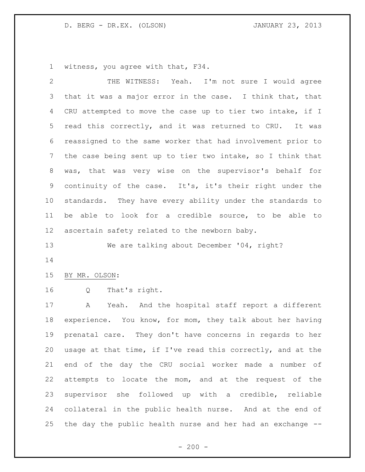witness, you agree with that, F34.

| 2               | THE WITNESS: Yeah. I'm not sure I would agree               |
|-----------------|-------------------------------------------------------------|
| 3               | that it was a major error in the case. I think that, that   |
| 4               | CRU attempted to move the case up to tier two intake, if I  |
| 5               | read this correctly, and it was returned to CRU. It was     |
| 6               | reassigned to the same worker that had involvement prior to |
| 7               | the case being sent up to tier two intake, so I think that  |
| 8               | was, that was very wise on the supervisor's behalf for      |
| 9               | continuity of the case. It's, it's their right under the    |
| 10 <sub>o</sub> | standards. They have every ability under the standards to   |
| 11              | be able to look for a credible source, to be able to        |
| 12              | ascertain safety related to the newborn baby.               |
| 13              | We are talking about December '04, right?                   |
| 14              |                                                             |
| 15              | BY MR. OLSON:                                               |
| 16              | That's right.<br>Q                                          |
| 17              | Yeah. And the hospital staff report a different<br>A        |
| 18              | experience. You know, for mom, they talk about her having   |
| 19              | prenatal care. They don't have concerns in regards to her   |
| 20              | usage at that time, if I've read this correctly, and at the |
| 21              | end of the day the CRU social worker made a number of       |
| 22              | attempts to locate the mom, and at the request of the       |
| 23              | supervisor she followed up with a credible, reliable        |
|                 |                                                             |
| 24              | collateral in the public health nurse. And at the end of    |

- 200 -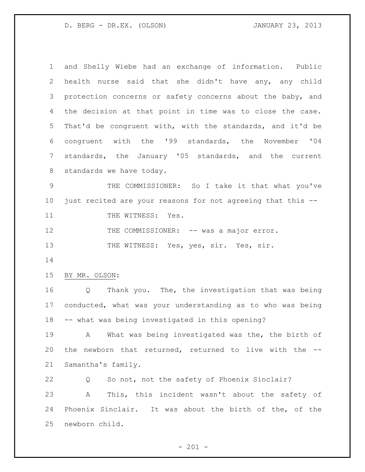and Shelly Wiebe had an exchange of information. Public health nurse said that she didn't have any, any child 3 protection concerns or safety concerns about the baby, and the decision at that point in time was to close the case. That'd be congruent with, with the standards, and it'd be congruent with the '99 standards, the November '04 standards, the January '05 standards, and the current standards we have today.

 THE COMMISSIONER: So I take it that what you've just recited are your reasons for not agreeing that this --

11 THE WITNESS: Yes.

12 THE COMMISSIONER: -- was a major error.

13 THE WITNESS: Yes, yes, sir. Yes, sir.

BY MR. OLSON:

 Q Thank you. The, the investigation that was being conducted, what was your understanding as to who was being -- what was being investigated in this opening?

 A What was being investigated was the, the birth of the newborn that returned, returned to live with the -- Samantha's family.

 Q So not, not the safety of Phoenix Sinclair? A This, this incident wasn't about the safety of Phoenix Sinclair. It was about the birth of the, of the newborn child.

 $- 201 -$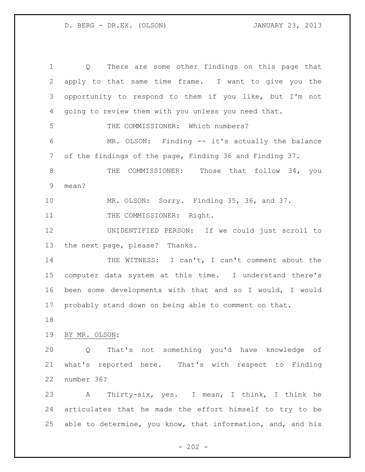Q There are some other findings on this page that apply to that same time frame. I want to give you the opportunity to respond to them if you like, but I'm not going to review them with you unless you need that. THE COMMISSIONER: Which numbers? MR. OLSON: Finding -- it's actually the balance of the findings of the page, Finding 36 and Finding 37. 8 THE COMMISSIONER: Those that follow 34, you mean? MR. OLSON: Sorry. Finding 35, 36, and 37. 11 THE COMMISSIONER: Right. UNIDENTIFIED PERSON: If we could just scroll to the next page, please? Thanks. 14 THE WITNESS: I can't, I can't comment about the computer data system at this time. I understand there's been some developments with that and so I would, I would probably stand down on being able to comment on that. BY MR. OLSON: Q That's not something you'd have knowledge of what's reported here. That's with respect to Finding number 36? A Thirty-six, yes. I mean, I think, I think he articulates that he made the effort himself to try to be able to determine, you know, that information, and, and his

 $- 202 -$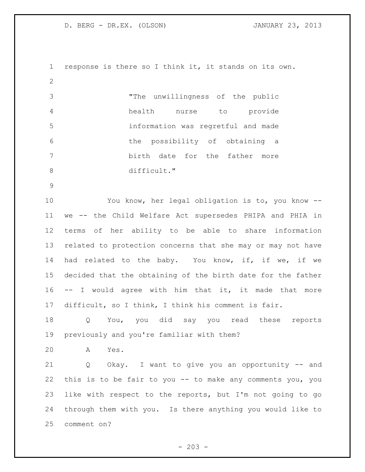response is there so I think it, it stands on its own. "The unwillingness of the public health nurse to provide information was regretful and made the possibility of obtaining a birth date for the father more 8 difficult." You know, her legal obligation is to, you know -- we -- the Child Welfare Act supersedes PHIPA and PHIA in terms of her ability to be able to share information related to protection concerns that she may or may not have had related to the baby. You know, if, if we, if we decided that the obtaining of the birth date for the father -- I would agree with him that it, it made that more difficult, so I think, I think his comment is fair. Q You, you did say you read these reports previously and you're familiar with them? A Yes. Q Okay. I want to give you an opportunity -- and this is to be fair to you -- to make any comments you, you like with respect to the reports, but I'm not going to go through them with you. Is there anything you would like to comment on?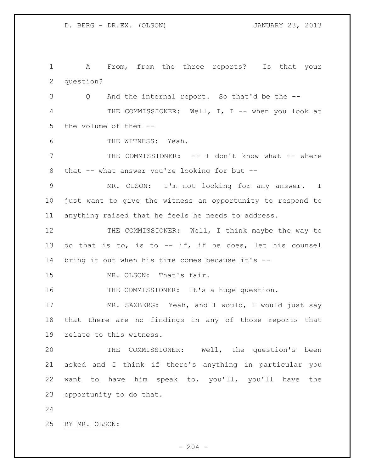A From, from the three reports? Is that your question? Q And the internal report. So that'd be the -- 4 THE COMMISSIONER: Well, I, I -- when you look at the volume of them -- THE WITNESS: Yeah. THE COMMISSIONER: -- I don't know what -- where that -- what answer you're looking for but -- MR. OLSON: I'm not looking for any answer. I just want to give the witness an opportunity to respond to anything raised that he feels he needs to address. 12 THE COMMISSIONER: Well, I think maybe the way to do that is to, is to -- if, if he does, let his counsel bring it out when his time comes because it's -- MR. OLSON: That's fair. 16 THE COMMISSIONER: It's a huge question. 17 MR. SAXBERG: Yeah, and I would, I would just say that there are no findings in any of those reports that relate to this witness. THE COMMISSIONER: Well, the question's been asked and I think if there's anything in particular you want to have him speak to, you'll, you'll have the opportunity to do that. BY MR. OLSON: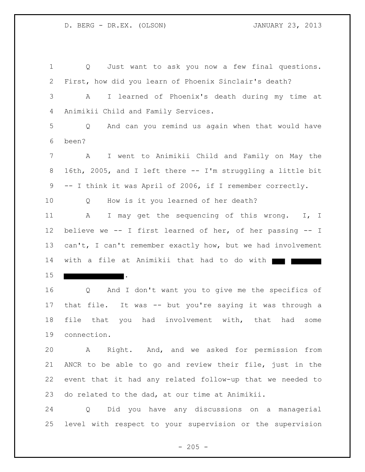Q Just want to ask you now a few final questions. First, how did you learn of Phoenix Sinclair's death? A I learned of Phoenix's death during my time at Animikii Child and Family Services. Q And can you remind us again when that would have been? A I went to Animikii Child and Family on May the 16th, 2005, and I left there -- I'm struggling a little bit -- I think it was April of 2006, if I remember correctly. Q How is it you learned of her death? A I may get the sequencing of this wrong. I, I believe we -- I first learned of her, of her passing -- I 13 can't, I can't remember exactly how, but we had involvement 14 with a file at Animikii that had to do with . Q And I don't want you to give me the specifics of that file. It was -- but you're saying it was through a file that you had involvement with, that had some connection. A Right. And, and we asked for permission from ANCR to be able to go and review their file, just in the event that it had any related follow-up that we needed to do related to the dad, at our time at Animikii. Q Did you have any discussions on a managerial

level with respect to your supervision or the supervision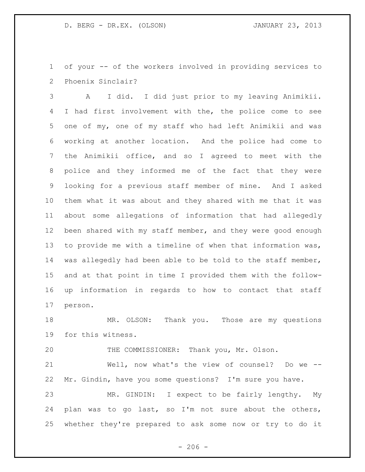of your -- of the workers involved in providing services to Phoenix Sinclair?

 A I did. I did just prior to my leaving Animikii. I had first involvement with the, the police come to see one of my, one of my staff who had left Animikii and was working at another location. And the police had come to the Animikii office, and so I agreed to meet with the police and they informed me of the fact that they were looking for a previous staff member of mine. And I asked them what it was about and they shared with me that it was about some allegations of information that had allegedly 12 been shared with my staff member, and they were good enough to provide me with a timeline of when that information was, was allegedly had been able to be told to the staff member, and at that point in time I provided them with the follow- up information in regards to how to contact that staff person.

 MR. OLSON: Thank you. Those are my questions for this witness.

THE COMMISSIONER: Thank you, Mr. Olson.

 Well, now what's the view of counsel? Do we -- Mr. Gindin, have you some questions? I'm sure you have.

 MR. GINDIN: I expect to be fairly lengthy. My plan was to go last, so I'm not sure about the others, whether they're prepared to ask some now or try to do it

 $-206 -$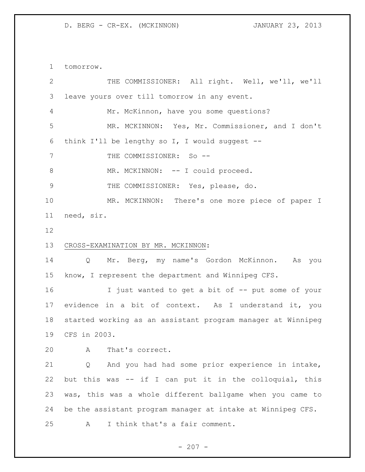tomorrow.

| 2  | THE COMMISSIONER: All right. Well, we'll, we'll             |
|----|-------------------------------------------------------------|
| 3  | leave yours over till tomorrow in any event.                |
| 4  | Mr. McKinnon, have you some questions?                      |
| 5  | MR. MCKINNON: Yes, Mr. Commissioner, and I don't            |
| 6  | think I'll be lengthy so I, I would suggest $--$            |
| 7  | THE COMMISSIONER: So --                                     |
| 8  | MR. MCKINNON: -- I could proceed.                           |
| 9  | THE COMMISSIONER: Yes, please, do.                          |
| 10 | MR. MCKINNON: There's one more piece of paper I             |
| 11 | need, sir.                                                  |
| 12 |                                                             |
| 13 | CROSS-EXAMINATION BY MR. MCKINNON:                          |
| 14 | Mr. Berg, my name's Gordon McKinnon. As you<br>Q            |
| 15 | know, I represent the department and Winnipeg CFS.          |
| 16 | I just wanted to get a bit of -- put some of your           |
| 17 | evidence in a bit of context. As I understand it, you       |
| 18 | started working as an assistant program manager at Winnipeg |
| 19 | CFS in 2003.                                                |
| 20 | A<br>That's correct.                                        |
| 21 | And you had had some prior experience in intake,<br>Q       |
| 22 | but this was -- if I can put it in the colloquial, this     |
| 23 | was, this was a whole different ballgame when you came to   |
| 24 | be the assistant program manager at intake at Winnipeg CFS. |
| 25 | I think that's a fair comment.<br>Α                         |
|    |                                                             |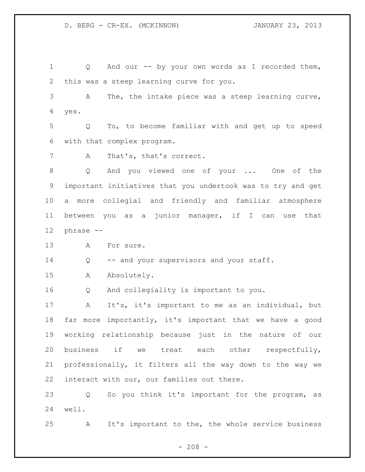Q And our -- by your own words as I recorded them, this was a steep learning curve for you. A The, the intake piece was a steep learning curve, yes. Q To, to become familiar with and get up to speed with that complex program. 7 A That's, that's correct. Q And you viewed one of your ... One of the important initiatives that you undertook was to try and get a more collegial and friendly and familiar atmosphere between you as a junior manager, if I can use that phrase -- A For sure. 14 Q -- and your supervisors and your staff. A Absolutely. Q And collegiality is important to you. A It's, it's important to me as an individual, but far more importantly, it's important that we have a good working relationship because just in the nature of our business if we treat each other respectfully, professionally, it filters all the way down to the way we interact with our, our families out there. Q So you think it's important for the program, as well.

A It's important to the, the whole service business

 $- 208 -$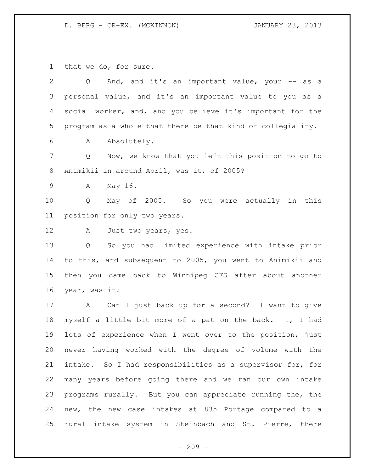that we do, for sure.

| $\overline{2}$ | And, and it's an important value, your -- as a<br>Q         |
|----------------|-------------------------------------------------------------|
| 3              | personal value, and it's an important value to you as a     |
| 4              | social worker, and, and you believe it's important for the  |
| 5              | program as a whole that there be that kind of collegiality. |
| 6              | Absolutely.<br>A                                            |
| $7\phantom{.}$ | Now, we know that you left this position to go to<br>Q      |
| 8              | Animikii in around April, was it, of 2005?                  |
| $\mathsf 9$    | May 16.<br>Α                                                |
| 10             | May of 2005. So you were actually in this<br>Q              |
| 11             | position for only two years.                                |
| 12             | A<br>Just two years, yes.                                   |
| 13             | So you had limited experience with intake prior<br>Q        |
| 14             | to this, and subsequent to 2005, you went to Animikii and   |
| 15             | then you came back to Winnipeg CFS after about another      |
| 16             | year, was it?                                               |
| 17             | Can I just back up for a second? I want to give<br>A        |
| 18             | myself a little bit more of a pat on the back. I, I had     |
| 19             | lots of experience when I went over to the position, just   |
| 20             | never having worked with the degree of volume with the      |
| 21             | intake. So I had responsibilities as a supervisor for, for  |
| 22             | many years before going there and we ran our own intake     |
| 23             | programs rurally. But you can appreciate running the, the   |
| 24             | new, the new case intakes at 835 Portage compared to a      |
| 25             | rural intake system in Steinbach and St. Pierre, there      |

- 209 -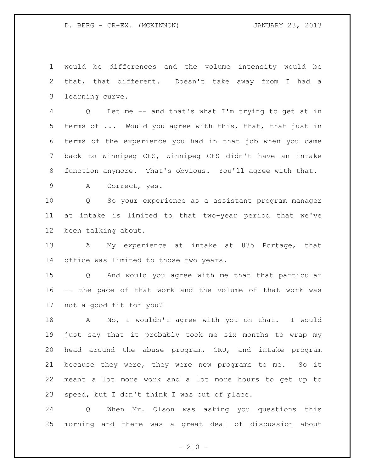would be differences and the volume intensity would be that, that different. Doesn't take away from I had a learning curve.

 Q Let me -- and that's what I'm trying to get at in 5 terms of ... Would you agree with this, that, that just in terms of the experience you had in that job when you came back to Winnipeg CFS, Winnipeg CFS didn't have an intake function anymore. That's obvious. You'll agree with that.

A Correct, yes.

 Q So your experience as a assistant program manager at intake is limited to that two-year period that we've been talking about.

 A My experience at intake at 835 Portage, that office was limited to those two years.

 Q And would you agree with me that that particular -- the pace of that work and the volume of that work was not a good fit for you?

 A No, I wouldn't agree with you on that. I would just say that it probably took me six months to wrap my head around the abuse program, CRU, and intake program because they were, they were new programs to me. So it meant a lot more work and a lot more hours to get up to speed, but I don't think I was out of place.

 Q When Mr. Olson was asking you questions this morning and there was a great deal of discussion about

 $- 210 -$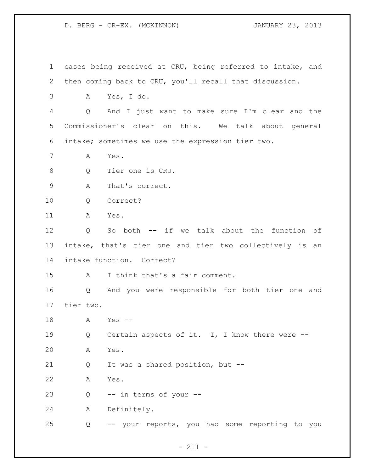cases being received at CRU, being referred to intake, and then coming back to CRU, you'll recall that discussion. A Yes, I do. Q And I just want to make sure I'm clear and the Commissioner's clear on this. We talk about general intake; sometimes we use the expression tier two. A Yes. Q Tier one is CRU. A That's correct. Q Correct? A Yes. Q So both -- if we talk about the function of intake, that's tier one and tier two collectively is an intake function. Correct? A I think that's a fair comment. Q And you were responsible for both tier one and tier two. A Yes -- 19 Q Certain aspects of it. I, I know there were -- A Yes. Q It was a shared position, but -- A Yes. Q -- in terms of your -- A Definitely. Q -- your reports, you had some reporting to you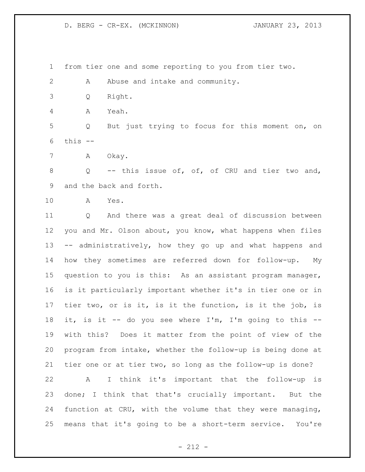from tier one and some reporting to you from tier two.

2 A Abuse and intake and community.

Q Right.

A Yeah.

 Q But just trying to focus for this moment on, on this --

A Okay.

8 Q -- this issue of, of, of CRU and tier two and, and the back and forth.

A Yes.

 Q And there was a great deal of discussion between you and Mr. Olson about, you know, what happens when files -- administratively, how they go up and what happens and how they sometimes are referred down for follow-up. My question to you is this: As an assistant program manager, is it particularly important whether it's in tier one or in tier two, or is it, is it the function, is it the job, is it, is it -- do you see where I'm, I'm going to this -- with this? Does it matter from the point of view of the program from intake, whether the follow-up is being done at tier one or at tier two, so long as the follow-up is done?

 A I think it's important that the follow-up is done; I think that that's crucially important. But the function at CRU, with the volume that they were managing, means that it's going to be a short-term service. You're

- 212 -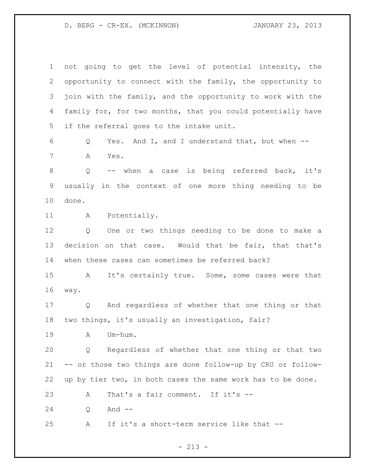| $\overline{2}$<br>3<br>4<br>5<br>6 | opportunity to connect with the family, the opportunity to<br>join with the family, and the opportunity to work with the<br>family for, for two months, that you could potentially have<br>if the referral goes to the intake unit. |
|------------------------------------|-------------------------------------------------------------------------------------------------------------------------------------------------------------------------------------------------------------------------------------|
|                                    |                                                                                                                                                                                                                                     |
|                                    |                                                                                                                                                                                                                                     |
|                                    |                                                                                                                                                                                                                                     |
|                                    |                                                                                                                                                                                                                                     |
|                                    | Yes. And I, and I understand that, but when --<br>Q                                                                                                                                                                                 |
| 7                                  | Α<br>Yes.                                                                                                                                                                                                                           |
| $\,8\,$                            | -- when a case is being referred back, it's<br>Q                                                                                                                                                                                    |
| $\mathsf 9$                        | usually in the context of one more thing needing to be                                                                                                                                                                              |
| 10<br>done.                        |                                                                                                                                                                                                                                     |
| 11                                 | Potentially.<br>A                                                                                                                                                                                                                   |
| 12                                 | One or two things needing to be done to make a<br>Q                                                                                                                                                                                 |
| 13                                 | decision on that case. Would that be fair, that that's                                                                                                                                                                              |
| 14                                 | when these cases can sometimes be referred back?                                                                                                                                                                                    |
| 15                                 | It's certainly true. Some, some cases were that<br>$\mathbf{A}$                                                                                                                                                                     |
| 16<br>way.                         |                                                                                                                                                                                                                                     |
| 17                                 | And regardless of whether that one thing or that<br>Q                                                                                                                                                                               |
| 18                                 | two things, it's usually an investigation, fair?                                                                                                                                                                                    |
| 19                                 | Um-hum.<br>A                                                                                                                                                                                                                        |
| 20                                 | Regardless of whether that one thing or that two<br>Q                                                                                                                                                                               |
| 21                                 | -- or those two things are done follow-up by CRU or follow-                                                                                                                                                                         |
| 22                                 | up by tier two, in both cases the same work has to be done.                                                                                                                                                                         |
|                                    |                                                                                                                                                                                                                                     |
| 23                                 | That's a fair comment. If it's --<br>A                                                                                                                                                                                              |
| 24                                 | And $--$<br>Q                                                                                                                                                                                                                       |

- 213 -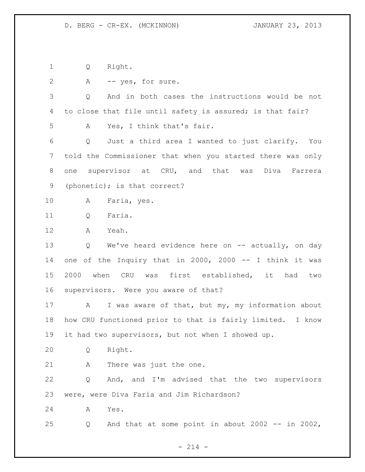Q Right.

| $\mathbf{2}$    | -- yes, for sure.<br>A                                            |
|-----------------|-------------------------------------------------------------------|
| 3               | And in both cases the instructions would be not<br>Q              |
| 4               | to close that file until safety is assured; is that fair?         |
| 5               | Yes, I think that's fair.<br>A                                    |
| 6               | Just a third area I wanted to just clarify. You<br>Q              |
| $7\phantom{.0}$ | told the Commissioner that when you started there was only        |
| 8               | one supervisor at CRU, and that was Diva<br>Farrera               |
| 9               | (phonetic); is that correct?                                      |
| 10              | Α<br>Faria, yes.                                                  |
| 11              | Faria.<br>Q                                                       |
| 12              | Α<br>Yeah.                                                        |
| 13              | We've heard evidence here on -- actually, on day<br>Q             |
| 14              | one of the Inquiry that in 2000, 2000 -- I think it was           |
| 15              | 2000 when CRU was first established, it had<br>two                |
| 16              | supervisors. Were you aware of that?                              |
| 17              | I was aware of that, but my, my information about<br>$\mathbf{A}$ |
| 18              | how CRU functioned prior to that is fairly limited. I know        |
| 19              | it had two supervisors, but not when I showed up.                 |
| 20              | Right.<br>Q                                                       |
| 21              | There was just the one.<br>Α                                      |
| 22              | And, and I'm advised that the two supervisors<br>Q                |
| 23              | were, were Diva Faria and Jim Richardson?                         |
| 24              | Yes.<br>Α                                                         |
| 25              | And that at some point in about 2002 -- in 2002,<br>Q             |
|                 |                                                                   |

- 214 -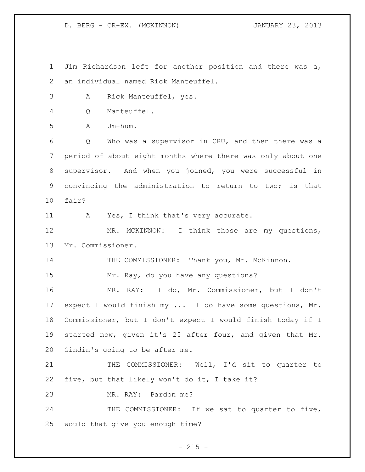D. BERG - CR-EX. (MCKINNON) JANUARY 23, 2013

 Jim Richardson left for another position and there was a, an individual named Rick Manteuffel. A Rick Manteuffel, yes. Q Manteuffel. A Um-hum. Q Who was a supervisor in CRU, and then there was a period of about eight months where there was only about one supervisor. And when you joined, you were successful in convincing the administration to return to two; is that fair? 11 A Yes, I think that's very accurate. 12 MR. MCKINNON: I think those are my questions, Mr. Commissioner. 14 THE COMMISSIONER: Thank you, Mr. McKinnon. Mr. Ray, do you have any questions? MR. RAY: I do, Mr. Commissioner, but I don't expect I would finish my ... I do have some questions, Mr. Commissioner, but I don't expect I would finish today if I started now, given it's 25 after four, and given that Mr. Gindin's going to be after me. THE COMMISSIONER: Well, I'd sit to quarter to five, but that likely won't do it, I take it? MR. RAY: Pardon me? 24 THE COMMISSIONER: If we sat to quarter to five, would that give you enough time?

 $- 215 -$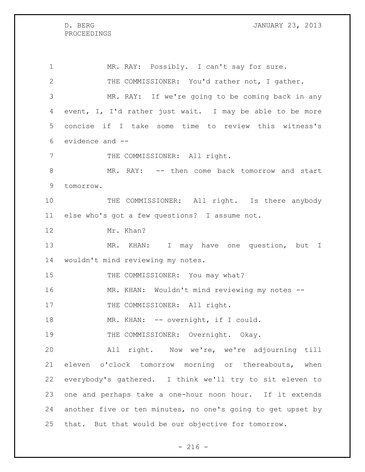PROCEEDINGS

1 MR. RAY: Possibly. I can't say for sure. THE COMMISSIONER: You'd rather not, I gather. MR. RAY: If we're going to be coming back in any event, I, I'd rather just wait. I may be able to be more concise if I take some time to review this witness's evidence and -- 7 THE COMMISSIONER: All right. MR. RAY: -- then come back tomorrow and start tomorrow. 10 THE COMMISSIONER: All right. Is there anybody else who's got a few questions? I assume not. Mr. Khan? 13 MR. KHAN: I may have one question, but I wouldn't mind reviewing my notes. 15 THE COMMISSIONER: You may what? MR. KHAN: Wouldn't mind reviewing my notes -- 17 THE COMMISSIONER: All right. 18 MR. KHAN: -- overnight, if I could. 19 THE COMMISSIONER: Overnight. Okay. All right. Now we're, we're adjourning till eleven o'clock tomorrow morning or thereabouts, when everybody's gathered. I think we'll try to sit eleven to one and perhaps take a one-hour noon hour. If it extends another five or ten minutes, no one's going to get upset by that. But that would be our objective for tomorrow.

 $-216 -$